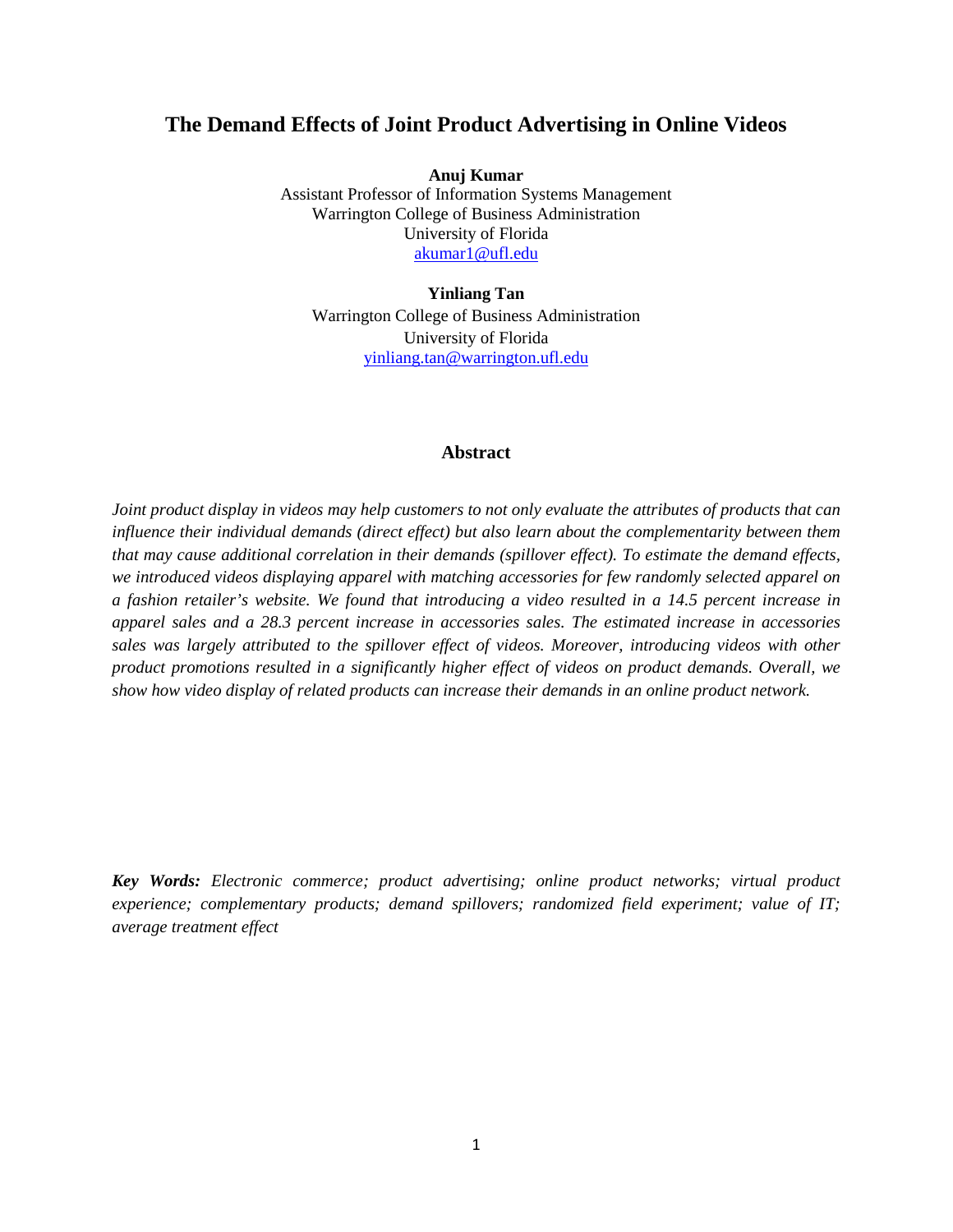# **The Demand Effects of Joint Product Advertising in Online Videos**

**Anuj Kumar**  Assistant Professor of Information Systems Management Warrington College of Business Administration University of Florida [akumar1@ufl.edu](mailto:akumar1@ufl.edu)

**Yinliang Tan** Warrington College of Business Administration University of Florida [yinliang.tan@warrington.ufl.edu](mailto:yinliang.tan@warrington.ufl.edu)

# **Abstract**

*Joint product display in videos may help customers to not only evaluate the attributes of products that can influence their individual demands (direct effect) but also learn about the complementarity between them that may cause additional correlation in their demands (spillover effect). To estimate the demand effects, we introduced videos displaying apparel with matching accessories for few randomly selected apparel on a fashion retailer's website. We found that introducing a video resulted in a 14.5 percent increase in apparel sales and a 28.3 percent increase in accessories sales. The estimated increase in accessories sales was largely attributed to the spillover effect of videos. Moreover, introducing videos with other product promotions resulted in a significantly higher effect of videos on product demands. Overall, we show how video display of related products can increase their demands in an online product network.*

*Key Words: Electronic commerce; product advertising; online product networks; virtual product experience; complementary products; demand spillovers; randomized field experiment; value of IT; average treatment effect*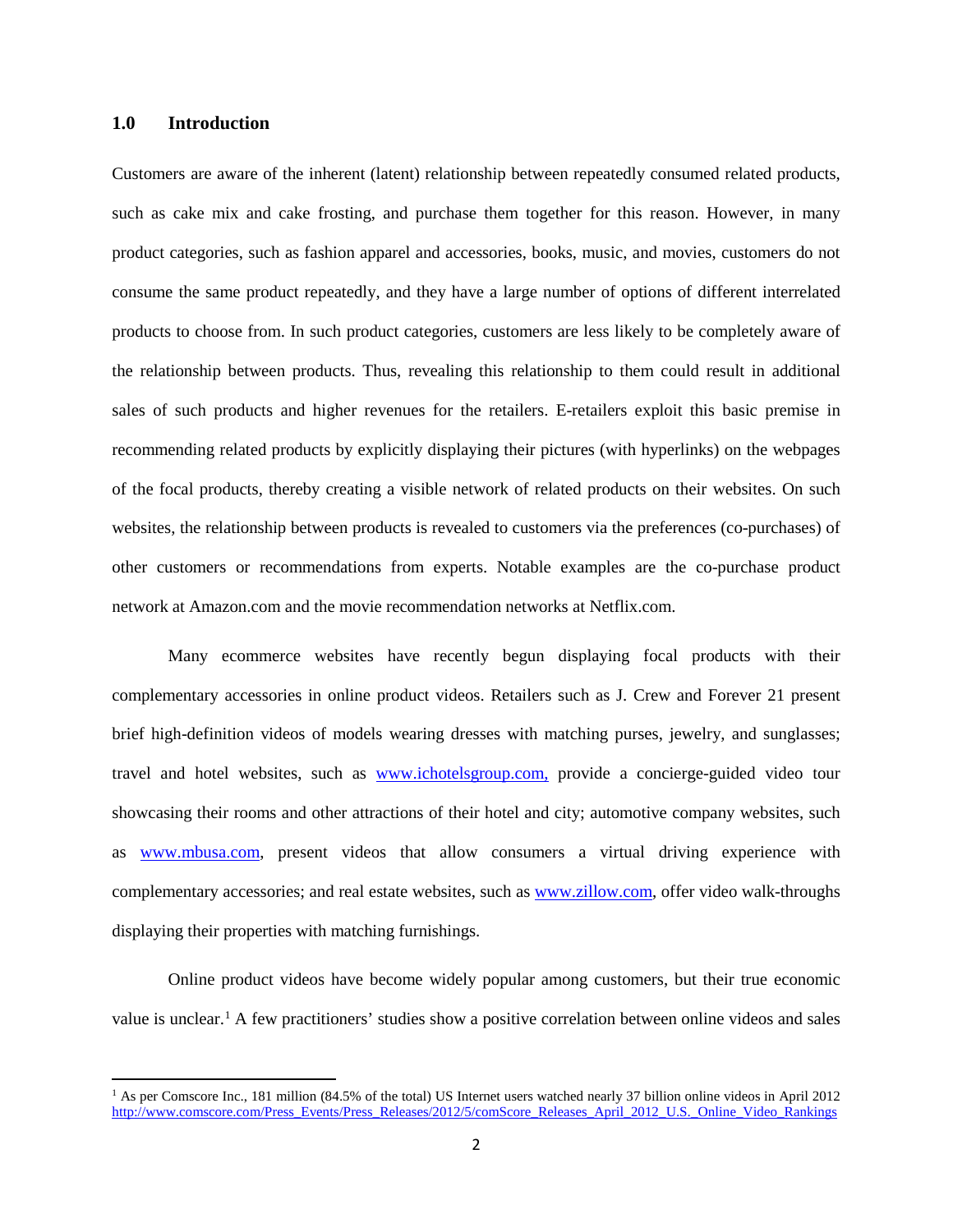## **1.0 Introduction**

 $\overline{\phantom{a}}$ 

Customers are aware of the inherent (latent) relationship between repeatedly consumed related products, such as cake mix and cake frosting, and purchase them together for this reason. However, in many product categories, such as fashion apparel and accessories, books, music, and movies, customers do not consume the same product repeatedly, and they have a large number of options of different interrelated products to choose from. In such product categories, customers are less likely to be completely aware of the relationship between products. Thus, revealing this relationship to them could result in additional sales of such products and higher revenues for the retailers. E-retailers exploit this basic premise in recommending related products by explicitly displaying their pictures (with hyperlinks) on the webpages of the focal products, thereby creating a visible network of related products on their websites. On such websites, the relationship between products is revealed to customers via the preferences (co-purchases) of other customers or recommendations from experts. Notable examples are the co-purchase product network at Amazon.com and the movie recommendation networks at Netflix.com.

Many ecommerce websites have recently begun displaying focal products with their complementary accessories in online product videos. Retailers such as J. Crew and Forever 21 present brief high-definition videos of models wearing dresses with matching purses, jewelry, and sunglasses; travel and hotel websites, such as [www.ichotelsgroup.com,](http://www.ichotelsgroup.com/) provide a concierge-guided video tour showcasing their rooms and other attractions of their hotel and city; automotive company websites, such as [www.mbusa.com,](http://www.mbusa.com/) present videos that allow consumers a virtual driving experience with complementary accessories; and real estate websites, such as [www.zillow.com,](http://www.zillow.com/) offer video walk-throughs displaying their properties with matching furnishings.

Online product videos have become widely popular among customers, but their true economic value is unclear.[1](#page-1-0) A few practitioners' studies show a positive correlation between online videos and sales

<span id="page-1-0"></span><sup>1</sup> As per Comscore Inc., 181 million (84.5% of the total) US Internet users watched nearly 37 billion online videos in April 2012 [http://www.comscore.com/Press\\_Events/Press\\_Releases/2012/5/comScore\\_Releases\\_April\\_2012\\_U.S.\\_Online\\_Video\\_Rankings](http://www.comscore.com/Press_Events/Press_Releases/2012/5/comScore_Releases_April_2012_U.S._Online_Video_Rankings)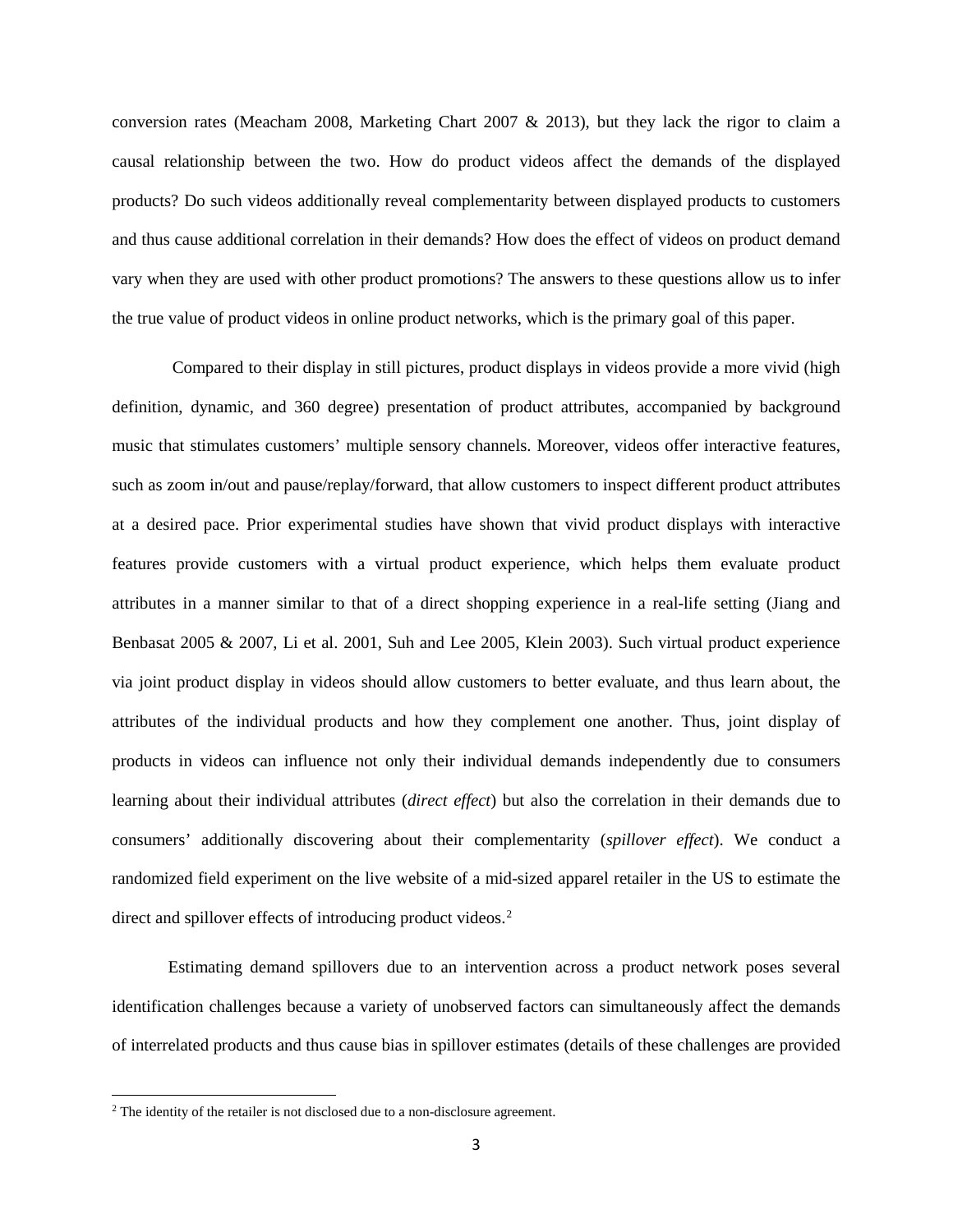conversion rates (Meacham 2008, Marketing Chart 2007 & 2013), but they lack the rigor to claim a causal relationship between the two. How do product videos affect the demands of the displayed products? Do such videos additionally reveal complementarity between displayed products to customers and thus cause additional correlation in their demands? How does the effect of videos on product demand vary when they are used with other product promotions? The answers to these questions allow us to infer the true value of product videos in online product networks, which is the primary goal of this paper.

Compared to their display in still pictures, product displays in videos provide a more vivid (high definition, dynamic, and 360 degree) presentation of product attributes, accompanied by background music that stimulates customers' multiple sensory channels. Moreover, videos offer interactive features, such as zoom in/out and pause/replay/forward, that allow customers to inspect different product attributes at a desired pace. Prior experimental studies have shown that vivid product displays with interactive features provide customers with a virtual product experience, which helps them evaluate product attributes in a manner similar to that of a direct shopping experience in a real-life setting (Jiang and Benbasat 2005 & 2007, Li et al. 2001, Suh and Lee 2005, Klein 2003). Such virtual product experience via joint product display in videos should allow customers to better evaluate, and thus learn about, the attributes of the individual products and how they complement one another. Thus, joint display of products in videos can influence not only their individual demands independently due to consumers learning about their individual attributes (*direct effect*) but also the correlation in their demands due to consumers' additionally discovering about their complementarity (*spillover effect*). We conduct a randomized field experiment on the live website of a mid-sized apparel retailer in the US to estimate the direct and spillover effects of introducing product videos.<sup>[2](#page-2-0)</sup>

Estimating demand spillovers due to an intervention across a product network poses several identification challenges because a variety of unobserved factors can simultaneously affect the demands of interrelated products and thus cause bias in spillover estimates (details of these challenges are provided

l

<span id="page-2-0"></span><sup>&</sup>lt;sup>2</sup> The identity of the retailer is not disclosed due to a non-disclosure agreement.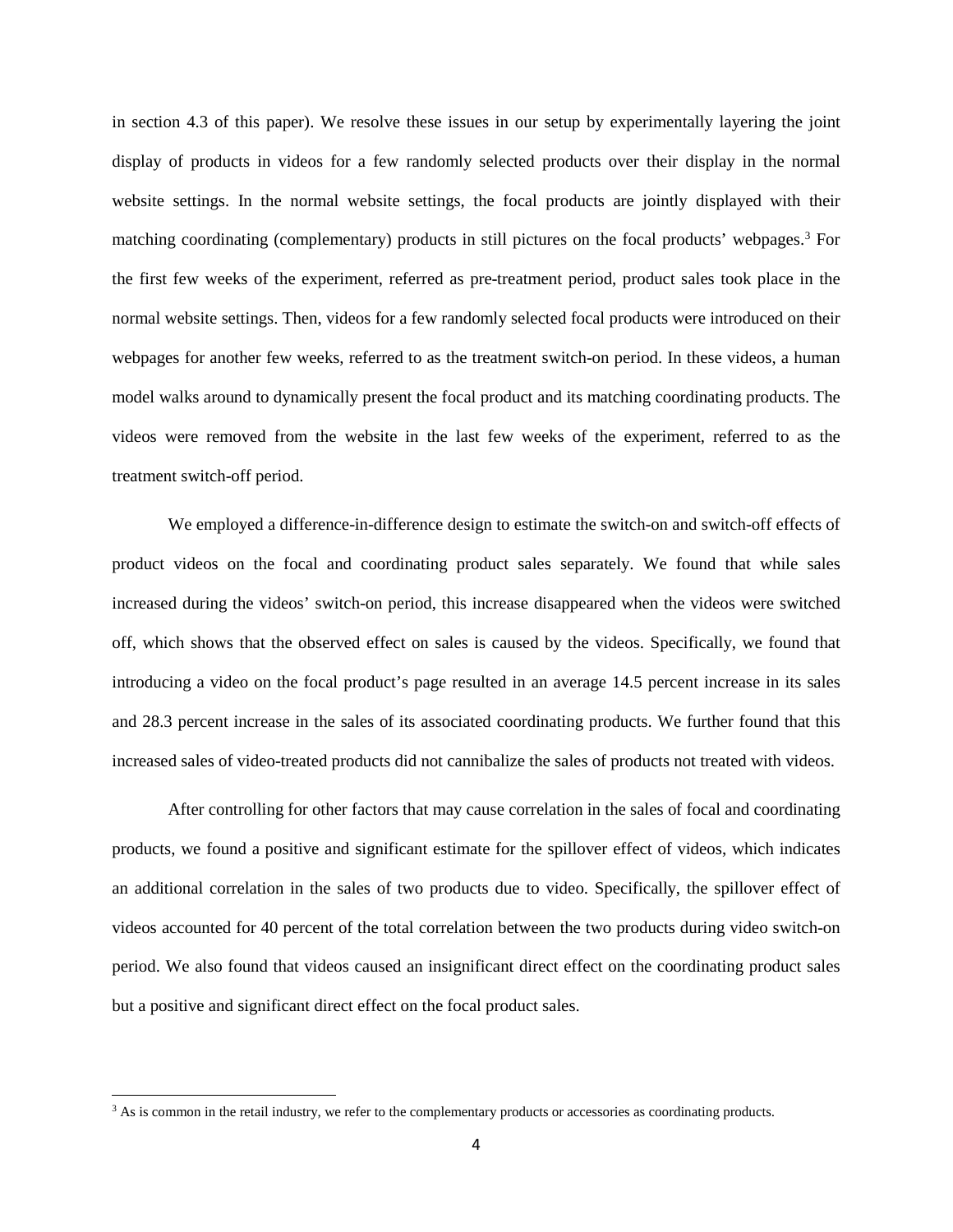in section 4.3 of this paper). We resolve these issues in our setup by experimentally layering the joint display of products in videos for a few randomly selected products over their display in the normal website settings. In the normal website settings, the focal products are jointly displayed with their matching coordinating (complementary) products in still pictures on the focal products' webpages[.3](#page-3-0) For the first few weeks of the experiment, referred as pre-treatment period, product sales took place in the normal website settings. Then, videos for a few randomly selected focal products were introduced on their webpages for another few weeks, referred to as the treatment switch-on period. In these videos, a human model walks around to dynamically present the focal product and its matching coordinating products. The videos were removed from the website in the last few weeks of the experiment, referred to as the treatment switch-off period.

We employed a difference-in-difference design to estimate the switch-on and switch-off effects of product videos on the focal and coordinating product sales separately. We found that while sales increased during the videos' switch-on period, this increase disappeared when the videos were switched off, which shows that the observed effect on sales is caused by the videos. Specifically, we found that introducing a video on the focal product's page resulted in an average 14.5 percent increase in its sales and 28.3 percent increase in the sales of its associated coordinating products. We further found that this increased sales of video-treated products did not cannibalize the sales of products not treated with videos.

After controlling for other factors that may cause correlation in the sales of focal and coordinating products, we found a positive and significant estimate for the spillover effect of videos, which indicates an additional correlation in the sales of two products due to video. Specifically, the spillover effect of videos accounted for 40 percent of the total correlation between the two products during video switch-on period. We also found that videos caused an insignificant direct effect on the coordinating product sales but a positive and significant direct effect on the focal product sales.

l

<span id="page-3-0"></span><sup>&</sup>lt;sup>3</sup> As is common in the retail industry, we refer to the complementary products or accessories as coordinating products.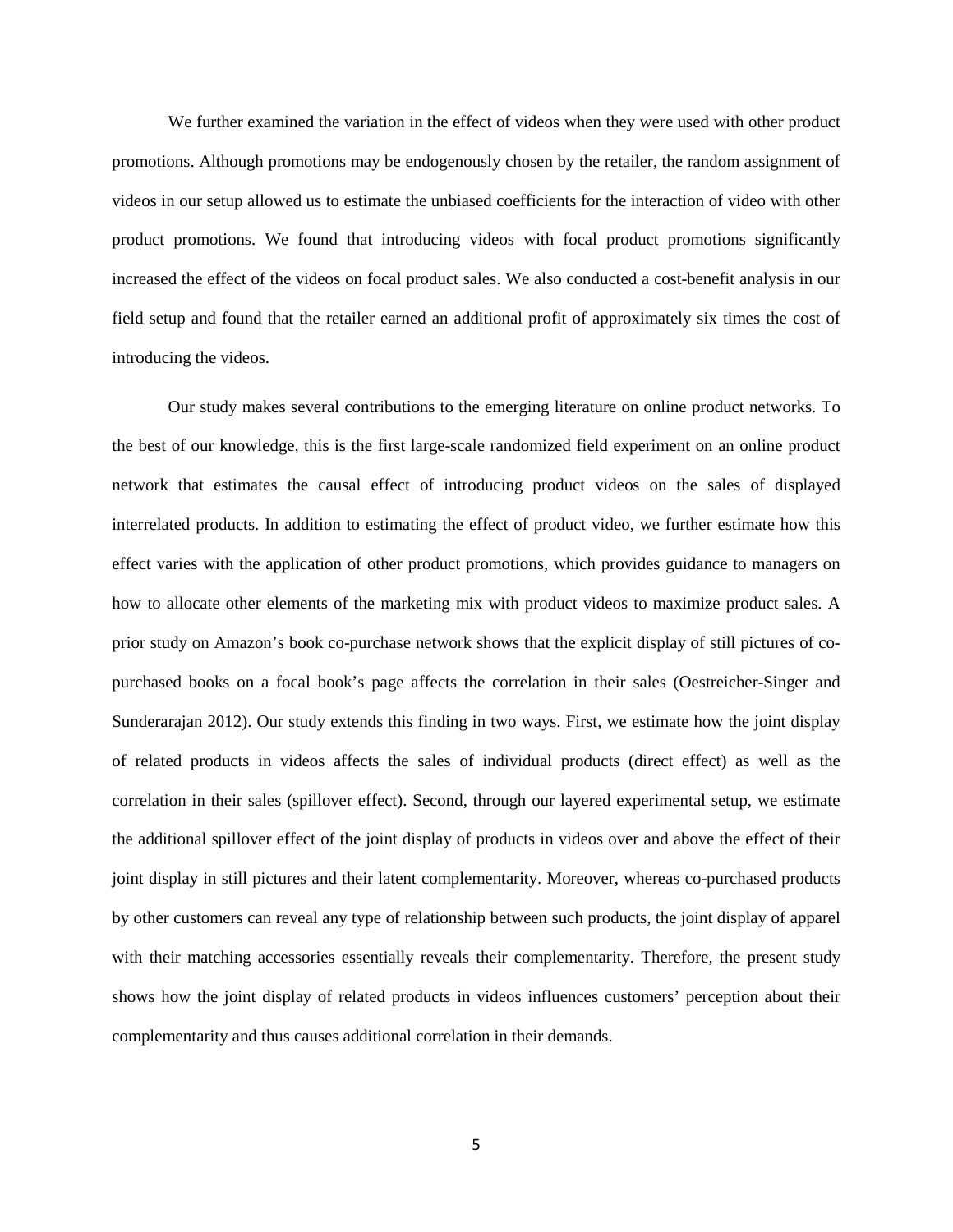We further examined the variation in the effect of videos when they were used with other product promotions. Although promotions may be endogenously chosen by the retailer, the random assignment of videos in our setup allowed us to estimate the unbiased coefficients for the interaction of video with other product promotions. We found that introducing videos with focal product promotions significantly increased the effect of the videos on focal product sales. We also conducted a cost-benefit analysis in our field setup and found that the retailer earned an additional profit of approximately six times the cost of introducing the videos.

Our study makes several contributions to the emerging literature on online product networks. To the best of our knowledge, this is the first large-scale randomized field experiment on an online product network that estimates the causal effect of introducing product videos on the sales of displayed interrelated products. In addition to estimating the effect of product video, we further estimate how this effect varies with the application of other product promotions, which provides guidance to managers on how to allocate other elements of the marketing mix with product videos to maximize product sales. A prior study on Amazon's book co-purchase network shows that the explicit display of still pictures of copurchased books on a focal book's page affects the correlation in their sales (Oestreicher-Singer and Sunderarajan 2012). Our study extends this finding in two ways. First, we estimate how the joint display of related products in videos affects the sales of individual products (direct effect) as well as the correlation in their sales (spillover effect). Second, through our layered experimental setup, we estimate the additional spillover effect of the joint display of products in videos over and above the effect of their joint display in still pictures and their latent complementarity. Moreover, whereas co-purchased products by other customers can reveal any type of relationship between such products, the joint display of apparel with their matching accessories essentially reveals their complementarity. Therefore, the present study shows how the joint display of related products in videos influences customers' perception about their complementarity and thus causes additional correlation in their demands.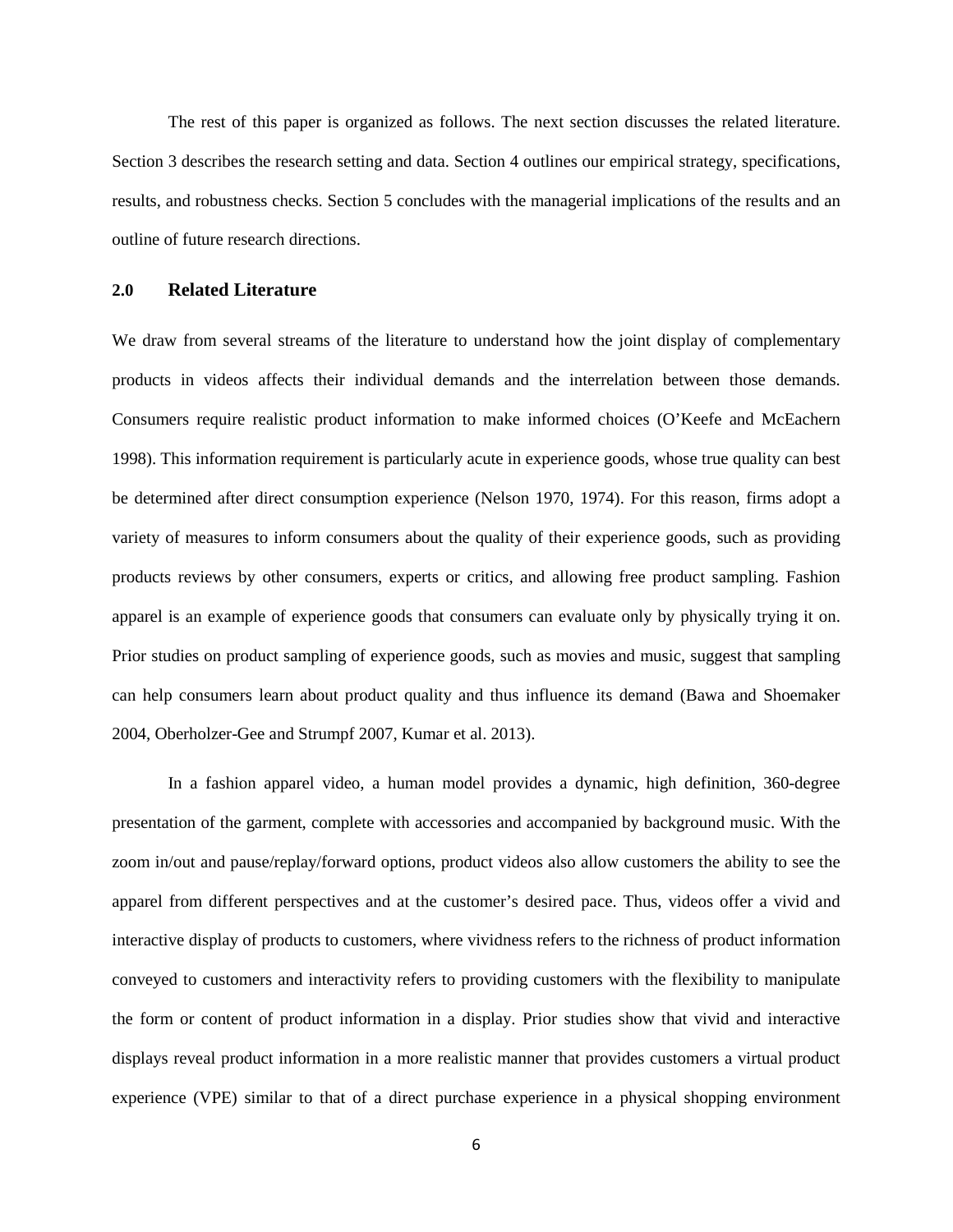The rest of this paper is organized as follows. The next section discusses the related literature. Section 3 describes the research setting and data. Section 4 outlines our empirical strategy, specifications, results, and robustness checks. Section 5 concludes with the managerial implications of the results and an outline of future research directions.

## **2.0 Related Literature**

We draw from several streams of the literature to understand how the joint display of complementary products in videos affects their individual demands and the interrelation between those demands. Consumers require realistic product information to make informed choices (O'Keefe and McEachern 1998). This information requirement is particularly acute in experience goods, whose true quality can best be determined after direct consumption experience (Nelson 1970, 1974). For this reason, firms adopt a variety of measures to inform consumers about the quality of their experience goods, such as providing products reviews by other consumers, experts or critics, and allowing free product sampling. Fashion apparel is an example of experience goods that consumers can evaluate only by physically trying it on. Prior studies on product sampling of experience goods, such as movies and music, suggest that sampling can help consumers learn about product quality and thus influence its demand (Bawa and Shoemaker 2004, Oberholzer-Gee and Strumpf 2007, Kumar et al. 2013).

In a fashion apparel video, a human model provides a dynamic, high definition, 360-degree presentation of the garment, complete with accessories and accompanied by background music. With the zoom in/out and pause/replay/forward options, product videos also allow customers the ability to see the apparel from different perspectives and at the customer's desired pace. Thus, videos offer a vivid and interactive display of products to customers, where vividness refers to the richness of product information conveyed to customers and interactivity refers to providing customers with the flexibility to manipulate the form or content of product information in a display. Prior studies show that vivid and interactive displays reveal product information in a more realistic manner that provides customers a virtual product experience (VPE) similar to that of a direct purchase experience in a physical shopping environment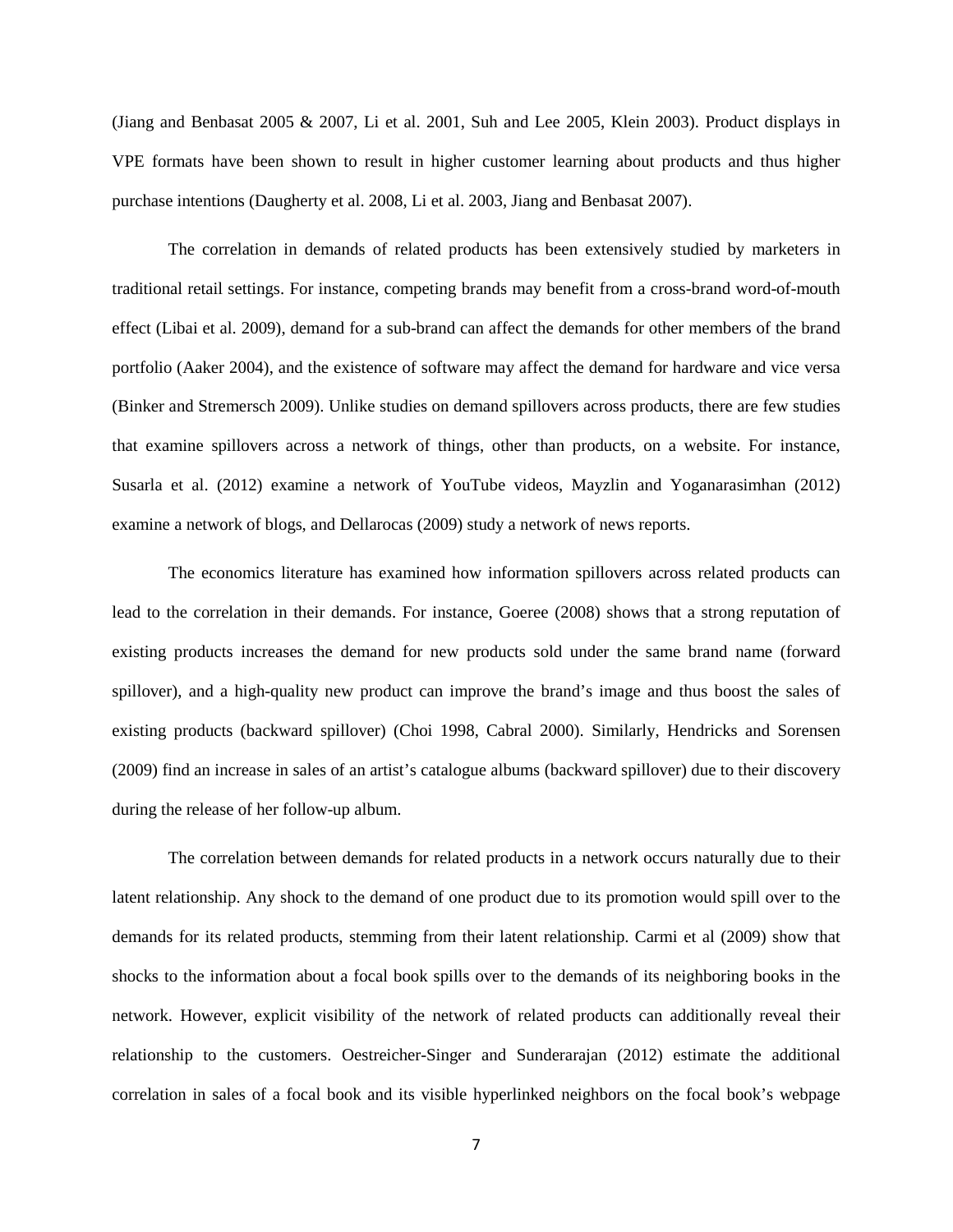(Jiang and Benbasat 2005 & 2007, Li et al. 2001, Suh and Lee 2005, Klein 2003). Product displays in VPE formats have been shown to result in higher customer learning about products and thus higher purchase intentions (Daugherty et al. 2008, Li et al. 2003, Jiang and Benbasat 2007).

The correlation in demands of related products has been extensively studied by marketers in traditional retail settings. For instance, competing brands may benefit from a cross-brand word-of-mouth effect (Libai et al. 2009), demand for a sub-brand can affect the demands for other members of the brand portfolio (Aaker 2004), and the existence of software may affect the demand for hardware and vice versa (Binker and Stremersch 2009). Unlike studies on demand spillovers across products, there are few studies that examine spillovers across a network of things, other than products, on a website. For instance, Susarla et al. (2012) examine a network of YouTube videos, Mayzlin and Yoganarasimhan (2012) examine a network of blogs, and Dellarocas (2009) study a network of news reports.

The economics literature has examined how information spillovers across related products can lead to the correlation in their demands. For instance, Goeree (2008) shows that a strong reputation of existing products increases the demand for new products sold under the same brand name (forward spillover), and a high-quality new product can improve the brand's image and thus boost the sales of existing products (backward spillover) (Choi 1998, Cabral 2000). Similarly, Hendricks and Sorensen (2009) find an increase in sales of an artist's catalogue albums (backward spillover) due to their discovery during the release of her follow-up album.

The correlation between demands for related products in a network occurs naturally due to their latent relationship. Any shock to the demand of one product due to its promotion would spill over to the demands for its related products, stemming from their latent relationship. Carmi et al (2009) show that shocks to the information about a focal book spills over to the demands of its neighboring books in the network. However, explicit visibility of the network of related products can additionally reveal their relationship to the customers. Oestreicher-Singer and Sunderarajan (2012) estimate the additional correlation in sales of a focal book and its visible hyperlinked neighbors on the focal book's webpage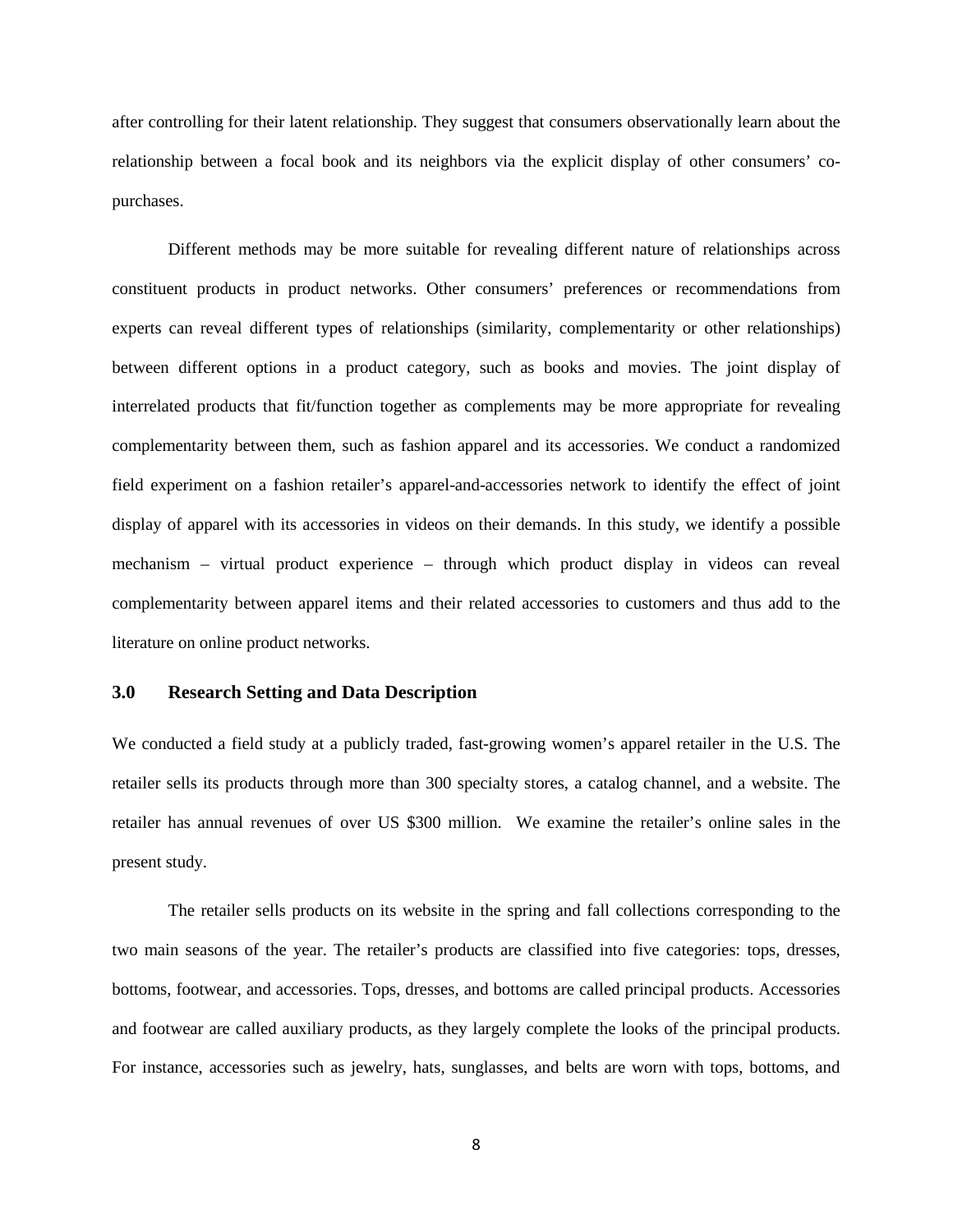after controlling for their latent relationship. They suggest that consumers observationally learn about the relationship between a focal book and its neighbors via the explicit display of other consumers' copurchases.

Different methods may be more suitable for revealing different nature of relationships across constituent products in product networks. Other consumers' preferences or recommendations from experts can reveal different types of relationships (similarity, complementarity or other relationships) between different options in a product category, such as books and movies. The joint display of interrelated products that fit/function together as complements may be more appropriate for revealing complementarity between them, such as fashion apparel and its accessories. We conduct a randomized field experiment on a fashion retailer's apparel-and-accessories network to identify the effect of joint display of apparel with its accessories in videos on their demands. In this study, we identify a possible mechanism – virtual product experience – through which product display in videos can reveal complementarity between apparel items and their related accessories to customers and thus add to the literature on online product networks.

### **3.0 Research Setting and Data Description**

We conducted a field study at a publicly traded, fast-growing women's apparel retailer in the U.S. The retailer sells its products through more than 300 specialty stores, a catalog channel, and a website. The retailer has annual revenues of over US \$300 million. We examine the retailer's online sales in the present study.

The retailer sells products on its website in the spring and fall collections corresponding to the two main seasons of the year. The retailer's products are classified into five categories: tops, dresses, bottoms, footwear, and accessories. Tops, dresses, and bottoms are called principal products. Accessories and footwear are called auxiliary products, as they largely complete the looks of the principal products. For instance, accessories such as jewelry, hats, sunglasses, and belts are worn with tops, bottoms, and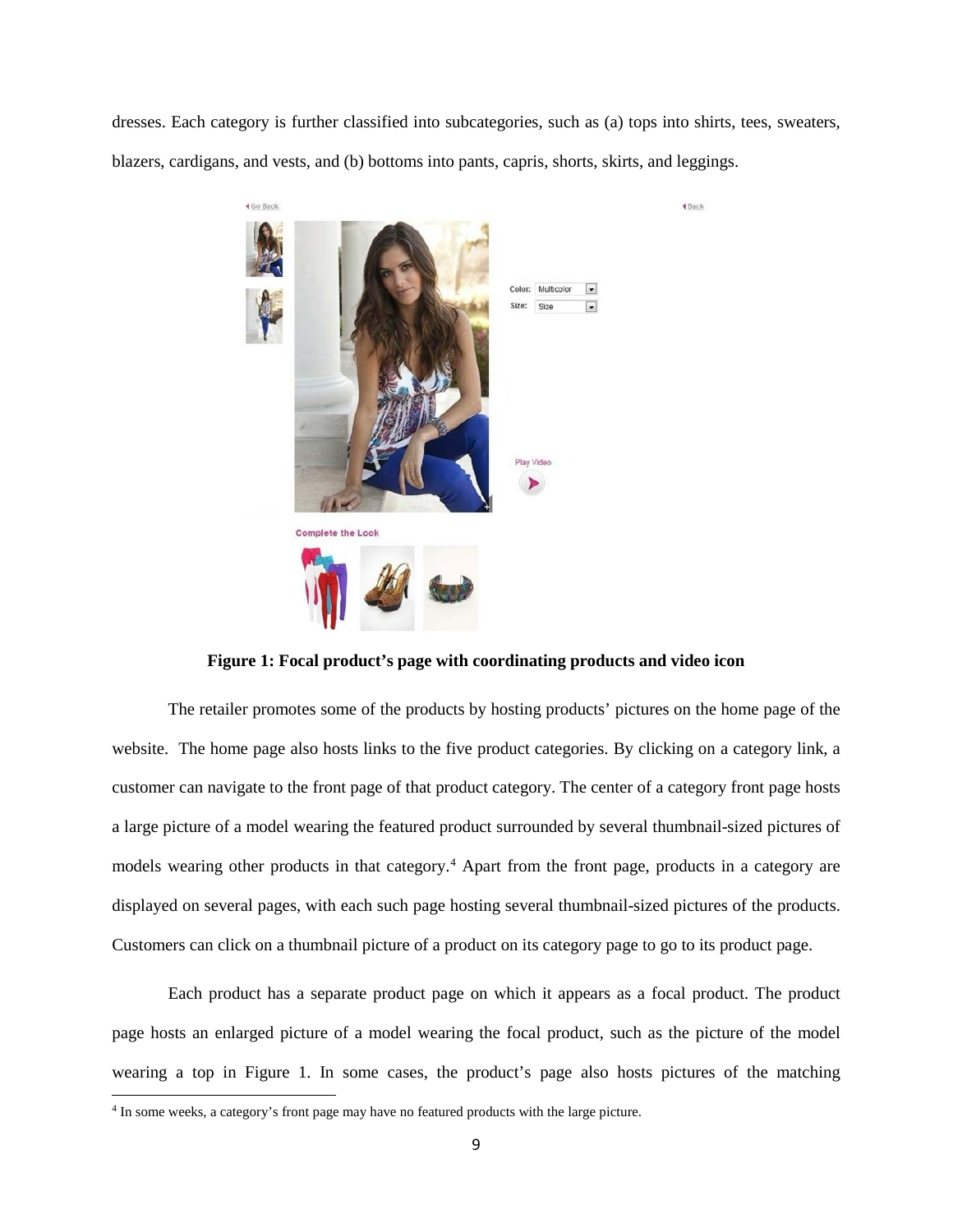dresses. Each category is further classified into subcategories, such as (a) tops into shirts, tees, sweaters, blazers, cardigans, and vests, and (b) bottoms into pants, capris, shorts, skirts, and leggings.



**Figure 1: Focal product's page with coordinating products and video icon**

The retailer promotes some of the products by hosting products' pictures on the home page of the website. The home page also hosts links to the five product categories. By clicking on a category link, a customer can navigate to the front page of that product category. The center of a category front page hosts a large picture of a model wearing the featured product surrounded by several thumbnail-sized pictures of models wearing other products in that category.<sup>[4](#page-8-0)</sup> Apart from the front page, products in a category are displayed on several pages, with each such page hosting several thumbnail-sized pictures of the products. Customers can click on a thumbnail picture of a product on its category page to go to its product page.

Each product has a separate product page on which it appears as a focal product. The product page hosts an enlarged picture of a model wearing the focal product, such as the picture of the model wearing a top in Figure 1. In some cases, the product's page also hosts pictures of the matching

l

<span id="page-8-0"></span><sup>&</sup>lt;sup>4</sup> In some weeks, a category's front page may have no featured products with the large picture.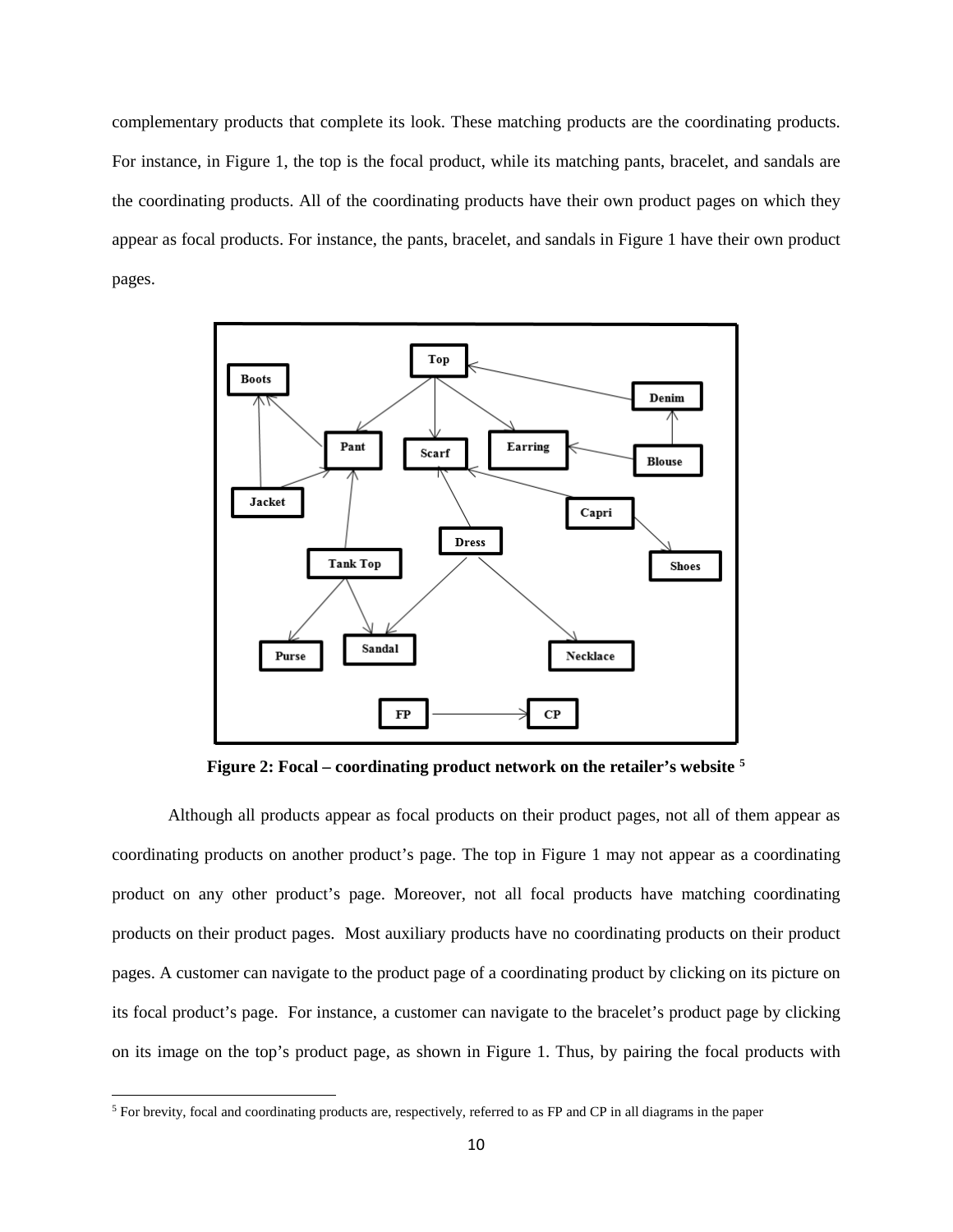complementary products that complete its look. These matching products are the coordinating products. For instance, in Figure 1, the top is the focal product, while its matching pants, bracelet, and sandals are the coordinating products. All of the coordinating products have their own product pages on which they appear as focal products. For instance, the pants, bracelet, and sandals in Figure 1 have their own product pages.



**Figure 2: Focal – coordinating product network on the retailer's website [5](#page-9-0)**

Although all products appear as focal products on their product pages, not all of them appear as coordinating products on another product's page. The top in Figure 1 may not appear as a coordinating product on any other product's page. Moreover, not all focal products have matching coordinating products on their product pages. Most auxiliary products have no coordinating products on their product pages. A customer can navigate to the product page of a coordinating product by clicking on its picture on its focal product's page. For instance, a customer can navigate to the bracelet's product page by clicking on its image on the top's product page, as shown in Figure 1. Thus, by pairing the focal products with

l

<span id="page-9-0"></span><sup>5</sup> For brevity, focal and coordinating products are, respectively, referred to as FP and CP in all diagrams in the paper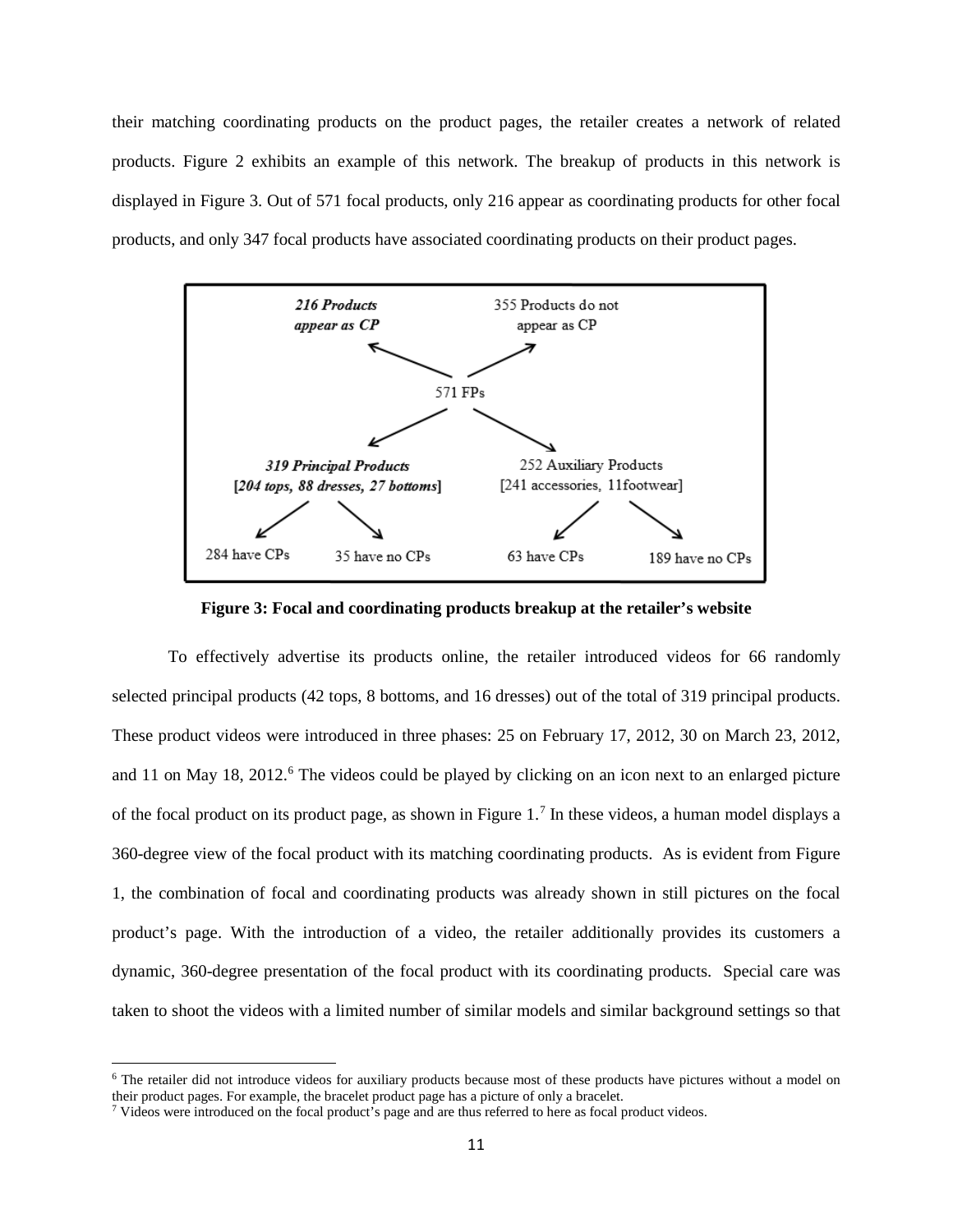their matching coordinating products on the product pages, the retailer creates a network of related products. Figure 2 exhibits an example of this network. The breakup of products in this network is displayed in Figure 3. Out of 571 focal products, only 216 appear as coordinating products for other focal products, and only 347 focal products have associated coordinating products on their product pages.



**Figure 3: Focal and coordinating products breakup at the retailer's website**

To effectively advertise its products online, the retailer introduced videos for 66 randomly selected principal products (42 tops, 8 bottoms, and 16 dresses) out of the total of 319 principal products. These product videos were introduced in three phases: 25 on February 17, 2012, 30 on March 23, 2012, and 11 on May 18, 2012.<sup>[6](#page-10-0)</sup> The videos could be played by clicking on an icon next to an enlarged picture of the focal product on its product page, as shown in Figure 1.[7](#page-10-1) In these videos, a human model displays a 360-degree view of the focal product with its matching coordinating products. As is evident from Figure 1, the combination of focal and coordinating products was already shown in still pictures on the focal product's page. With the introduction of a video, the retailer additionally provides its customers a dynamic, 360-degree presentation of the focal product with its coordinating products. Special care was taken to shoot the videos with a limited number of similar models and similar background settings so that

 $\overline{\phantom{a}}$ 

<span id="page-10-0"></span> $6$  The retailer did not introduce videos for auxiliary products because most of these products have pictures without a model on their product pages. For example, the bracelet product page has a picture of only a bracelet

<span id="page-10-1"></span><sup>&</sup>lt;sup>7</sup> Videos were introduced on the focal product's page and are thus referred to here as focal product videos.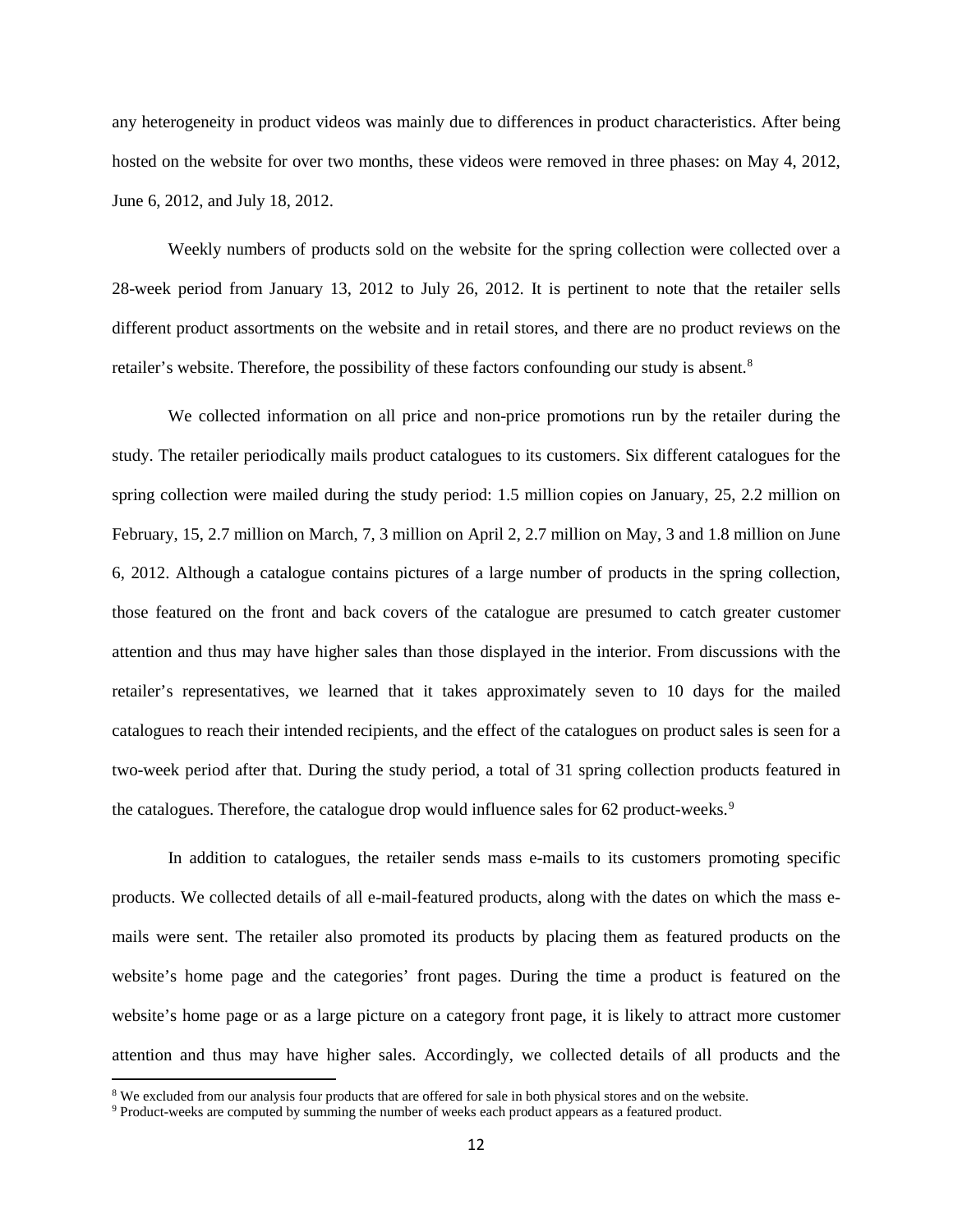any heterogeneity in product videos was mainly due to differences in product characteristics. After being hosted on the website for over two months, these videos were removed in three phases: on May 4, 2012, June 6, 2012, and July 18, 2012.

Weekly numbers of products sold on the website for the spring collection were collected over a 28-week period from January 13, 2012 to July 26, 2012. It is pertinent to note that the retailer sells different product assortments on the website and in retail stores, and there are no product reviews on the retailer's website. Therefore, the possibility of these factors confounding our study is absent.[8](#page-11-0)

We collected information on all price and non-price promotions run by the retailer during the study. The retailer periodically mails product catalogues to its customers. Six different catalogues for the spring collection were mailed during the study period: 1.5 million copies on January, 25, 2.2 million on February, 15, 2.7 million on March, 7, 3 million on April 2, 2.7 million on May, 3 and 1.8 million on June 6, 2012. Although a catalogue contains pictures of a large number of products in the spring collection, those featured on the front and back covers of the catalogue are presumed to catch greater customer attention and thus may have higher sales than those displayed in the interior. From discussions with the retailer's representatives, we learned that it takes approximately seven to 10 days for the mailed catalogues to reach their intended recipients, and the effect of the catalogues on product sales is seen for a two-week period after that. During the study period, a total of 31 spring collection products featured in the catalogues. Therefore, the catalogue drop would influence sales for 62 product-weeks.<sup>[9](#page-11-1)</sup>

In addition to catalogues, the retailer sends mass e-mails to its customers promoting specific products. We collected details of all e-mail-featured products, along with the dates on which the mass emails were sent. The retailer also promoted its products by placing them as featured products on the website's home page and the categories' front pages. During the time a product is featured on the website's home page or as a large picture on a category front page, it is likely to attract more customer attention and thus may have higher sales. Accordingly, we collected details of all products and the

 $\overline{\phantom{a}}$ 

<span id="page-11-0"></span><sup>&</sup>lt;sup>8</sup> We excluded from our analysis four products that are offered for sale in both physical stores and on the website.

<span id="page-11-1"></span><sup>9</sup> Product-weeks are computed by summing the number of weeks each product appears as a featured product.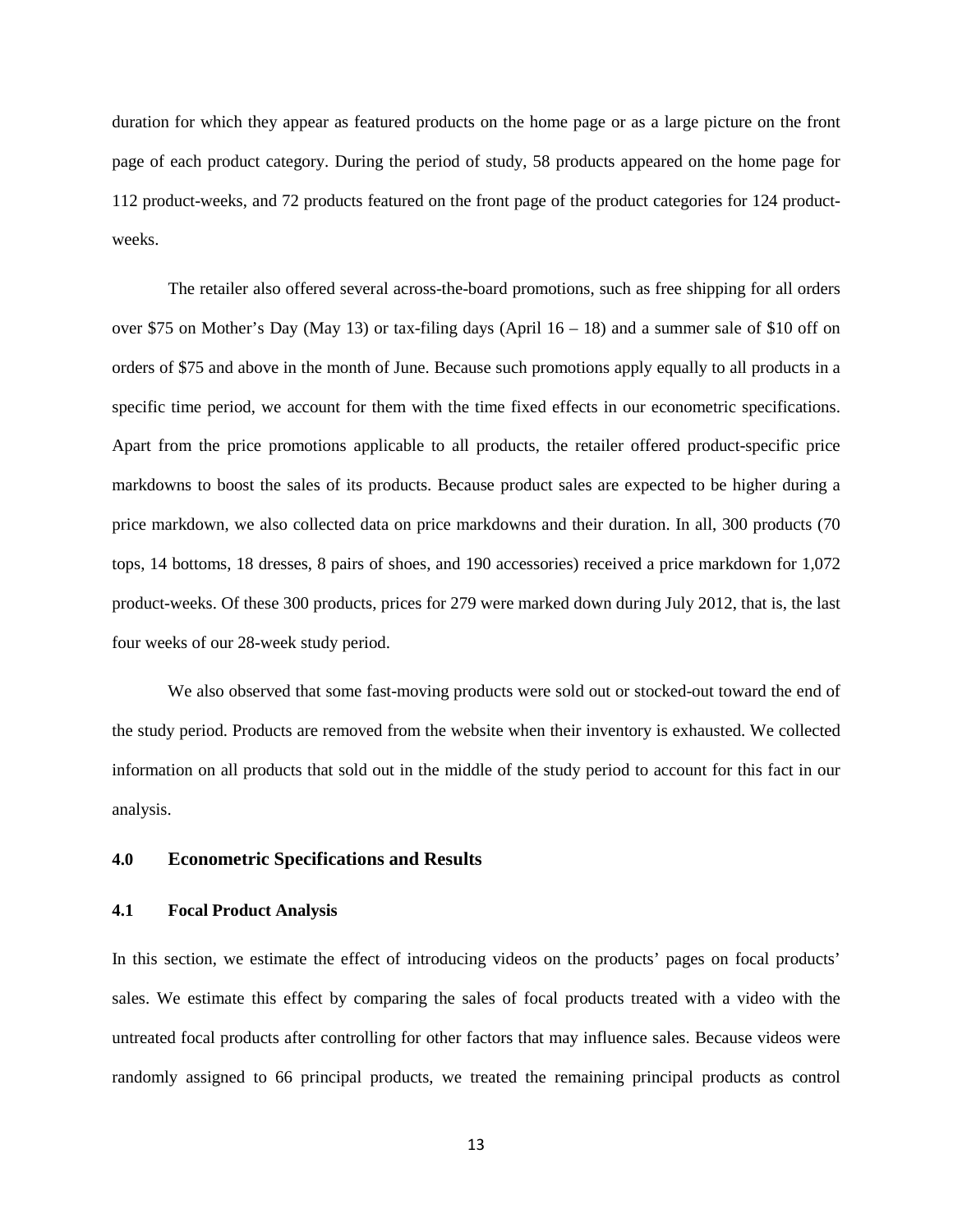duration for which they appear as featured products on the home page or as a large picture on the front page of each product category. During the period of study, 58 products appeared on the home page for 112 product-weeks, and 72 products featured on the front page of the product categories for 124 productweeks.

The retailer also offered several across-the-board promotions, such as free shipping for all orders over \$75 on Mother's Day (May 13) or tax-filing days (April  $16 - 18$ ) and a summer sale of \$10 off on orders of \$75 and above in the month of June. Because such promotions apply equally to all products in a specific time period, we account for them with the time fixed effects in our econometric specifications. Apart from the price promotions applicable to all products, the retailer offered product-specific price markdowns to boost the sales of its products. Because product sales are expected to be higher during a price markdown, we also collected data on price markdowns and their duration. In all, 300 products (70 tops, 14 bottoms, 18 dresses, 8 pairs of shoes, and 190 accessories) received a price markdown for 1,072 product-weeks. Of these 300 products, prices for 279 were marked down during July 2012, that is, the last four weeks of our 28-week study period.

We also observed that some fast-moving products were sold out or stocked-out toward the end of the study period. Products are removed from the website when their inventory is exhausted. We collected information on all products that sold out in the middle of the study period to account for this fact in our analysis.

#### **4.0 Econometric Specifications and Results**

#### **4.1 Focal Product Analysis**

In this section, we estimate the effect of introducing videos on the products' pages on focal products' sales. We estimate this effect by comparing the sales of focal products treated with a video with the untreated focal products after controlling for other factors that may influence sales. Because videos were randomly assigned to 66 principal products, we treated the remaining principal products as control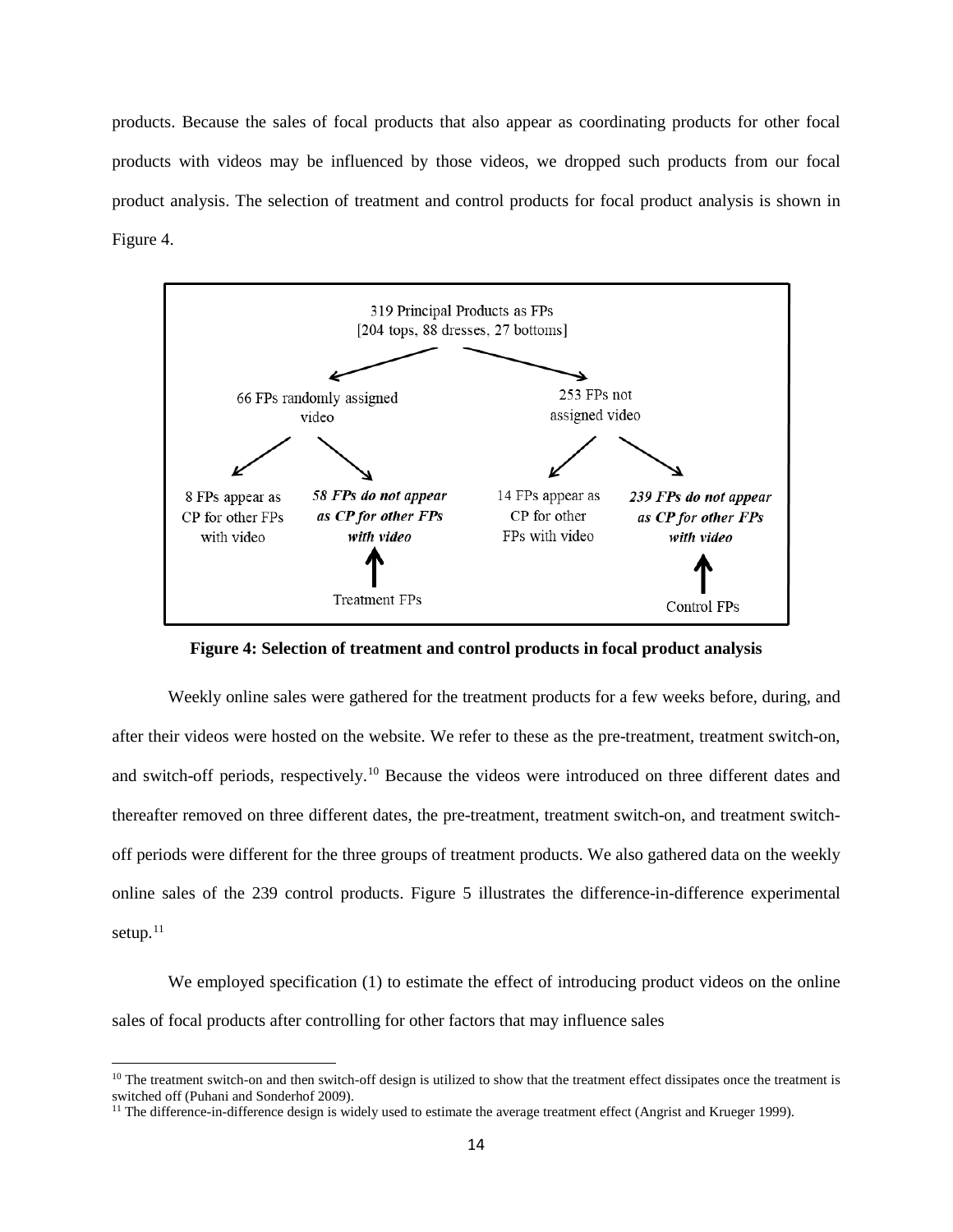products. Because the sales of focal products that also appear as coordinating products for other focal products with videos may be influenced by those videos, we dropped such products from our focal product analysis. The selection of treatment and control products for focal product analysis is shown in Figure 4.



**Figure 4: Selection of treatment and control products in focal product analysis**

Weekly online sales were gathered for the treatment products for a few weeks before, during, and after their videos were hosted on the website. We refer to these as the pre-treatment, treatment switch-on, and switch-off periods, respectively.[10](#page-13-0) Because the videos were introduced on three different dates and thereafter removed on three different dates, the pre-treatment, treatment switch-on, and treatment switchoff periods were different for the three groups of treatment products. We also gathered data on the weekly online sales of the 239 control products. Figure 5 illustrates the difference-in-difference experimental setup. $11$ 

We employed specification (1) to estimate the effect of introducing product videos on the online sales of focal products after controlling for other factors that may influence sales

 $\overline{\phantom{a}}$ 

<span id="page-13-0"></span> $10$  The treatment switch-on and then switch-off design is utilized to show that the treatment effect dissipates once the treatment is switched off (Puhani and Sonderhof 2009).

<span id="page-13-1"></span><sup>&</sup>lt;sup>11</sup> The difference-in-difference design is widely used to estimate the average treatment effect (Angrist and Krueger 1999).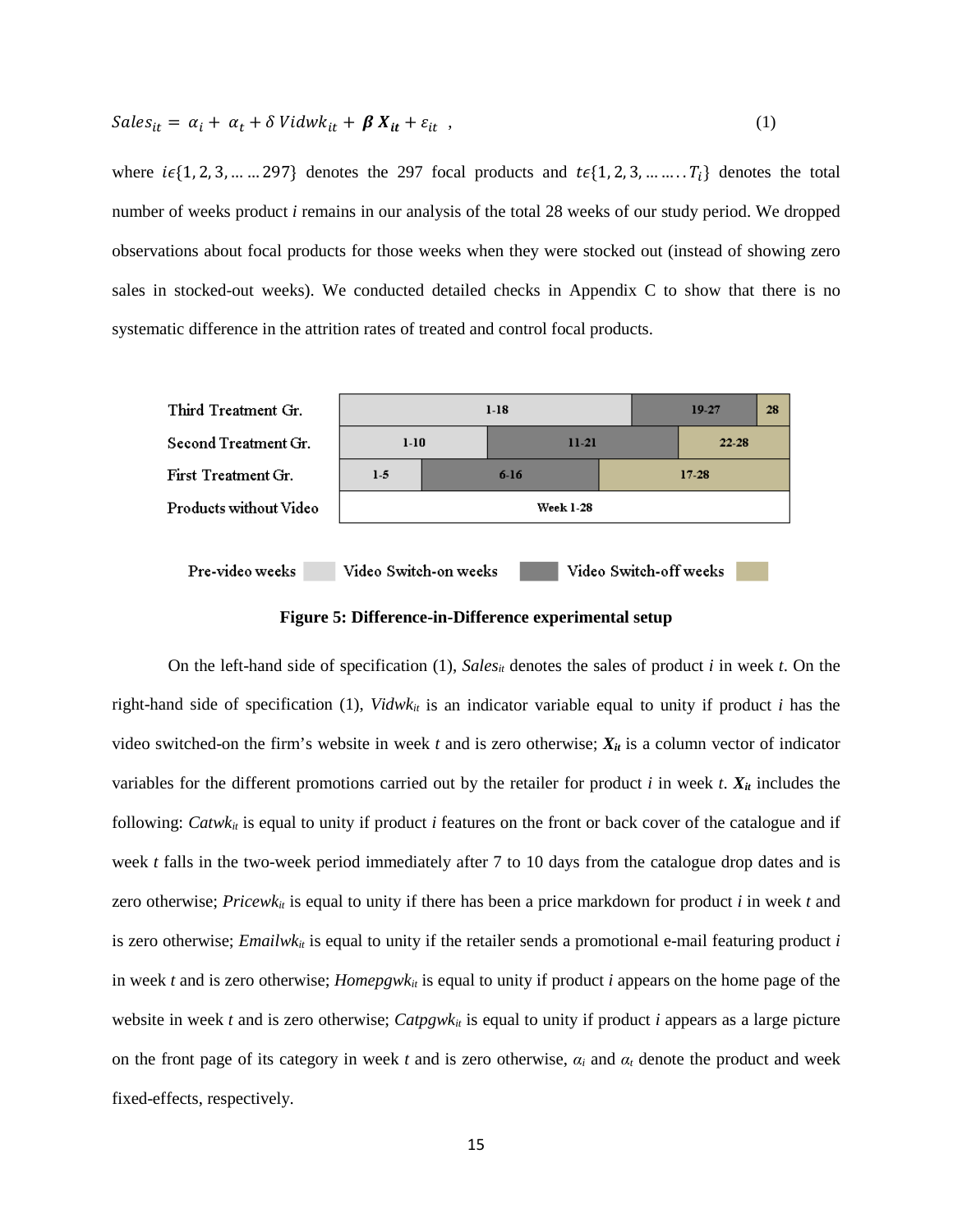$$
Sales_{it} = \alpha_i + \alpha_t + \delta \text{Vidw}_i + \beta X_{it} + \varepsilon_{it} \tag{1}
$$

where  $i \in \{1, 2, 3, \dots, 297\}$  denotes the 297 focal products and  $t \in \{1, 2, 3, \dots, 7\}$  denotes the total number of weeks product *i* remains in our analysis of the total 28 weeks of our study period. We dropped observations about focal products for those weeks when they were stocked out (instead of showing zero sales in stocked-out weeks). We conducted detailed checks in Appendix C to show that there is no systematic difference in the attrition rates of treated and control focal products.



**Figure 5: Difference-in-Difference experimental setup**

On the left-hand side of specification  $(1)$ , *Sales<sub>it</sub>* denotes the sales of product *i* in week *t*. On the right-hand side of specification  $(1)$ , *Vidwk<sub>it</sub>* is an indicator variable equal to unity if product *i* has the video switched-on the firm's website in week  $t$  and is zero otherwise;  $X_{it}$  is a column vector of indicator variables for the different promotions carried out by the retailer for product  $i$  in week  $t$ .  $X_{it}$  includes the following: *Catwk<sub>it</sub>* is equal to unity if product *i* features on the front or back cover of the catalogue and if week *t* falls in the two-week period immediately after 7 to 10 days from the catalogue drop dates and is zero otherwise; *Pricewk<sub>it</sub>* is equal to unity if there has been a price markdown for product *i* in week *t* and is zero otherwise; *Emailwk<sub>it</sub>* is equal to unity if the retailer sends a promotional e-mail featuring product  $i$ in week *t* and is zero otherwise;  $Homegw_k$  is equal to unity if product *i* appears on the home page of the website in week *t* and is zero otherwise;  $Catpgwk_{li}$  is equal to unity if product *i* appears as a large picture on the front page of its category in week *t* and is zero otherwise,  $\alpha_i$  and  $\alpha_t$  denote the product and week fixed-effects, respectively.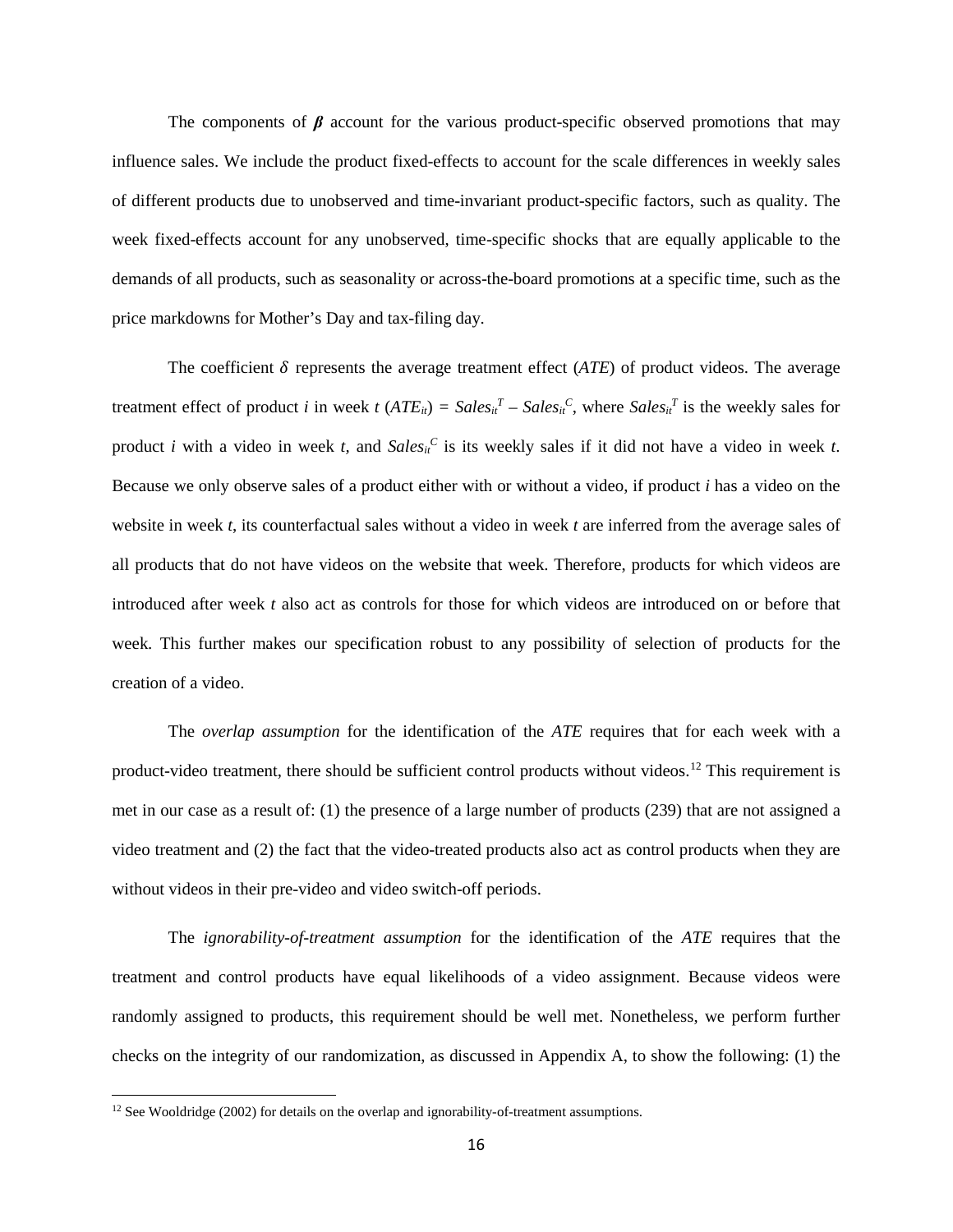The components of *β* account for the various product-specific observed promotions that may influence sales. We include the product fixed-effects to account for the scale differences in weekly sales of different products due to unobserved and time-invariant product-specific factors, such as quality. The week fixed-effects account for any unobserved, time-specific shocks that are equally applicable to the demands of all products, such as seasonality or across-the-board promotions at a specific time, such as the price markdowns for Mother's Day and tax-filing day.

The coefficient  $\delta$  represents the average treatment effect ( $ATE$ ) of product videos. The average treatment effect of product *i* in week *t* ( $ATE_{it}$ ) =  $Sales_{it}^T - Sales_{it}^C$ , where  $Sales_{it}^T$  is the weekly sales for product *i* with a video in week *t*, and  $Sales_{it}^C$  is its weekly sales if it did not have a video in week *t*. Because we only observe sales of a product either with or without a video, if product *i* has a video on the website in week *t*, its counterfactual sales without a video in week *t* are inferred from the average sales of all products that do not have videos on the website that week. Therefore, products for which videos are introduced after week *t* also act as controls for those for which videos are introduced on or before that week. This further makes our specification robust to any possibility of selection of products for the creation of a video.

The *overlap assumption* for the identification of the *ATE* requires that for each week with a product-video treatment, there should be sufficient control products without videos.[12](#page-15-0) This requirement is met in our case as a result of: (1) the presence of a large number of products (239) that are not assigned a video treatment and (2) the fact that the video-treated products also act as control products when they are without videos in their pre-video and video switch-off periods.

The *ignorability-of-treatment assumption* for the identification of the *ATE* requires that the treatment and control products have equal likelihoods of a video assignment. Because videos were randomly assigned to products, this requirement should be well met. Nonetheless, we perform further checks on the integrity of our randomization, as discussed in Appendix A, to show the following: (1) the

l

<span id="page-15-0"></span><sup>&</sup>lt;sup>12</sup> See Wooldridge (2002) for details on the overlap and ignorability-of-treatment assumptions.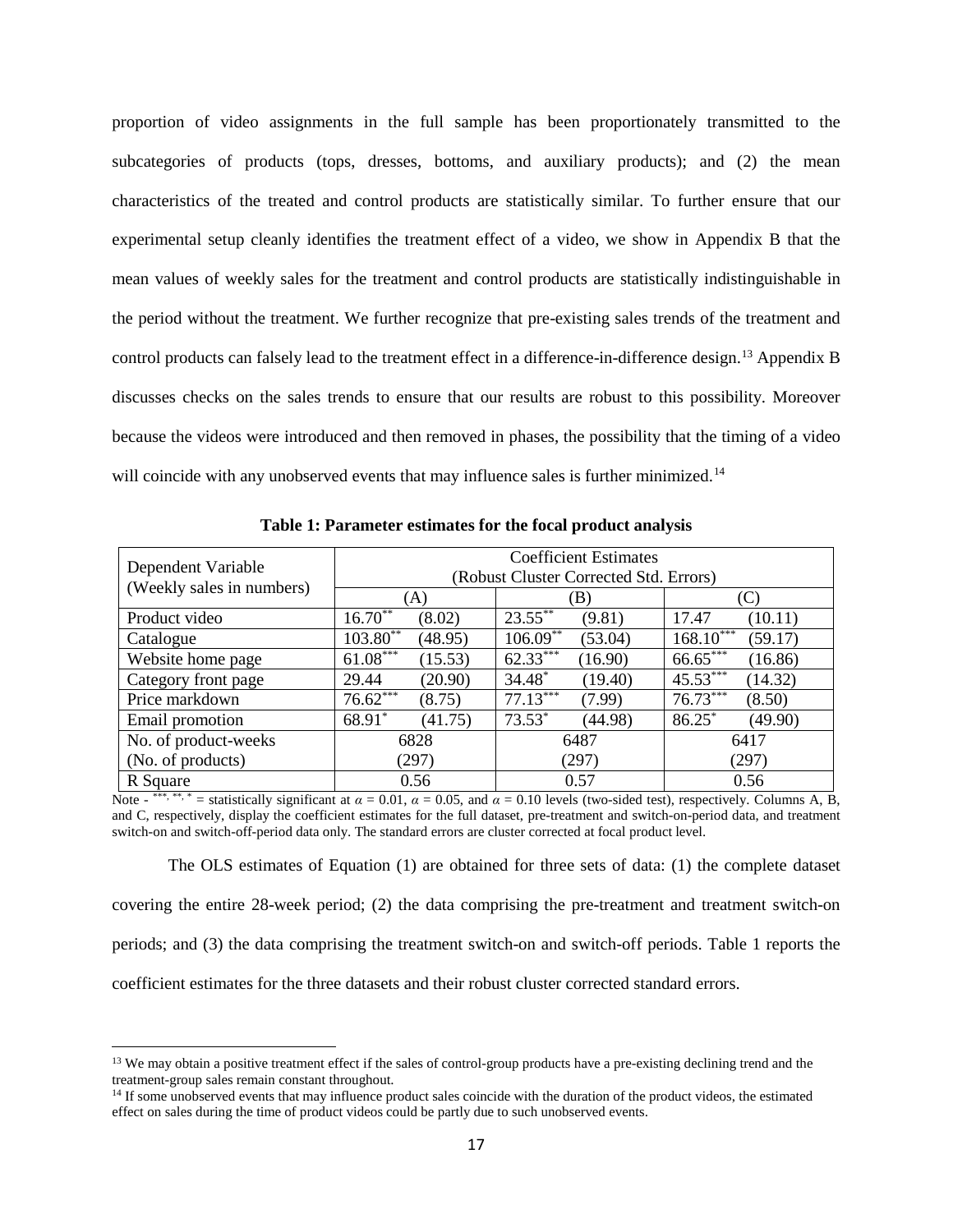proportion of video assignments in the full sample has been proportionately transmitted to the subcategories of products (tops, dresses, bottoms, and auxiliary products); and (2) the mean characteristics of the treated and control products are statistically similar. To further ensure that our experimental setup cleanly identifies the treatment effect of a video, we show in Appendix B that the mean values of weekly sales for the treatment and control products are statistically indistinguishable in the period without the treatment. We further recognize that pre-existing sales trends of the treatment and control products can falsely lead to the treatment effect in a difference-in-difference design.[13](#page-16-0) Appendix B discusses checks on the sales trends to ensure that our results are robust to this possibility. Moreover because the videos were introduced and then removed in phases, the possibility that the timing of a video will coincide with any unobserved events that may influence sales is further minimized.<sup>14</sup>

| Dependent Variable        | <b>Coefficient Estimates</b><br>(Robust Cluster Corrected Std. Errors) |            |             |  |  |  |
|---------------------------|------------------------------------------------------------------------|------------|-------------|--|--|--|
| (Weekly sales in numbers) | (A)                                                                    | (B)        | (C)         |  |  |  |
| Product video             | $16.70**$                                                              | $23.55***$ | 17.47       |  |  |  |
|                           | (8.02)                                                                 | (9.81)     | (10.11)     |  |  |  |
| Catalogue                 | $103.80**$                                                             | $106.09**$ | $168.10***$ |  |  |  |
|                           | (48.95)                                                                | (53.04)    | (59.17)     |  |  |  |
| Website home page         | $61.08***$                                                             | $62.33***$ | 66.65***    |  |  |  |
|                           | (15.53)                                                                | (16.90)    | (16.86)     |  |  |  |
| Category front page       | (20.90)                                                                | $34.48*$   | $45.53***$  |  |  |  |
|                           | 29.44                                                                  | (19.40)    | (14.32)     |  |  |  |
| Price markdown            | $76.62***$                                                             | $77.13***$ | $76.73***$  |  |  |  |
|                           | (8.75)                                                                 | (7.99)     | (8.50)      |  |  |  |
| Email promotion           | 68.91*                                                                 | $73.53*$   | 86.25*      |  |  |  |
|                           | (41.75)                                                                | (44.98)    | (49.90)     |  |  |  |
| No. of product-weeks      | 6828                                                                   | 6487       | 6417        |  |  |  |
| (No. of products)         | (297)                                                                  | (297)      | (297)       |  |  |  |
| R Square                  | 0.56                                                                   | 0.57       | 0.56        |  |  |  |

**Table 1: Parameter estimates for the focal product analysis**

Note - \*\*\*, \*\*, \* = statistically significant at  $\alpha = 0.01$ ,  $\alpha = 0.05$ , and  $\alpha = 0.10$  levels (two-sided test), respectively. Columns A, B, and C, respectively, display the coefficient estimates for the full dataset, pre-treatment and switch-on-period data, and treatment switch-on and switch-off-period data only. The standard errors are cluster corrected at focal product level.

The OLS estimates of Equation (1) are obtained for three sets of data: (1) the complete dataset covering the entire 28-week period; (2) the data comprising the pre-treatment and treatment switch-on periods; and (3) the data comprising the treatment switch-on and switch-off periods. Table 1 reports the coefficient estimates for the three datasets and their robust cluster corrected standard errors.

l

<span id="page-16-0"></span><sup>&</sup>lt;sup>13</sup> We may obtain a positive treatment effect if the sales of control-group products have a pre-existing declining trend and the treatment-group sales remain constant throughout.

<span id="page-16-1"></span> $14$  If some unobserved events that may influence product sales coincide with the duration of the product videos, the estimated effect on sales during the time of product videos could be partly due to such unobserved events.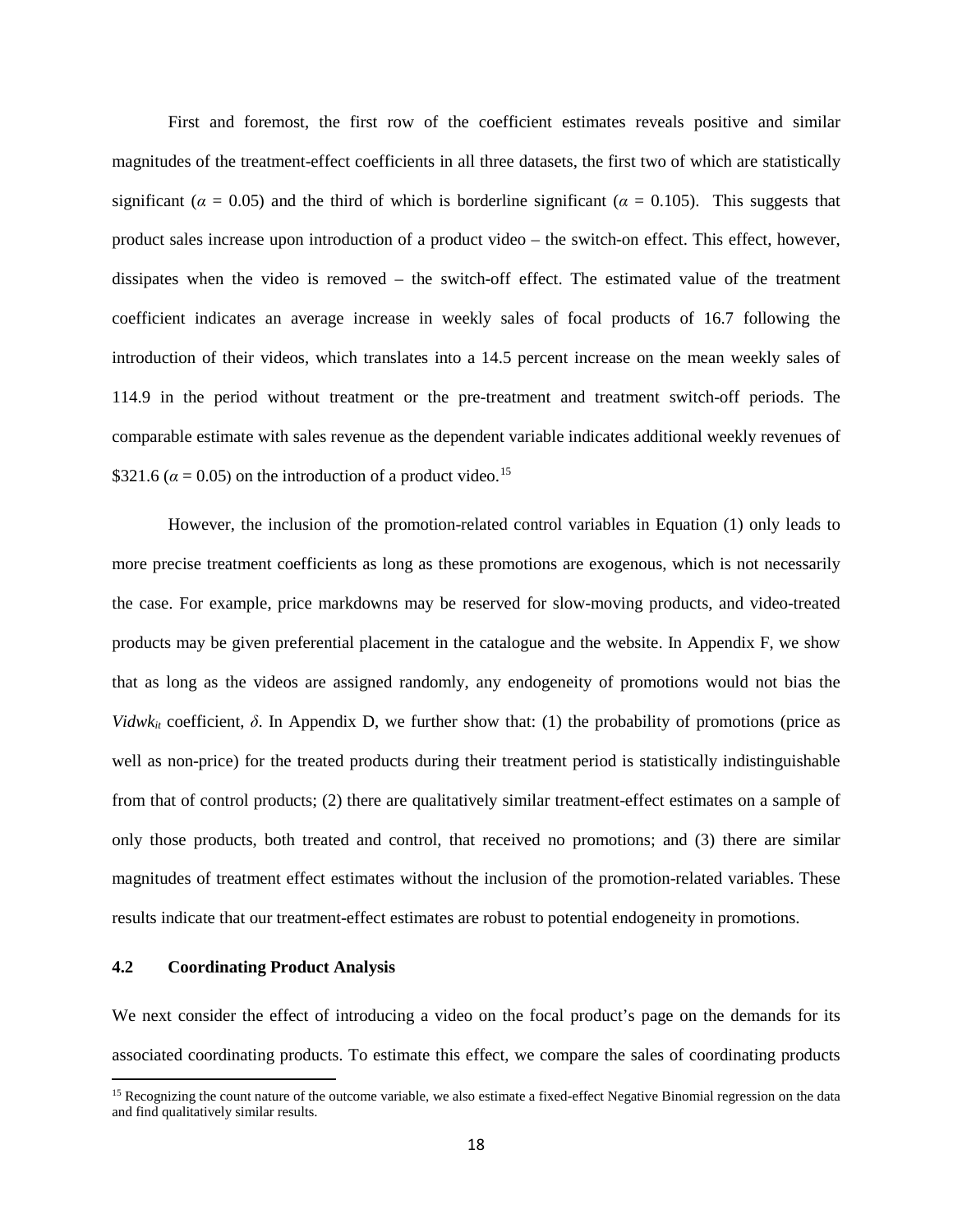First and foremost, the first row of the coefficient estimates reveals positive and similar magnitudes of the treatment-effect coefficients in all three datasets, the first two of which are statistically significant ( $\alpha = 0.05$ ) and the third of which is borderline significant ( $\alpha = 0.105$ ). This suggests that product sales increase upon introduction of a product video – the switch-on effect. This effect, however, dissipates when the video is removed – the switch-off effect. The estimated value of the treatment coefficient indicates an average increase in weekly sales of focal products of 16.7 following the introduction of their videos, which translates into a 14.5 percent increase on the mean weekly sales of 114.9 in the period without treatment or the pre-treatment and treatment switch-off periods. The comparable estimate with sales revenue as the dependent variable indicates additional weekly revenues of \$321.6 ( $\alpha$  = 0.05) on the introduction of a product video.<sup>15</sup>

However, the inclusion of the promotion-related control variables in Equation (1) only leads to more precise treatment coefficients as long as these promotions are exogenous, which is not necessarily the case. For example, price markdowns may be reserved for slow-moving products, and video-treated products may be given preferential placement in the catalogue and the website. In Appendix F, we show that as long as the videos are assigned randomly, any endogeneity of promotions would not bias the *Vidwk<sub>it</sub>* coefficient,  $\delta$ . In Appendix D, we further show that: (1) the probability of promotions (price as well as non-price) for the treated products during their treatment period is statistically indistinguishable from that of control products; (2) there are qualitatively similar treatment-effect estimates on a sample of only those products, both treated and control, that received no promotions; and (3) there are similar magnitudes of treatment effect estimates without the inclusion of the promotion-related variables. These results indicate that our treatment-effect estimates are robust to potential endogeneity in promotions.

### **4.2 Coordinating Product Analysis**

 $\overline{\phantom{a}}$ 

We next consider the effect of introducing a video on the focal product's page on the demands for its associated coordinating products. To estimate this effect, we compare the sales of coordinating products

<span id="page-17-0"></span><sup>&</sup>lt;sup>15</sup> Recognizing the count nature of the outcome variable, we also estimate a fixed-effect Negative Binomial regression on the data and find qualitatively similar results.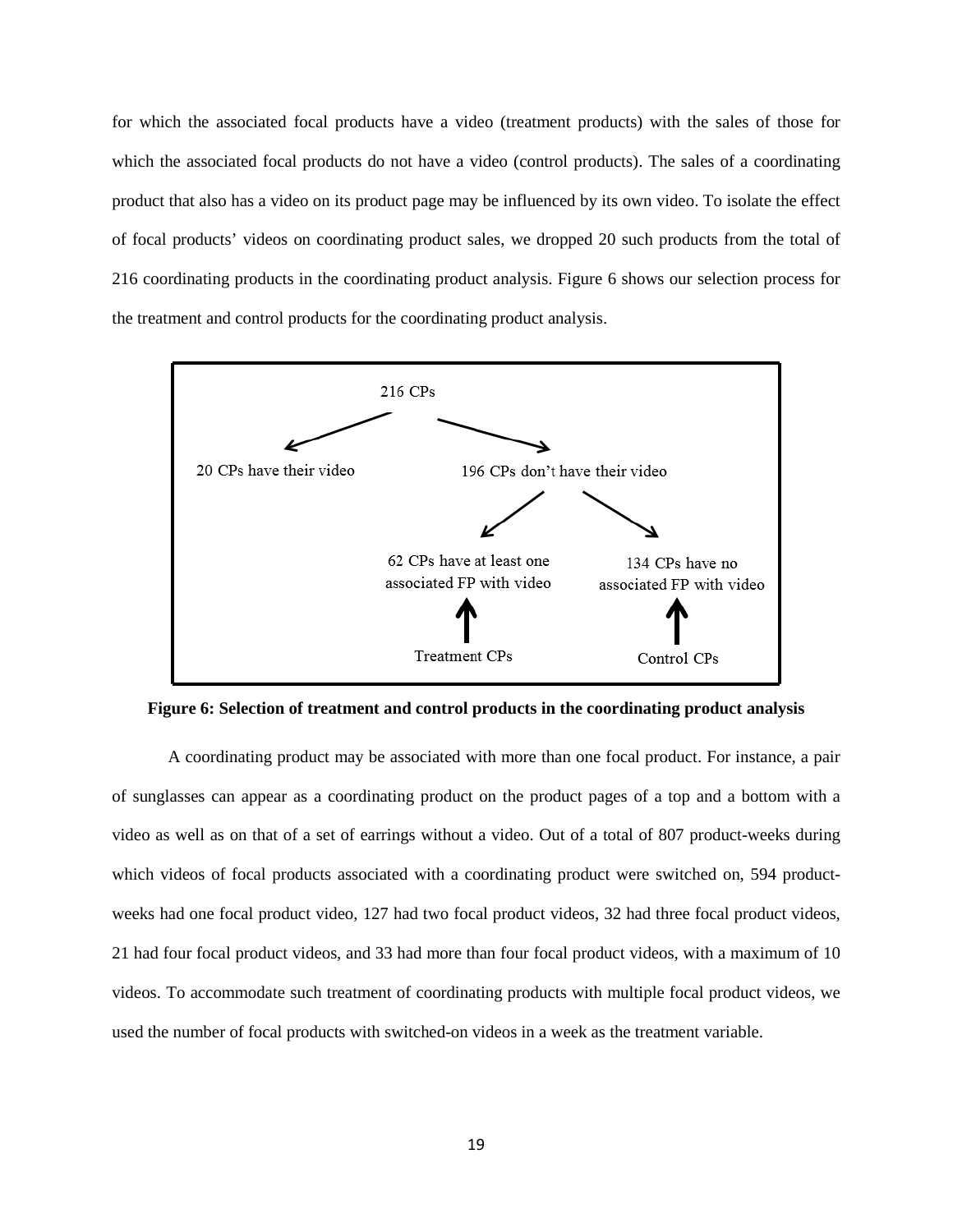for which the associated focal products have a video (treatment products) with the sales of those for which the associated focal products do not have a video (control products). The sales of a coordinating product that also has a video on its product page may be influenced by its own video. To isolate the effect of focal products' videos on coordinating product sales, we dropped 20 such products from the total of 216 coordinating products in the coordinating product analysis. Figure 6 shows our selection process for the treatment and control products for the coordinating product analysis.



**Figure 6: Selection of treatment and control products in the coordinating product analysis**

A coordinating product may be associated with more than one focal product. For instance, a pair of sunglasses can appear as a coordinating product on the product pages of a top and a bottom with a video as well as on that of a set of earrings without a video. Out of a total of 807 product-weeks during which videos of focal products associated with a coordinating product were switched on, 594 productweeks had one focal product video, 127 had two focal product videos, 32 had three focal product videos, 21 had four focal product videos, and 33 had more than four focal product videos, with a maximum of 10 videos. To accommodate such treatment of coordinating products with multiple focal product videos, we used the number of focal products with switched-on videos in a week as the treatment variable.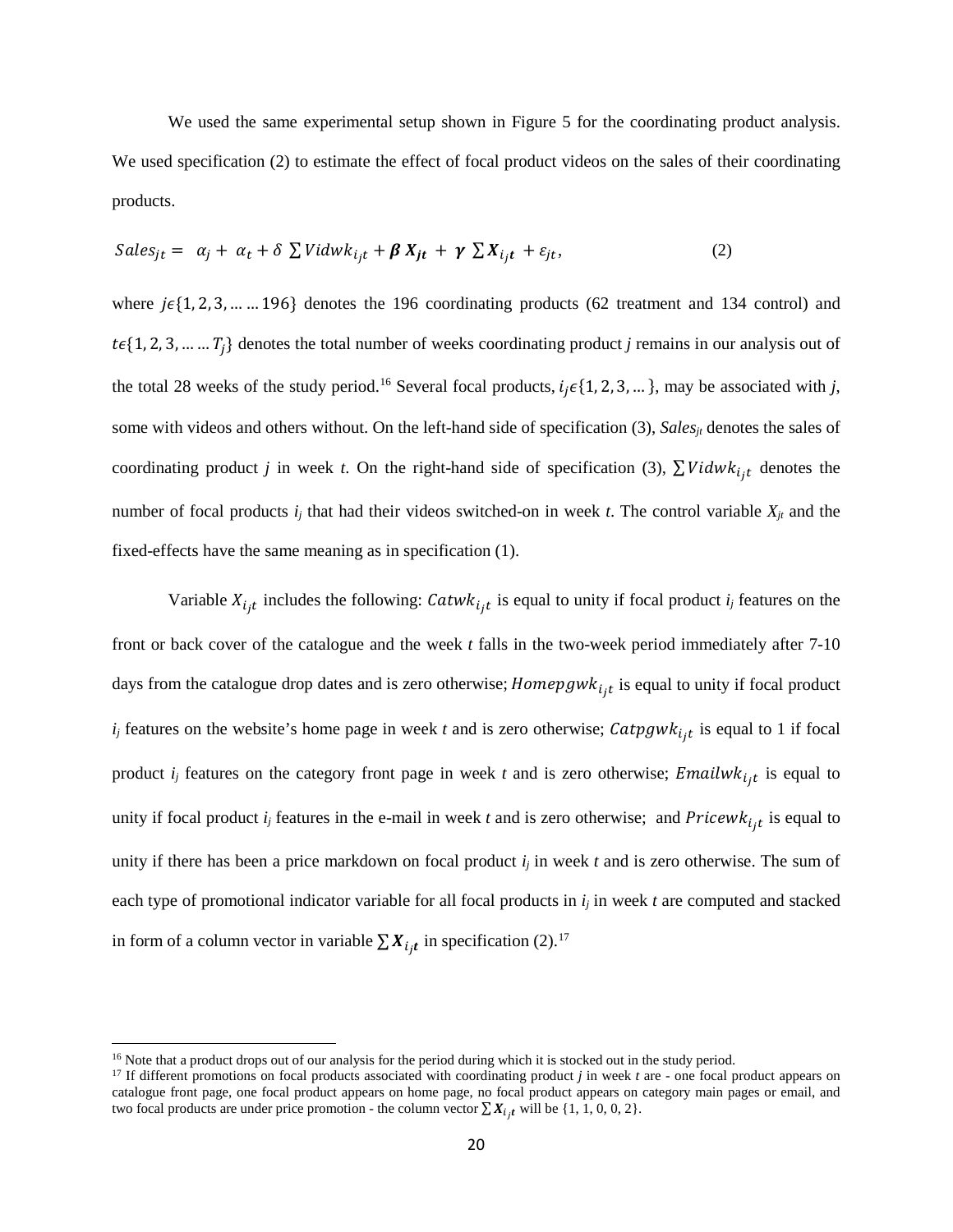We used the same experimental setup shown in Figure 5 for the coordinating product analysis. We used specification (2) to estimate the effect of focal product videos on the sales of their coordinating products.

$$
Sales_{jt} = \alpha_j + \alpha_t + \delta \sum Vidwk_{i_jt} + \beta X_{jt} + \gamma \sum X_{i_jt} + \varepsilon_{jt},
$$
\n(2)

where  $j \in \{1, 2, 3, \ldots, 196\}$  denotes the 196 coordinating products (62 treatment and 134 control) and  $t \in \{1, 2, 3, \dots, T_i\}$  denotes the total number of weeks coordinating product *j* remains in our analysis out of the total 28 weeks of the study period.<sup>[16](#page-19-0)</sup> Several focal products,  $i_j \in \{1, 2, 3, ...\}$ , may be associated with *j*, some with videos and others without. On the left-hand side of specification (3), *Sales<sub>jt</sub>* denotes the sales of coordinating product *j* in week *t*. On the right-hand side of specification (3),  $\sum V i d w k_{i,t}$  denotes the number of focal products *ij* that had their videos switched-on in week *t*. The control variable *Xjt* and the fixed-effects have the same meaning as in specification (1).

Variable  $X_{i,j}$  includes the following:  $Catwk_{i,j}$  is equal to unity if focal product  $i_j$  features on the front or back cover of the catalogue and the week *t* falls in the two-week period immediately after 7-10 days from the catalogue drop dates and is zero otherwise;  $Homepgwk_{i,t}$  is equal to unity if focal product  $i_j$  features on the website's home page in week *t* and is zero otherwise;  $Catpgwk<sub>i,t</sub>$  is equal to 1 if focal product  $i_j$  features on the category front page in week  $t$  and is zero otherwise; *Emailwk* $i_{i,t}$  is equal to unity if focal product  $i_j$  features in the e-mail in week  $t$  and is zero otherwise; and  $Pricewk_{i_jt}$  is equal to unity if there has been a price markdown on focal product  $i<sub>i</sub>$  in week  $t$  and is zero otherwise. The sum of each type of promotional indicator variable for all focal products in  $i_j$  in week  $t$  are computed and stacked in form of a column vector in variable  $\sum X_{i,t}$  in specification (2).<sup>[17](#page-19-1)</sup>

 $\overline{\phantom{a}}$ 

<span id="page-19-0"></span><sup>&</sup>lt;sup>16</sup> Note that a product drops out of our analysis for the period during which it is stocked out in the study period.

<span id="page-19-1"></span><sup>&</sup>lt;sup>17</sup> If different promotions on focal products associated with coordinating product *j* in week *t* are - one focal product appears on catalogue front page, one focal product appears on home page, no focal product appears on category main pages or email, and two focal products are under price promotion - the column vector  $\sum X_{i,t}$  will be {1, 1, 0, 0, 2}.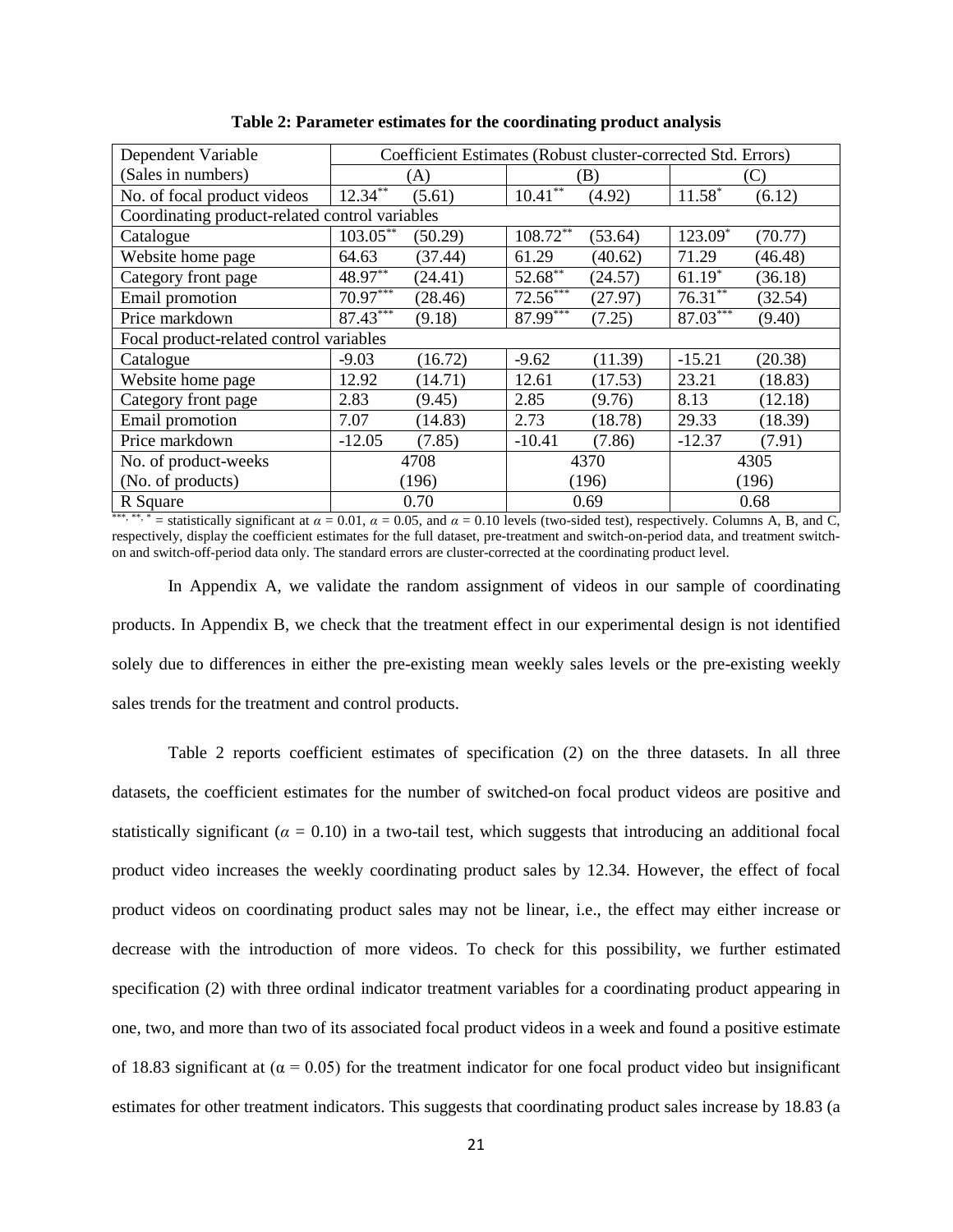| Dependent Variable                      |                                                |         | Coefficient Estimates (Robust cluster-corrected Std. Errors) |         |            |         |  |  |
|-----------------------------------------|------------------------------------------------|---------|--------------------------------------------------------------|---------|------------|---------|--|--|
| (Sales in numbers)                      |                                                | (A)     |                                                              | (B)     |            | (C)     |  |  |
| No. of focal product videos             | $12.34***$                                     | (5.61)  | $10.41***$                                                   | (4.92)  | $11.58*$   | (6.12)  |  |  |
|                                         | Coordinating product-related control variables |         |                                                              |         |            |         |  |  |
| Catalogue                               | $103.05***$                                    | (50.29) | $108.72^{*}$                                                 | (53.64) | 123.09*    | (70.77) |  |  |
| Website home page                       | 64.63                                          | (37.44) | 61.29                                                        | (40.62) | 71.29      | (46.48) |  |  |
| Category front page                     | $48.97***$                                     | (24.41) | 52.68**                                                      | (24.57) | $61.19*$   | (36.18) |  |  |
| Email promotion                         | $70.97***$                                     | (28.46) | $72.56***$                                                   | (27.97) | 76.31      | (32.54) |  |  |
| Price markdown                          | $87.43***$                                     | (9.18)  | 87.99***                                                     | (7.25)  | $87.03***$ | (9.40)  |  |  |
| Focal product-related control variables |                                                |         |                                                              |         |            |         |  |  |
| Catalogue                               | $-9.03$                                        | (16.72) | $-9.62$                                                      | (11.39) | $-15.21$   | (20.38) |  |  |
| Website home page                       | 12.92                                          | (14.71) | 12.61                                                        | (17.53) | 23.21      | (18.83) |  |  |
| Category front page                     | 2.83                                           | (9.45)  | 2.85                                                         | (9.76)  | 8.13       | (12.18) |  |  |
| Email promotion                         | 7.07                                           | (14.83) | 2.73                                                         | (18.78) | 29.33      | (18.39) |  |  |
| Price markdown                          | $-12.05$                                       | (7.85)  | $-10.41$                                                     | (7.86)  | $-12.37$   | (7.91)  |  |  |
| No. of product-weeks                    |                                                | 4708    |                                                              | 4370    |            | 4305    |  |  |
| (No. of products)                       |                                                | (196)   |                                                              | (196)   |            | (196)   |  |  |
| R Square                                |                                                | 0.70    |                                                              | 0.69    |            | 0.68    |  |  |

**Table 2: Parameter estimates for the coordinating product analysis**

<sup>\*\*\*, \*\*</sup>, \* = statistically significant at  $\alpha = 0.01$ ,  $\alpha = 0.05$ , and  $\alpha = 0.10$  levels (two-sided test), respectively. Columns A, B, and C, respectively, display the coefficient estimates for the full dataset, pre-treatment and switch-on-period data, and treatment switchon and switch-off-period data only. The standard errors are cluster-corrected at the coordinating product level.

In Appendix A, we validate the random assignment of videos in our sample of coordinating products. In Appendix B, we check that the treatment effect in our experimental design is not identified solely due to differences in either the pre-existing mean weekly sales levels or the pre-existing weekly sales trends for the treatment and control products.

Table 2 reports coefficient estimates of specification (2) on the three datasets. In all three datasets, the coefficient estimates for the number of switched-on focal product videos are positive and statistically significant ( $\alpha = 0.10$ ) in a two-tail test, which suggests that introducing an additional focal product video increases the weekly coordinating product sales by 12.34. However, the effect of focal product videos on coordinating product sales may not be linear, i.e., the effect may either increase or decrease with the introduction of more videos. To check for this possibility, we further estimated specification (2) with three ordinal indicator treatment variables for a coordinating product appearing in one, two, and more than two of its associated focal product videos in a week and found a positive estimate of 18.83 significant at ( $\alpha$  = 0.05) for the treatment indicator for one focal product video but insignificant estimates for other treatment indicators. This suggests that coordinating product sales increase by 18.83 (a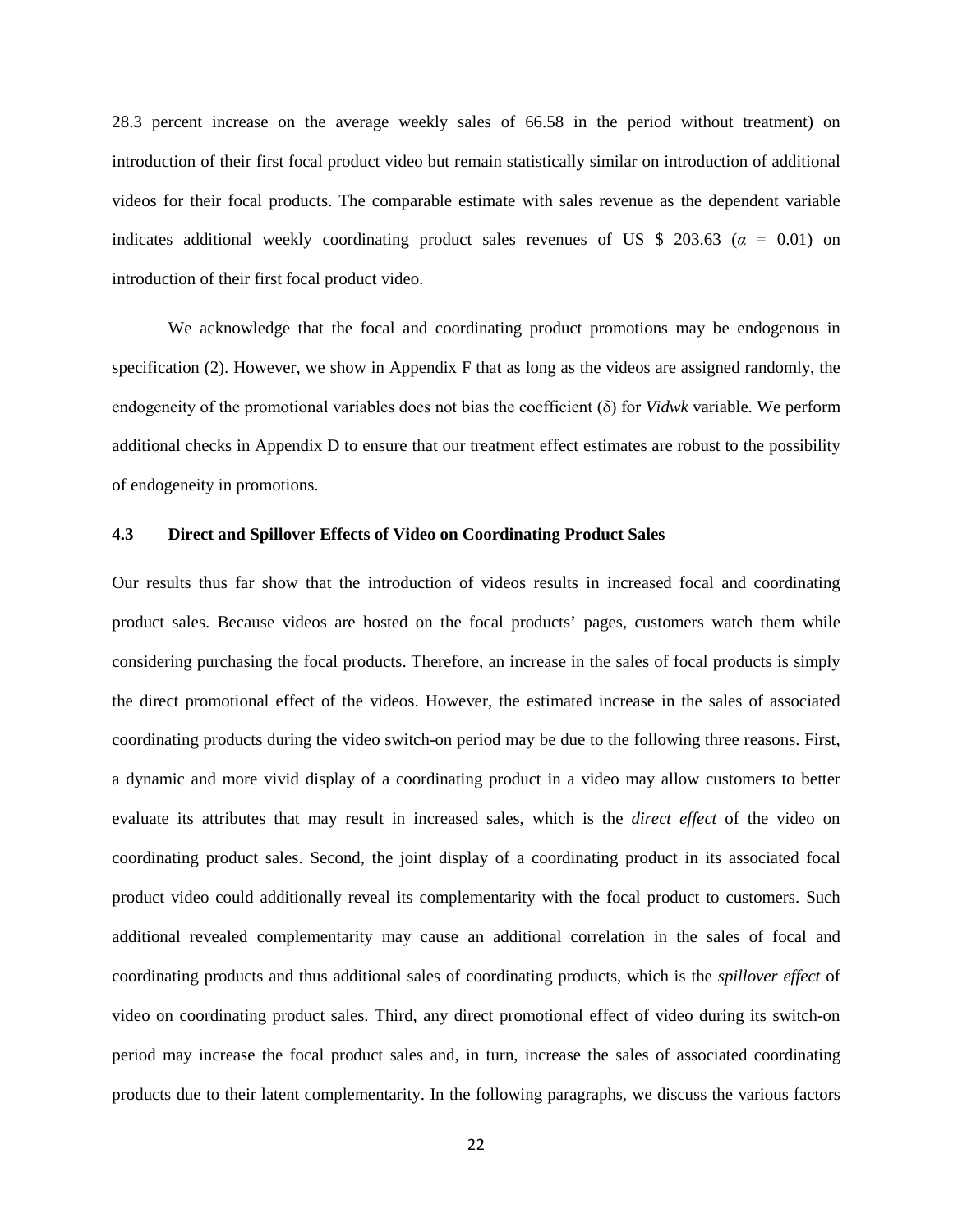28.3 percent increase on the average weekly sales of 66.58 in the period without treatment) on introduction of their first focal product video but remain statistically similar on introduction of additional videos for their focal products. The comparable estimate with sales revenue as the dependent variable indicates additional weekly coordinating product sales revenues of US \$ 203.63 ( $\alpha$  = 0.01) on introduction of their first focal product video.

We acknowledge that the focal and coordinating product promotions may be endogenous in specification (2). However, we show in Appendix F that as long as the videos are assigned randomly, the endogeneity of the promotional variables does not bias the coefficient (δ) for *Vidwk* variable. We perform additional checks in Appendix D to ensure that our treatment effect estimates are robust to the possibility of endogeneity in promotions.

## **4.3 Direct and Spillover Effects of Video on Coordinating Product Sales**

Our results thus far show that the introduction of videos results in increased focal and coordinating product sales. Because videos are hosted on the focal products' pages, customers watch them while considering purchasing the focal products. Therefore, an increase in the sales of focal products is simply the direct promotional effect of the videos. However, the estimated increase in the sales of associated coordinating products during the video switch-on period may be due to the following three reasons. First, a dynamic and more vivid display of a coordinating product in a video may allow customers to better evaluate its attributes that may result in increased sales, which is the *direct effect* of the video on coordinating product sales. Second, the joint display of a coordinating product in its associated focal product video could additionally reveal its complementarity with the focal product to customers. Such additional revealed complementarity may cause an additional correlation in the sales of focal and coordinating products and thus additional sales of coordinating products, which is the *spillover effect* of video on coordinating product sales. Third, any direct promotional effect of video during its switch-on period may increase the focal product sales and, in turn, increase the sales of associated coordinating products due to their latent complementarity. In the following paragraphs, we discuss the various factors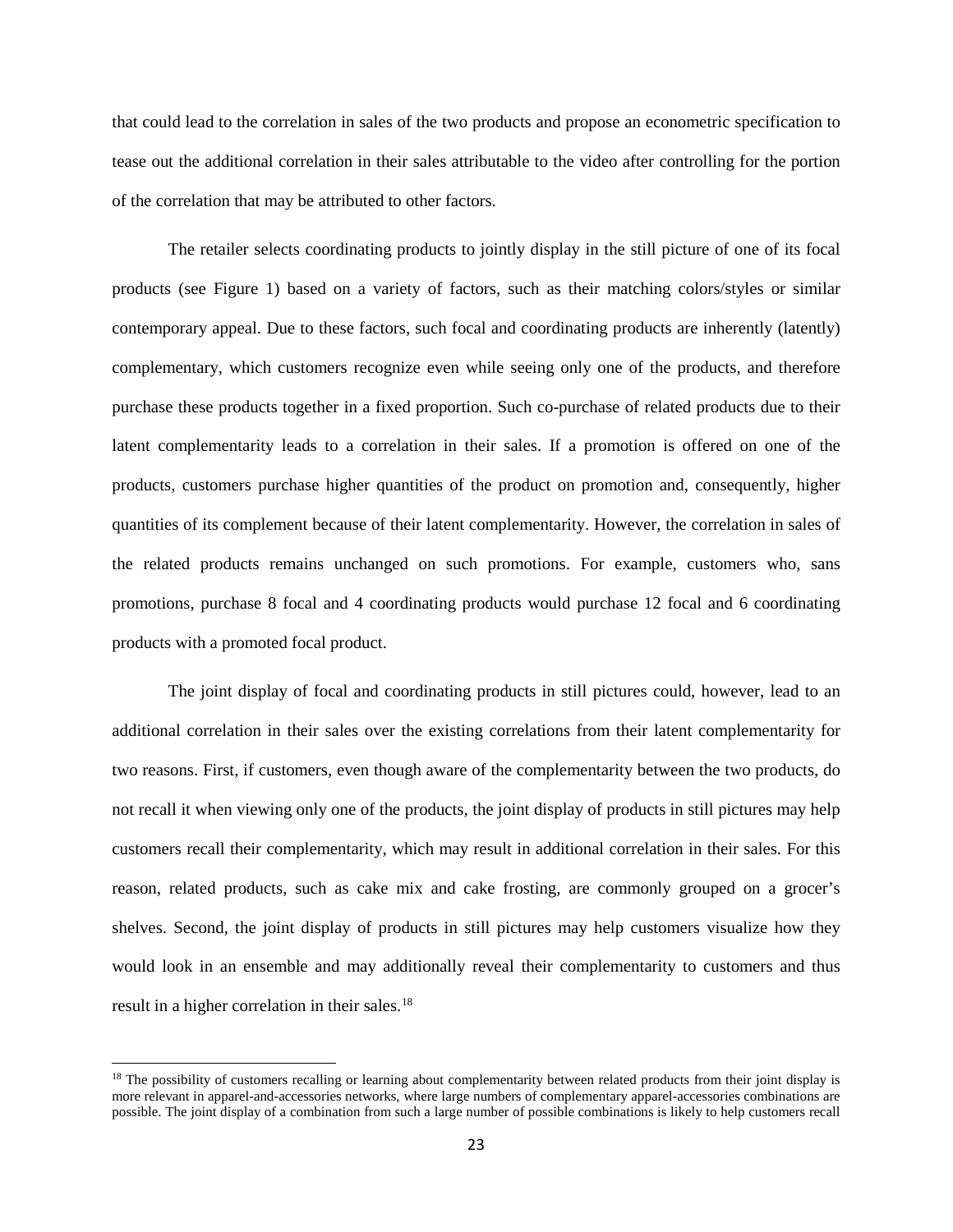that could lead to the correlation in sales of the two products and propose an econometric specification to tease out the additional correlation in their sales attributable to the video after controlling for the portion of the correlation that may be attributed to other factors.

The retailer selects coordinating products to jointly display in the still picture of one of its focal products (see Figure 1) based on a variety of factors, such as their matching colors/styles or similar contemporary appeal. Due to these factors, such focal and coordinating products are inherently (latently) complementary, which customers recognize even while seeing only one of the products, and therefore purchase these products together in a fixed proportion. Such co-purchase of related products due to their latent complementarity leads to a correlation in their sales. If a promotion is offered on one of the products, customers purchase higher quantities of the product on promotion and, consequently, higher quantities of its complement because of their latent complementarity. However, the correlation in sales of the related products remains unchanged on such promotions. For example, customers who, sans promotions, purchase 8 focal and 4 coordinating products would purchase 12 focal and 6 coordinating products with a promoted focal product.

The joint display of focal and coordinating products in still pictures could, however, lead to an additional correlation in their sales over the existing correlations from their latent complementarity for two reasons. First, if customers, even though aware of the complementarity between the two products, do not recall it when viewing only one of the products, the joint display of products in still pictures may help customers recall their complementarity, which may result in additional correlation in their sales. For this reason, related products, such as cake mix and cake frosting, are commonly grouped on a grocer's shelves. Second, the joint display of products in still pictures may help customers visualize how they would look in an ensemble and may additionally reveal their complementarity to customers and thus result in a higher correlation in their sales.<sup>[18](#page-22-0)</sup>

 $\overline{\phantom{a}}$ 

<span id="page-22-0"></span><sup>&</sup>lt;sup>18</sup> The possibility of customers recalling or learning about complementarity between related products from their joint display is more relevant in apparel-and-accessories networks, where large numbers of complementary apparel-accessories combinations are possible. The joint display of a combination from such a large number of possible combinations is likely to help customers recall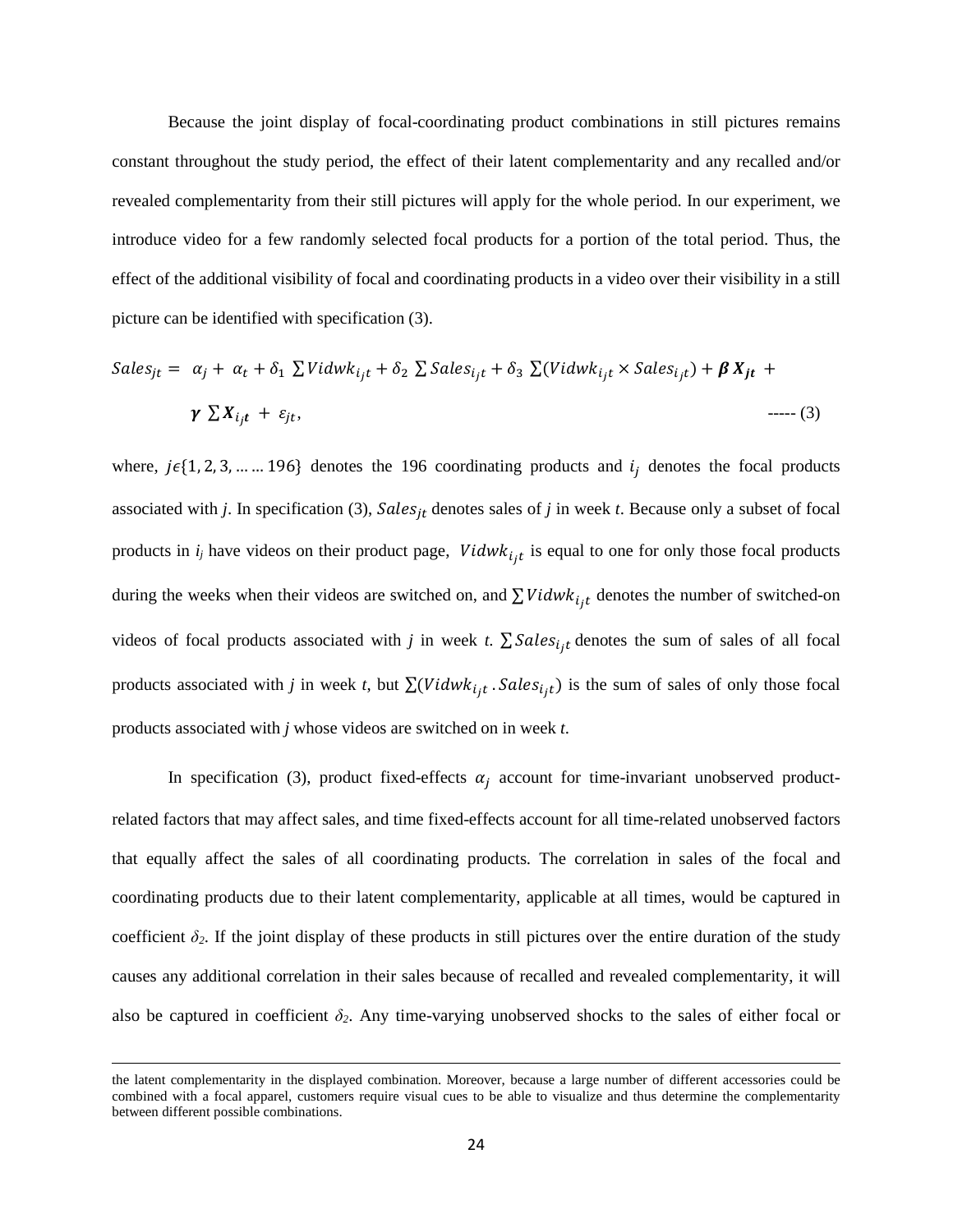Because the joint display of focal-coordinating product combinations in still pictures remains constant throughout the study period, the effect of their latent complementarity and any recalled and/or revealed complementarity from their still pictures will apply for the whole period. In our experiment, we introduce video for a few randomly selected focal products for a portion of the total period. Thus, the effect of the additional visibility of focal and coordinating products in a video over their visibility in a still picture can be identified with specification (3).

$$
Sales_{jt} = \alpha_j + \alpha_t + \delta_1 \sum Vidwk_{i_jt} + \delta_2 \sum Sales_{i_jt} + \delta_3 \sum (Vidwk_{i_jt} \times Sales_{i_jt}) + \beta X_{jt} +
$$
  
\n
$$
\gamma \sum X_{i_jt} + \varepsilon_{jt},
$$
 ----(3)

where,  $j \in \{1, 2, 3, \dots, 196\}$  denotes the 196 coordinating products and  $i_j$  denotes the focal products associated with *j*. In specification (3),  $Sales_{it}$  denotes sales of *j* in week *t*. Because only a subset of focal products in  $i_j$  have videos on their product page,  $Vidwk_{i,t}$  is equal to one for only those focal products during the weeks when their videos are switched on, and  $\sum$  Vidw $k_{i,t}$  denotes the number of switched-on videos of focal products associated with *j* in week *t*. ∑ Sales<sub>it</sub> denotes the sum of sales of all focal products associated with *j* in week *t*, but  $\sum (Vidwk_{i,t} \cdot Sales_{i,t})$  is the sum of sales of only those focal products associated with *j* whose videos are switched on in week *t*.

In specification (3), product fixed-effects  $\alpha_i$  account for time-invariant unobserved productrelated factors that may affect sales, and time fixed-effects account for all time-related unobserved factors that equally affect the sales of all coordinating products. The correlation in sales of the focal and coordinating products due to their latent complementarity, applicable at all times, would be captured in coefficient  $\delta_2$ . If the joint display of these products in still pictures over the entire duration of the study causes any additional correlation in their sales because of recalled and revealed complementarity, it will also be captured in coefficient  $\delta_2$ . Any time-varying unobserved shocks to the sales of either focal or

 $\overline{\phantom{a}}$ 

the latent complementarity in the displayed combination. Moreover, because a large number of different accessories could be combined with a focal apparel, customers require visual cues to be able to visualize and thus determine the complementarity between different possible combinations.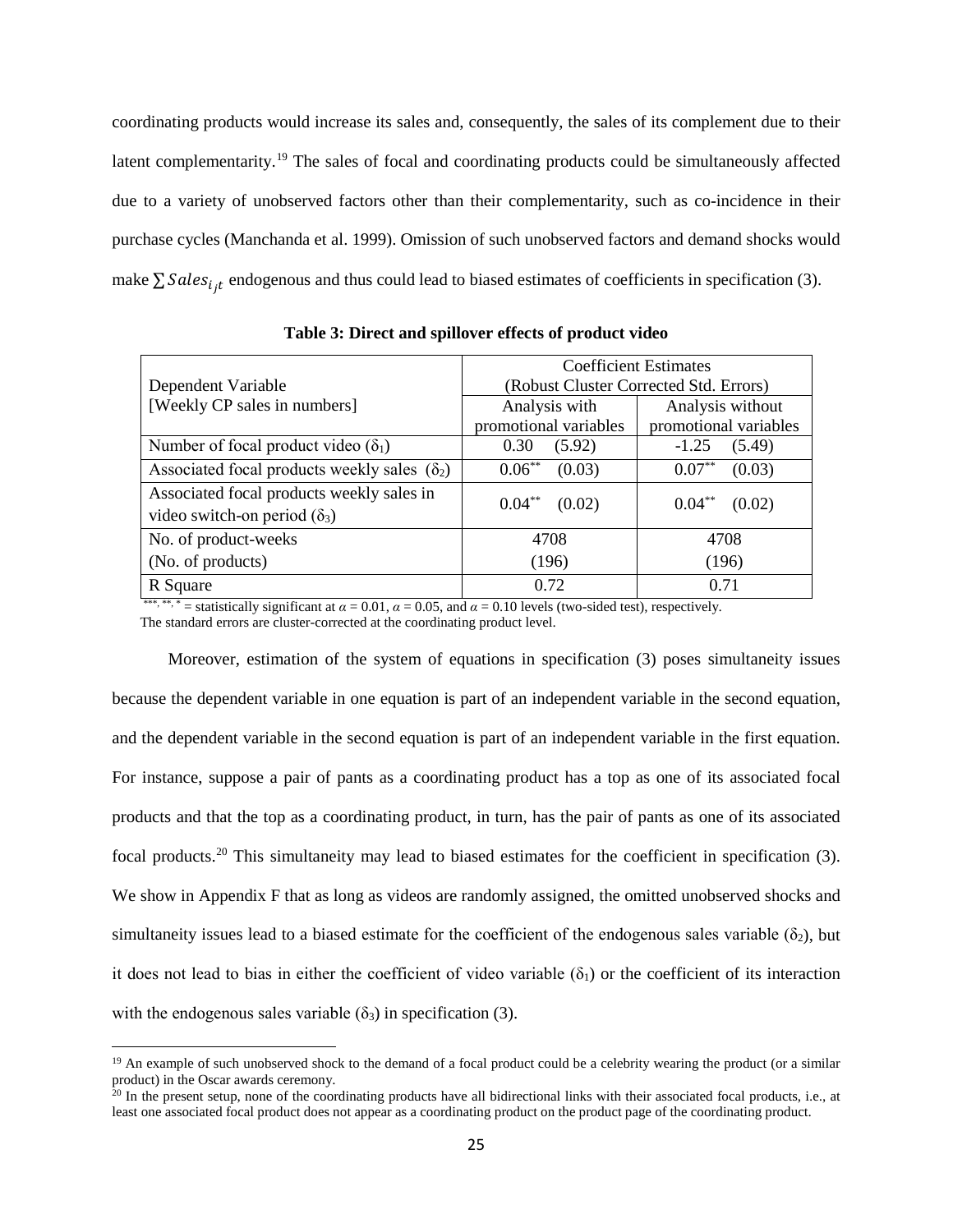coordinating products would increase its sales and, consequently, the sales of its complement due to their latent complementarity.[19](#page-24-0) The sales of focal and coordinating products could be simultaneously affected due to a variety of unobserved factors other than their complementarity, such as co-incidence in their purchase cycles (Manchanda et al. 1999). Omission of such unobserved factors and demand shocks would make  $\sum Sales_{i,t}$  endogenous and thus could lead to biased estimates of coefficients in specification (3).

|                                                     |                       | <b>Coefficient Estimates</b>           |
|-----------------------------------------------------|-----------------------|----------------------------------------|
| Dependent Variable                                  |                       | (Robust Cluster Corrected Std. Errors) |
| [Weekly CP sales in numbers]                        | Analysis with         | Analysis without                       |
|                                                     | promotional variables | promotional variables                  |
| Number of focal product video ( $\delta_1$ )        | 0.30<br>(5.92)        | $-1.25$<br>(5.49)                      |
| Associated focal products weekly sales $(\delta_2)$ | $0.06***$<br>(0.03)   | $0.07**$<br>(0.03)                     |
| Associated focal products weekly sales in           | $0.04**$<br>(0.02)    | $0.04***$<br>(0.02)                    |
| video switch-on period $(\delta_3)$                 |                       |                                        |
| No. of product-weeks                                | 4708                  | 4708                                   |
| (No. of products)                                   | (196)                 | (196)                                  |
| R Square                                            | 0.72                  | 0.71                                   |

**Table 3: Direct and spillover effects of product video**

<sup>\*\*\*,\*\*</sup>,  $*$  = statistically significant at  $\alpha$  = 0.01,  $\alpha$  = 0.05, and  $\alpha$  = 0.10 levels (two-sided test), respectively. The standard errors are cluster-corrected at the coordinating product level.

Moreover, estimation of the system of equations in specification (3) poses simultaneity issues because the dependent variable in one equation is part of an independent variable in the second equation, and the dependent variable in the second equation is part of an independent variable in the first equation. For instance, suppose a pair of pants as a coordinating product has a top as one of its associated focal products and that the top as a coordinating product, in turn, has the pair of pants as one of its associated focal products.[20](#page-24-1) This simultaneity may lead to biased estimates for the coefficient in specification (3). We show in Appendix F that as long as videos are randomly assigned, the omitted unobserved shocks and simultaneity issues lead to a biased estimate for the coefficient of the endogenous sales variable ( $\delta_2$ ), but it does not lead to bias in either the coefficient of video variable  $(\delta_1)$  or the coefficient of its interaction with the endogenous sales variable  $(\delta_3)$  in specification (3).

l

<span id="page-24-0"></span><sup>&</sup>lt;sup>19</sup> An example of such unobserved shock to the demand of a focal product could be a celebrity wearing the product (or a similar product) in the Oscar awards ceremony.<br><sup>20</sup> In the present setup, none of the coordinating products have all bidirectional links with their associated focal products, i.e., at

<span id="page-24-1"></span>least one associated focal product does not appear as a coordinating product on the product page of the coordinating product.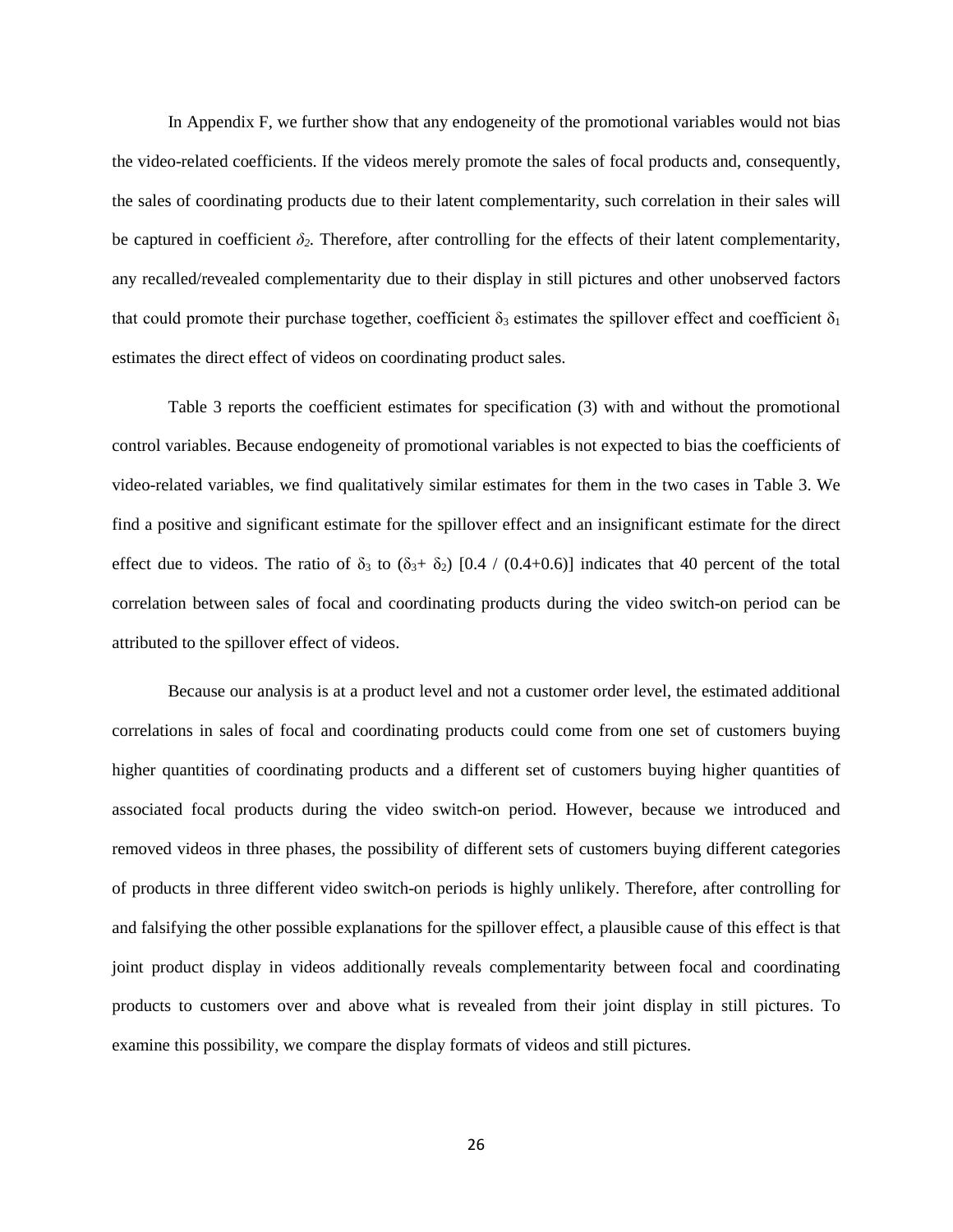In Appendix F, we further show that any endogeneity of the promotional variables would not bias the video-related coefficients. If the videos merely promote the sales of focal products and, consequently, the sales of coordinating products due to their latent complementarity, such correlation in their sales will be captured in coefficient  $\delta_2$ . Therefore, after controlling for the effects of their latent complementarity, any recalled/revealed complementarity due to their display in still pictures and other unobserved factors that could promote their purchase together, coefficient  $\delta_3$  estimates the spillover effect and coefficient  $\delta_1$ estimates the direct effect of videos on coordinating product sales.

Table 3 reports the coefficient estimates for specification (3) with and without the promotional control variables. Because endogeneity of promotional variables is not expected to bias the coefficients of video-related variables, we find qualitatively similar estimates for them in the two cases in Table 3. We find a positive and significant estimate for the spillover effect and an insignificant estimate for the direct effect due to videos. The ratio of  $\delta_3$  to  $(\delta_3+\delta_2)$  [0.4 / (0.4+0.6)] indicates that 40 percent of the total correlation between sales of focal and coordinating products during the video switch-on period can be attributed to the spillover effect of videos.

Because our analysis is at a product level and not a customer order level, the estimated additional correlations in sales of focal and coordinating products could come from one set of customers buying higher quantities of coordinating products and a different set of customers buying higher quantities of associated focal products during the video switch-on period. However, because we introduced and removed videos in three phases, the possibility of different sets of customers buying different categories of products in three different video switch-on periods is highly unlikely. Therefore, after controlling for and falsifying the other possible explanations for the spillover effect, a plausible cause of this effect is that joint product display in videos additionally reveals complementarity between focal and coordinating products to customers over and above what is revealed from their joint display in still pictures. To examine this possibility, we compare the display formats of videos and still pictures.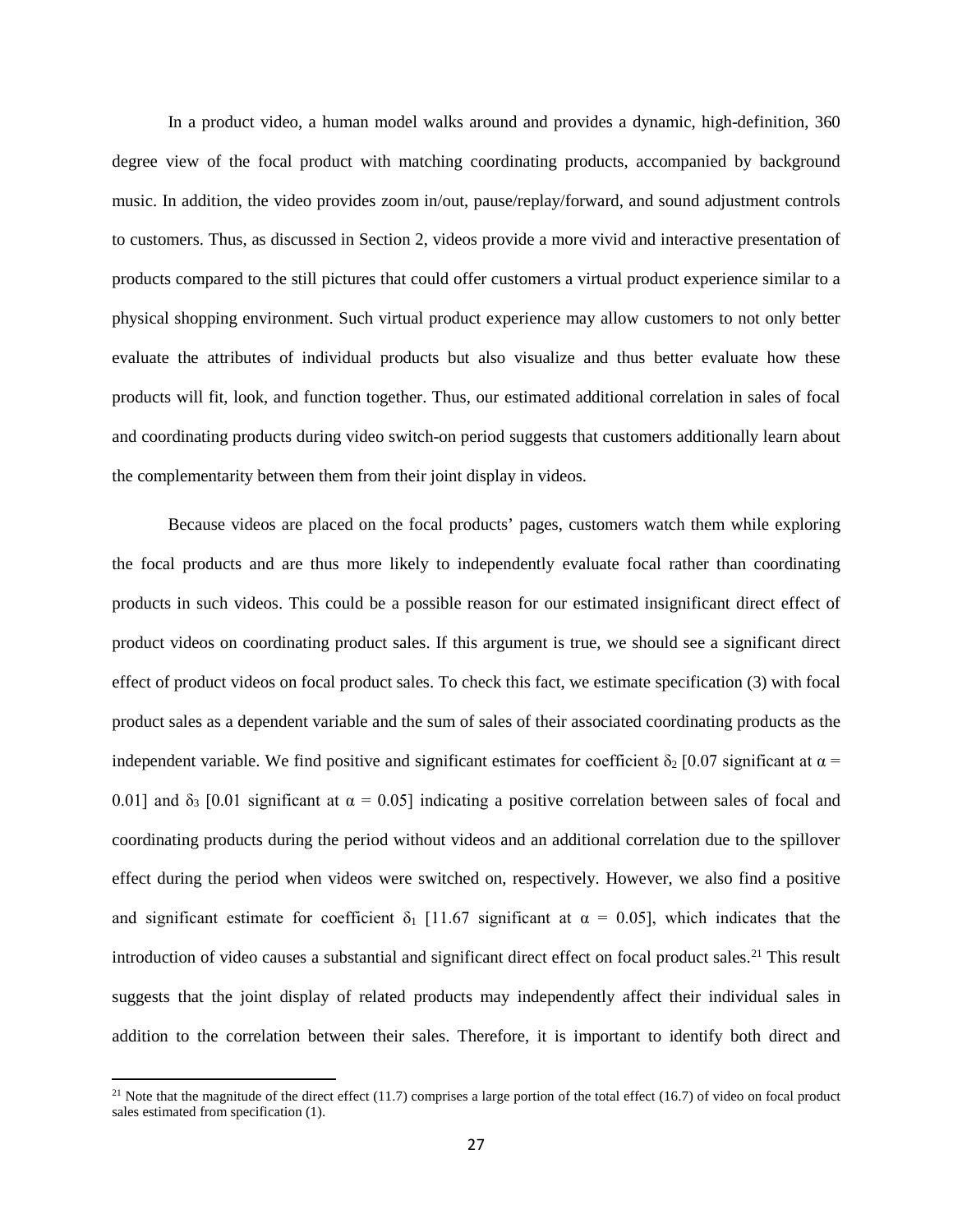In a product video, a human model walks around and provides a dynamic, high-definition, 360 degree view of the focal product with matching coordinating products, accompanied by background music. In addition, the video provides zoom in/out, pause/replay/forward, and sound adjustment controls to customers. Thus, as discussed in Section 2, videos provide a more vivid and interactive presentation of products compared to the still pictures that could offer customers a virtual product experience similar to a physical shopping environment. Such virtual product experience may allow customers to not only better evaluate the attributes of individual products but also visualize and thus better evaluate how these products will fit, look, and function together. Thus, our estimated additional correlation in sales of focal and coordinating products during video switch-on period suggests that customers additionally learn about the complementarity between them from their joint display in videos.

Because videos are placed on the focal products' pages, customers watch them while exploring the focal products and are thus more likely to independently evaluate focal rather than coordinating products in such videos. This could be a possible reason for our estimated insignificant direct effect of product videos on coordinating product sales. If this argument is true, we should see a significant direct effect of product videos on focal product sales. To check this fact, we estimate specification (3) with focal product sales as a dependent variable and the sum of sales of their associated coordinating products as the independent variable. We find positive and significant estimates for coefficient  $\delta_2$  [0.07 significant at  $\alpha$  = 0.01] and  $\delta_3$  [0.01 significant at  $\alpha = 0.05$ ] indicating a positive correlation between sales of focal and coordinating products during the period without videos and an additional correlation due to the spillover effect during the period when videos were switched on, respectively. However, we also find a positive and significant estimate for coefficient  $\delta_1$  [11.67 significant at  $\alpha = 0.05$ ], which indicates that the introduction of video causes a substantial and significant direct effect on focal product sales.<sup>[21](#page-26-0)</sup> This result suggests that the joint display of related products may independently affect their individual sales in addition to the correlation between their sales. Therefore, it is important to identify both direct and

 $\overline{\phantom{a}}$ 

<span id="page-26-0"></span><sup>&</sup>lt;sup>21</sup> Note that the magnitude of the direct effect (11.7) comprises a large portion of the total effect (16.7) of video on focal product sales estimated from specification (1).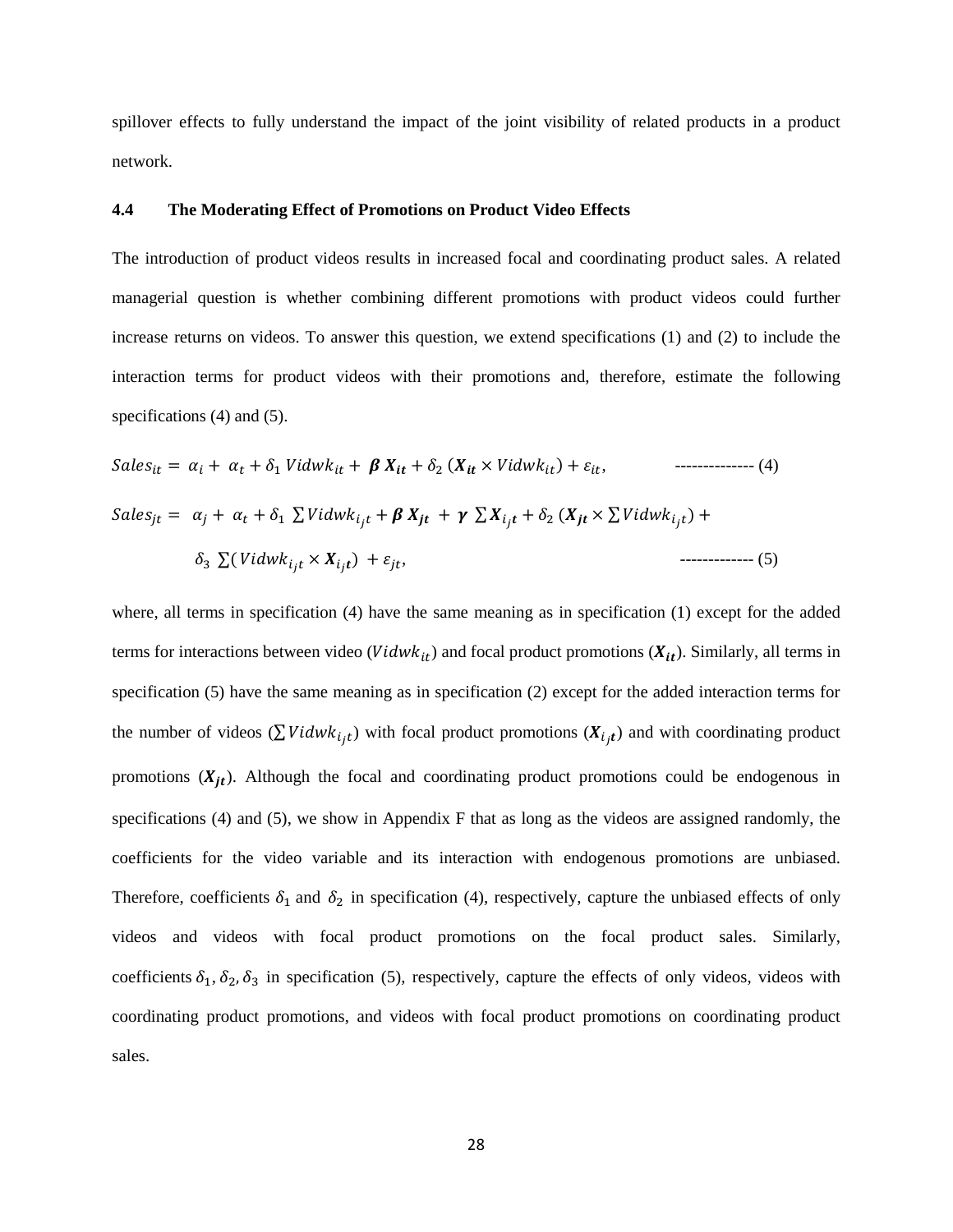spillover effects to fully understand the impact of the joint visibility of related products in a product network.

### **4.4 The Moderating Effect of Promotions on Product Video Effects**

The introduction of product videos results in increased focal and coordinating product sales. A related managerial question is whether combining different promotions with product videos could further increase returns on videos. To answer this question, we extend specifications (1) and (2) to include the interaction terms for product videos with their promotions and, therefore, estimate the following specifications (4) and (5).

$$
Sales_{it} = \alpha_i + \alpha_t + \delta_1 \text{Vidw}k_{it} + \beta X_{it} + \delta_2 (X_{it} \times \text{Vidw}k_{it}) + \varepsilon_{it}, \qquad \qquad \qquad (4)
$$
\n
$$
Sales_{jt} = \alpha_j + \alpha_t + \delta_1 \sum \text{Vidw}k_{ijt} + \beta X_{jt} + \gamma \sum X_{ijt} + \delta_2 (X_{jt} \times \sum \text{Vidw}k_{ijt}) + \delta_3 \sum (\text{Vidw}k_{ijt} \times X_{ijt}) + \varepsilon_{jt}, \qquad \qquad \qquad \qquad (5)
$$

where, all terms in specification (4) have the same meaning as in specification (1) except for the added terms for interactions between video ( $Vidwk_{it}$ ) and focal product promotions ( $X_{it}$ ). Similarly, all terms in specification (5) have the same meaning as in specification (2) except for the added interaction terms for the number of videos ( $\sum V i dwk_{i_jt}$ ) with focal product promotions ( $X_{i_jt}$ ) and with coordinating product promotions  $(X_{it})$ . Although the focal and coordinating product promotions could be endogenous in specifications (4) and (5), we show in Appendix F that as long as the videos are assigned randomly, the coefficients for the video variable and its interaction with endogenous promotions are unbiased. Therefore, coefficients  $\delta_1$  and  $\delta_2$  in specification (4), respectively, capture the unbiased effects of only videos and videos with focal product promotions on the focal product sales. Similarly, coefficients  $\delta_1$ ,  $\delta_2$ ,  $\delta_3$  in specification (5), respectively, capture the effects of only videos, videos with coordinating product promotions, and videos with focal product promotions on coordinating product sales.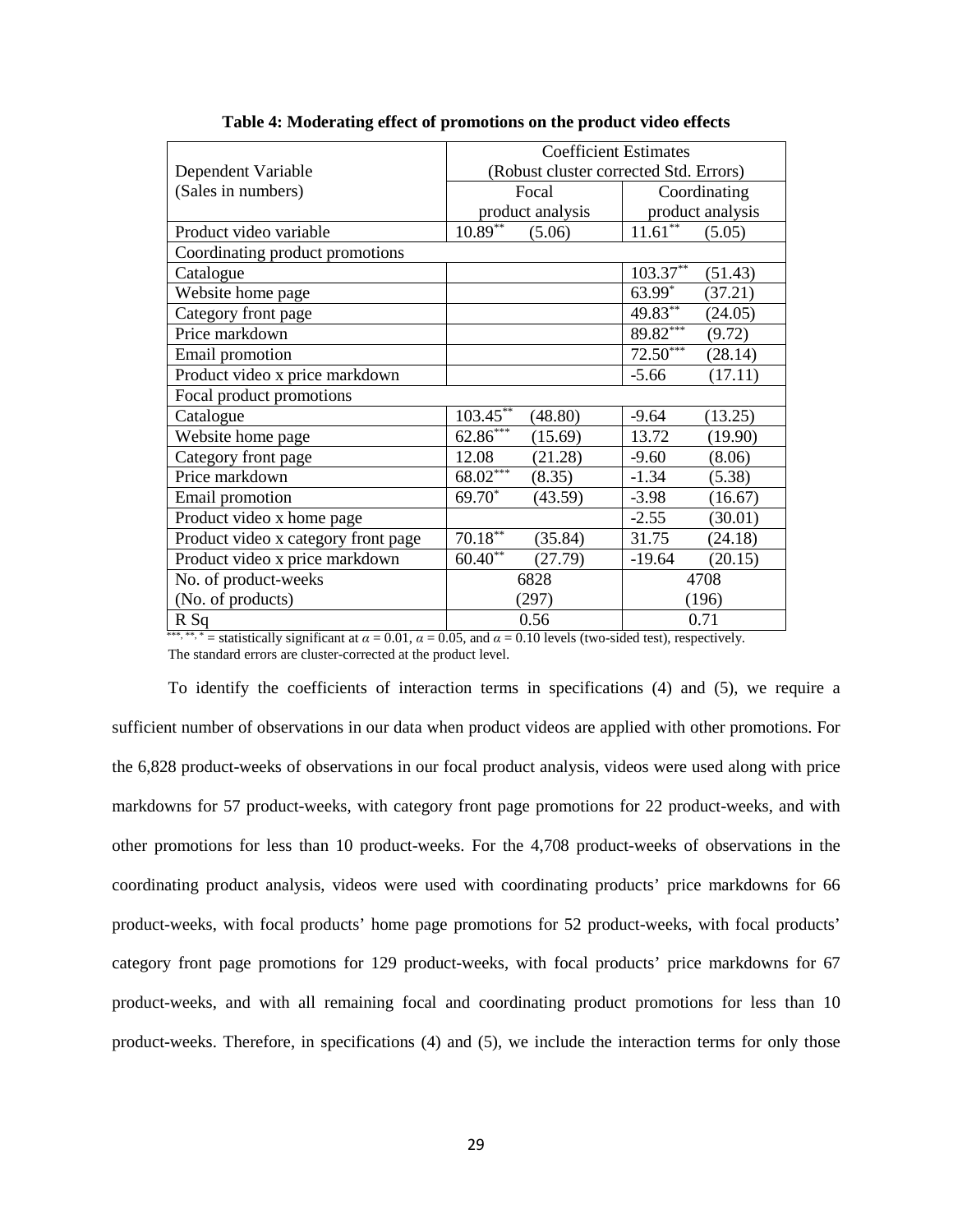|                                     |                    | <b>Coefficient Estimates</b> |                                        |                  |  |
|-------------------------------------|--------------------|------------------------------|----------------------------------------|------------------|--|
| Dependent Variable                  |                    |                              | (Robust cluster corrected Std. Errors) |                  |  |
| (Sales in numbers)                  |                    | Focal                        |                                        | Coordinating     |  |
|                                     |                    | product analysis             |                                        | product analysis |  |
| Product video variable              | $10.89**$          | (5.06)                       | $11.61**$                              | (5.05)           |  |
| Coordinating product promotions     |                    |                              |                                        |                  |  |
| Catalogue                           |                    |                              | $103.37***$                            | (51.43)          |  |
| Website home page                   |                    |                              | 63.99*                                 | (37.21)          |  |
| Category front page                 |                    |                              | 49.83**                                | (24.05)          |  |
| Price markdown                      |                    |                              | $89.82***$                             | (9.72)           |  |
| Email promotion                     |                    |                              | $72.50***$                             | (28.14)          |  |
| Product video x price markdown      |                    |                              | $-5.66$                                | (17.11)          |  |
| Focal product promotions            |                    |                              |                                        |                  |  |
| Catalogue                           | $103.45***$        | (48.80)                      | $-9.64$                                | (13.25)          |  |
| Website home page                   | $62.86$ ***        | (15.69)                      | 13.72                                  | (19.90)          |  |
| Category front page                 | 12.08              | (21.28)                      | $-9.60$                                | (8.06)           |  |
| Price markdown                      | $68.02***$         | (8.35)                       | $-1.34$                                | (5.38)           |  |
| Email promotion                     | 69.70 <sup>*</sup> | (43.59)                      | $-3.98$                                | (16.67)          |  |
| Product video x home page           |                    |                              | $-2.55$                                | (30.01)          |  |
| Product video x category front page | $70.18**$          | (35.84)                      | 31.75                                  | (24.18)          |  |
| Product video x price markdown      | $60.40**$          | (27.79)                      | $-19.64$                               | (20.15)          |  |
| No. of product-weeks                |                    | 6828                         |                                        | 4708             |  |
| (No. of products)                   |                    | (297)                        |                                        | (196)            |  |
| $R$ Sq                              |                    | 0.56                         |                                        | 0.71             |  |

**Table 4: Moderating effect of promotions on the product video effects**

<sup>\*\*\*,\*\*</sup>,  $\overline{a}$  = statistically significant at  $\alpha = 0.01$ ,  $\alpha = 0.05$ , and  $\alpha = 0.10$  levels (two-sided test), respectively. The standard errors are cluster-corrected at the product level.

To identify the coefficients of interaction terms in specifications (4) and (5), we require a sufficient number of observations in our data when product videos are applied with other promotions. For the 6,828 product-weeks of observations in our focal product analysis, videos were used along with price markdowns for 57 product-weeks, with category front page promotions for 22 product-weeks, and with other promotions for less than 10 product-weeks. For the 4,708 product-weeks of observations in the coordinating product analysis, videos were used with coordinating products' price markdowns for 66 product-weeks, with focal products' home page promotions for 52 product-weeks, with focal products' category front page promotions for 129 product-weeks, with focal products' price markdowns for 67 product-weeks, and with all remaining focal and coordinating product promotions for less than 10 product-weeks. Therefore, in specifications (4) and (5), we include the interaction terms for only those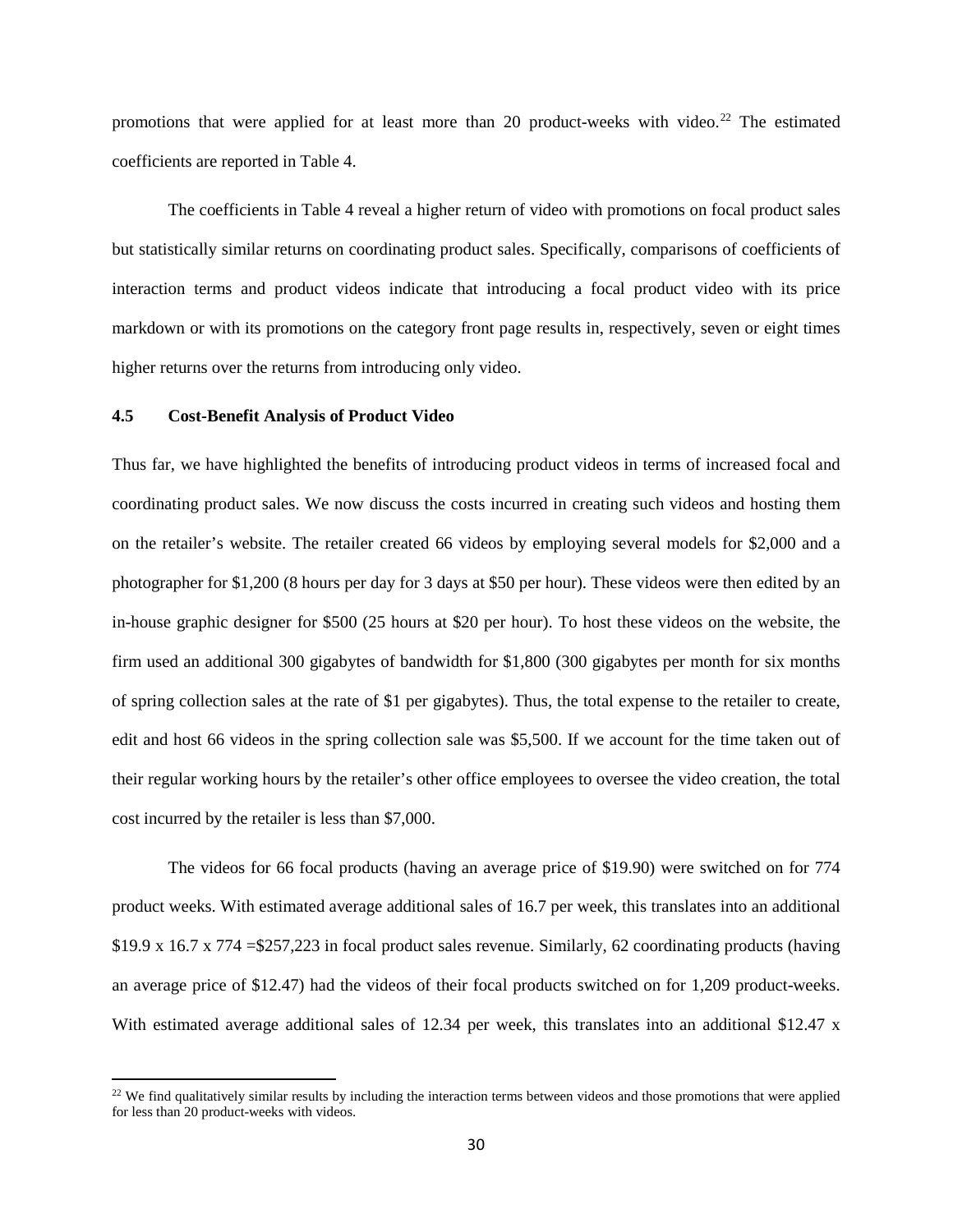promotions that were applied for at least more than 20 product-weeks with video.<sup>[22](#page-29-0)</sup> The estimated coefficients are reported in Table 4.

The coefficients in Table 4 reveal a higher return of video with promotions on focal product sales but statistically similar returns on coordinating product sales. Specifically, comparisons of coefficients of interaction terms and product videos indicate that introducing a focal product video with its price markdown or with its promotions on the category front page results in, respectively, seven or eight times higher returns over the returns from introducing only video.

#### **4.5 Cost-Benefit Analysis of Product Video**

 $\overline{\phantom{a}}$ 

Thus far, we have highlighted the benefits of introducing product videos in terms of increased focal and coordinating product sales. We now discuss the costs incurred in creating such videos and hosting them on the retailer's website. The retailer created 66 videos by employing several models for \$2,000 and a photographer for \$1,200 (8 hours per day for 3 days at \$50 per hour). These videos were then edited by an in-house graphic designer for \$500 (25 hours at \$20 per hour). To host these videos on the website, the firm used an additional 300 gigabytes of bandwidth for \$1,800 (300 gigabytes per month for six months of spring collection sales at the rate of \$1 per gigabytes). Thus, the total expense to the retailer to create, edit and host 66 videos in the spring collection sale was \$5,500. If we account for the time taken out of their regular working hours by the retailer's other office employees to oversee the video creation, the total cost incurred by the retailer is less than \$7,000.

The videos for 66 focal products (having an average price of \$19.90) were switched on for 774 product weeks. With estimated average additional sales of 16.7 per week, this translates into an additional \$19.9 x 16.7 x 774 =\$257,223 in focal product sales revenue. Similarly, 62 coordinating products (having an average price of \$12.47) had the videos of their focal products switched on for 1,209 product-weeks. With estimated average additional sales of 12.34 per week, this translates into an additional \$12.47 x

<span id="page-29-0"></span> $22$  We find qualitatively similar results by including the interaction terms between videos and those promotions that were applied for less than 20 product-weeks with videos.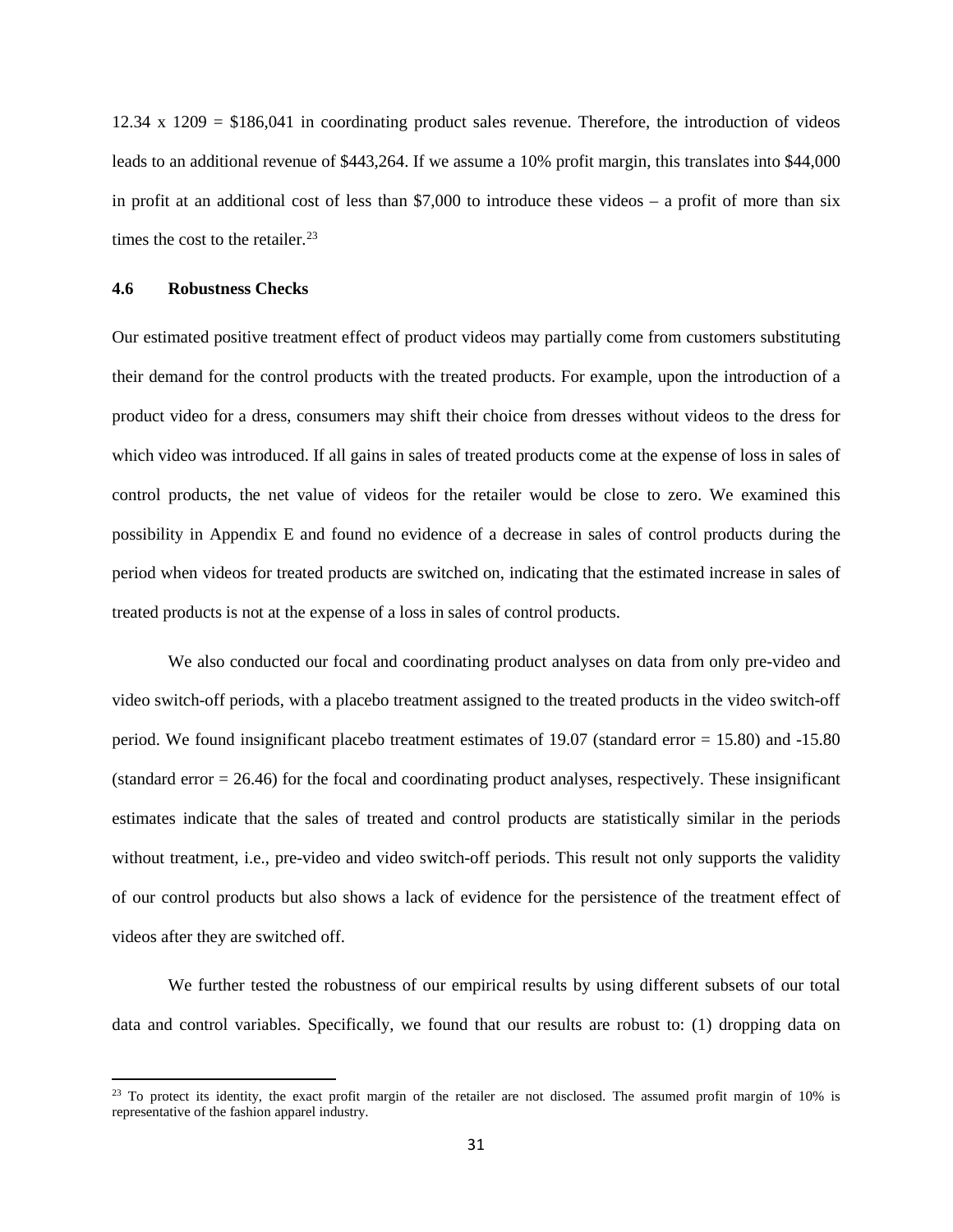12.34 x 1209 = \$186,041 in coordinating product sales revenue. Therefore, the introduction of videos leads to an additional revenue of \$443,264. If we assume a 10% profit margin, this translates into \$44,000 in profit at an additional cost of less than \$7,000 to introduce these videos – a profit of more than six times the cost to the retailer. $^{23}$  $^{23}$  $^{23}$ 

#### **4.6 Robustness Checks**

 $\overline{\phantom{a}}$ 

Our estimated positive treatment effect of product videos may partially come from customers substituting their demand for the control products with the treated products. For example, upon the introduction of a product video for a dress, consumers may shift their choice from dresses without videos to the dress for which video was introduced. If all gains in sales of treated products come at the expense of loss in sales of control products, the net value of videos for the retailer would be close to zero. We examined this possibility in Appendix E and found no evidence of a decrease in sales of control products during the period when videos for treated products are switched on, indicating that the estimated increase in sales of treated products is not at the expense of a loss in sales of control products.

We also conducted our focal and coordinating product analyses on data from only pre-video and video switch-off periods, with a placebo treatment assigned to the treated products in the video switch-off period. We found insignificant placebo treatment estimates of 19.07 (standard error = 15.80) and -15.80 (standard error = 26.46) for the focal and coordinating product analyses, respectively. These insignificant estimates indicate that the sales of treated and control products are statistically similar in the periods without treatment, i.e., pre-video and video switch-off periods. This result not only supports the validity of our control products but also shows a lack of evidence for the persistence of the treatment effect of videos after they are switched off.

We further tested the robustness of our empirical results by using different subsets of our total data and control variables. Specifically, we found that our results are robust to: (1) dropping data on

<span id="page-30-0"></span> $23$  To protect its identity, the exact profit margin of the retailer are not disclosed. The assumed profit margin of 10% is representative of the fashion apparel industry.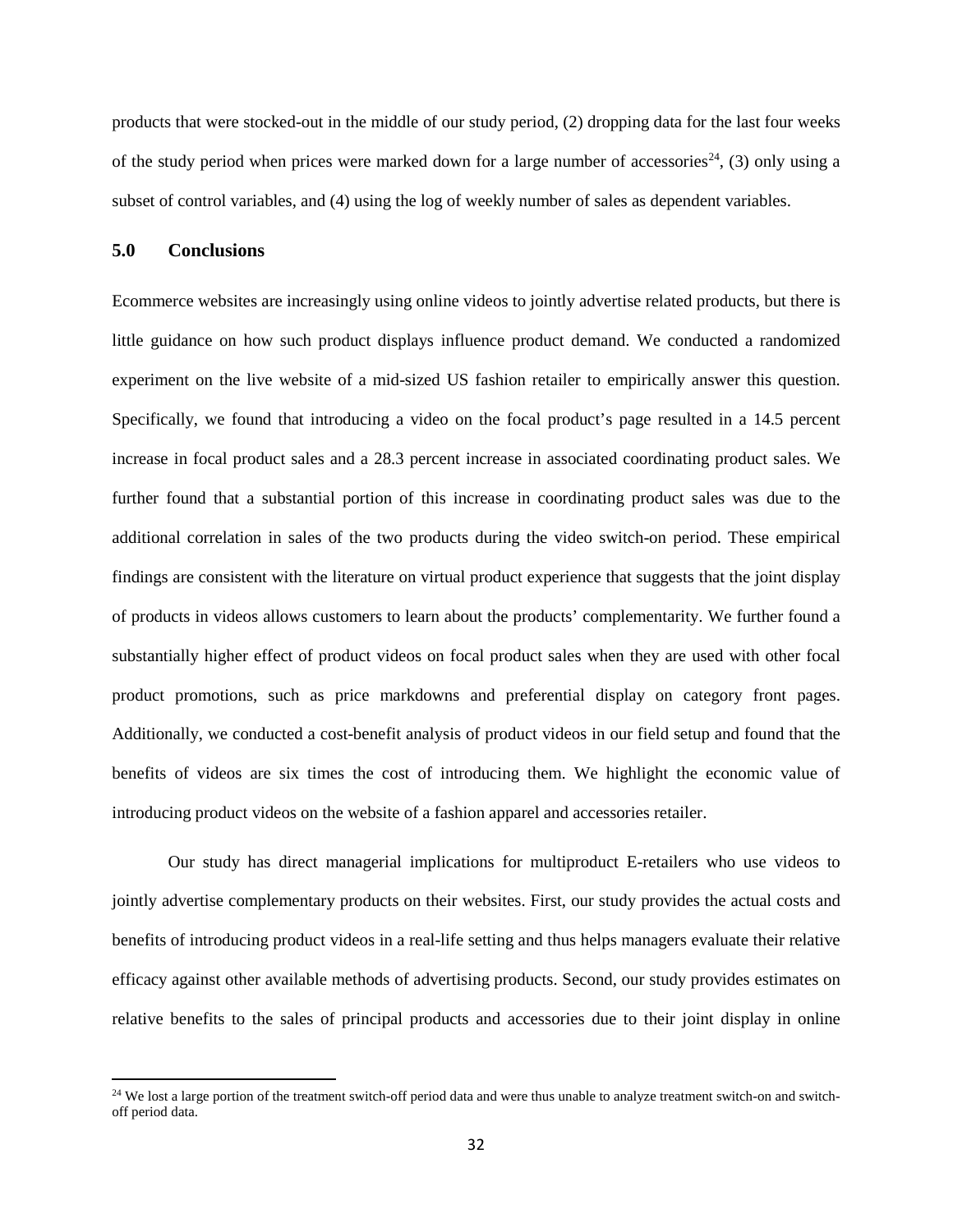products that were stocked-out in the middle of our study period, (2) dropping data for the last four weeks of the study period when prices were marked down for a large number of accessories<sup>[24](#page-31-0)</sup>, (3) only using a subset of control variables, and (4) using the log of weekly number of sales as dependent variables.

## **5.0 Conclusions**

 $\overline{\phantom{a}}$ 

Ecommerce websites are increasingly using online videos to jointly advertise related products, but there is little guidance on how such product displays influence product demand. We conducted a randomized experiment on the live website of a mid-sized US fashion retailer to empirically answer this question. Specifically, we found that introducing a video on the focal product's page resulted in a 14.5 percent increase in focal product sales and a 28.3 percent increase in associated coordinating product sales. We further found that a substantial portion of this increase in coordinating product sales was due to the additional correlation in sales of the two products during the video switch-on period. These empirical findings are consistent with the literature on virtual product experience that suggests that the joint display of products in videos allows customers to learn about the products' complementarity. We further found a substantially higher effect of product videos on focal product sales when they are used with other focal product promotions, such as price markdowns and preferential display on category front pages. Additionally, we conducted a cost-benefit analysis of product videos in our field setup and found that the benefits of videos are six times the cost of introducing them. We highlight the economic value of introducing product videos on the website of a fashion apparel and accessories retailer.

Our study has direct managerial implications for multiproduct E-retailers who use videos to jointly advertise complementary products on their websites. First, our study provides the actual costs and benefits of introducing product videos in a real-life setting and thus helps managers evaluate their relative efficacy against other available methods of advertising products. Second, our study provides estimates on relative benefits to the sales of principal products and accessories due to their joint display in online

<span id="page-31-0"></span> $24$  We lost a large portion of the treatment switch-off period data and were thus unable to analyze treatment switch-on and switchoff period data.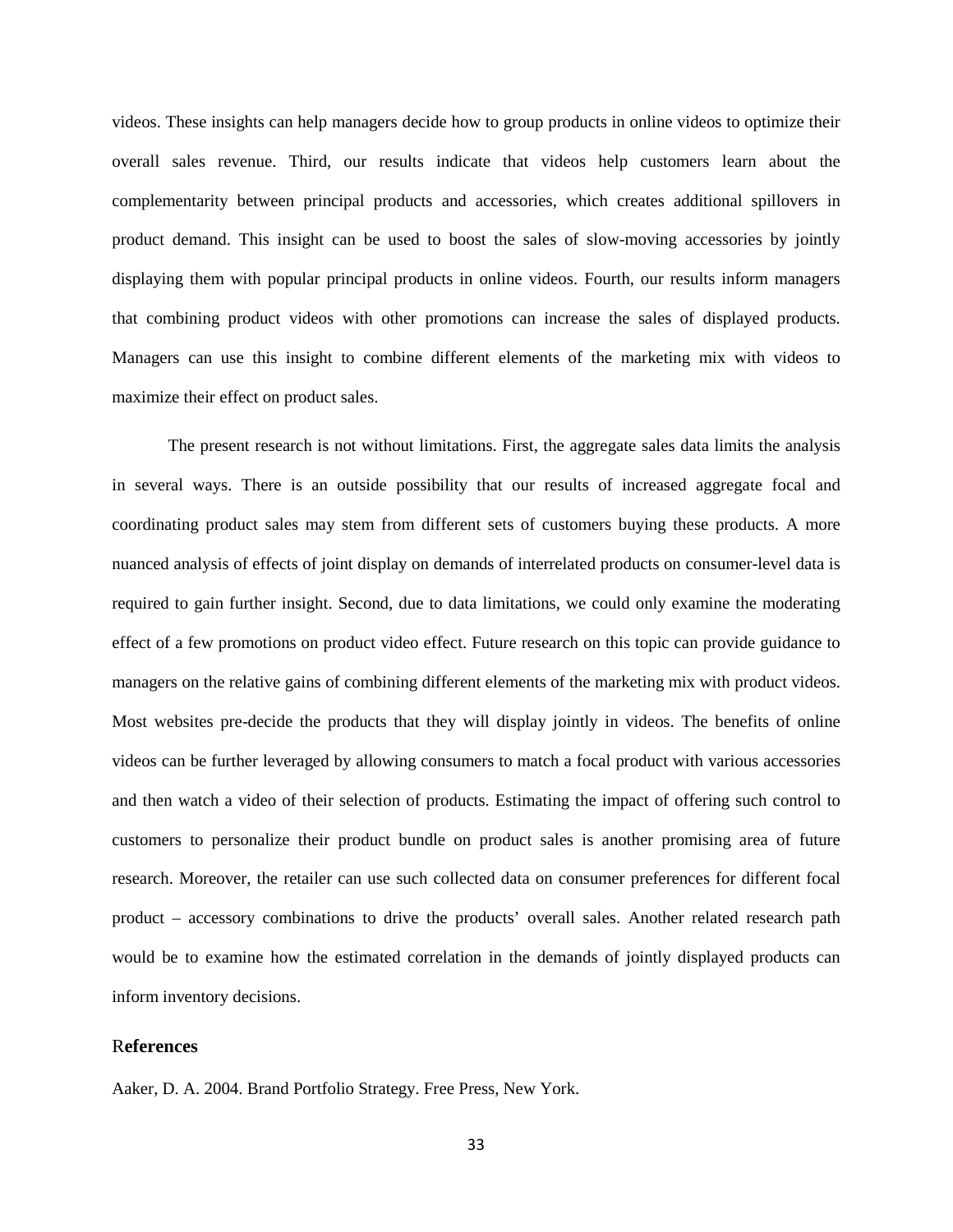videos. These insights can help managers decide how to group products in online videos to optimize their overall sales revenue. Third, our results indicate that videos help customers learn about the complementarity between principal products and accessories, which creates additional spillovers in product demand. This insight can be used to boost the sales of slow-moving accessories by jointly displaying them with popular principal products in online videos. Fourth, our results inform managers that combining product videos with other promotions can increase the sales of displayed products. Managers can use this insight to combine different elements of the marketing mix with videos to maximize their effect on product sales.

The present research is not without limitations. First, the aggregate sales data limits the analysis in several ways. There is an outside possibility that our results of increased aggregate focal and coordinating product sales may stem from different sets of customers buying these products. A more nuanced analysis of effects of joint display on demands of interrelated products on consumer-level data is required to gain further insight. Second, due to data limitations, we could only examine the moderating effect of a few promotions on product video effect. Future research on this topic can provide guidance to managers on the relative gains of combining different elements of the marketing mix with product videos. Most websites pre-decide the products that they will display jointly in videos. The benefits of online videos can be further leveraged by allowing consumers to match a focal product with various accessories and then watch a video of their selection of products. Estimating the impact of offering such control to customers to personalize their product bundle on product sales is another promising area of future research. Moreover, the retailer can use such collected data on consumer preferences for different focal product – accessory combinations to drive the products' overall sales. Another related research path would be to examine how the estimated correlation in the demands of jointly displayed products can inform inventory decisions.

#### R**eferences**

Aaker, D. A. 2004. Brand Portfolio Strategy. Free Press, New York.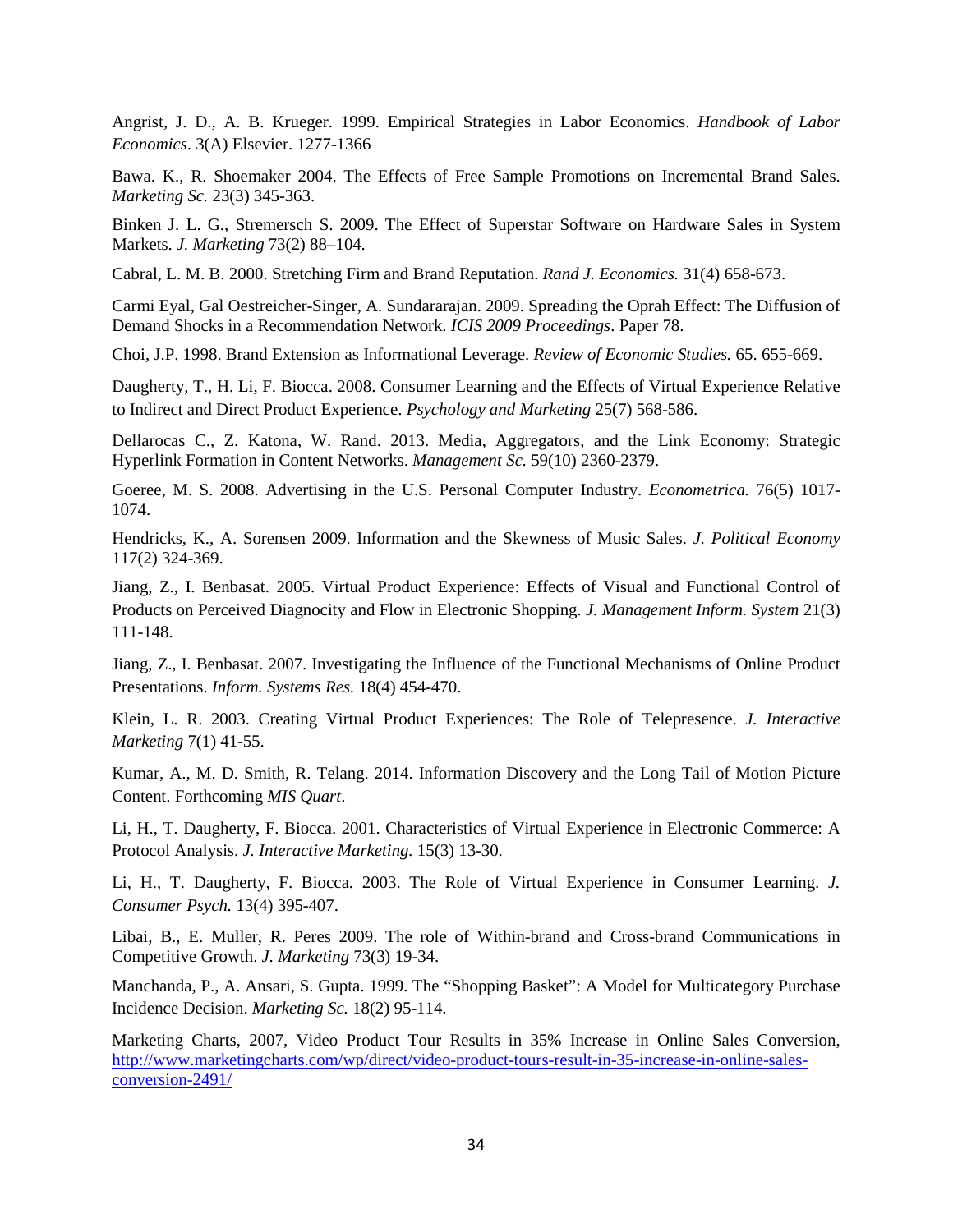Angrist, J. D., A. B. Krueger. 1999. Empirical Strategies in Labor Economics. *Handbook of Labor Economics*. 3(A) Elsevier. 1277-1366

Bawa. K., R. Shoemaker 2004. The Effects of Free Sample Promotions on Incremental Brand Sales. *Marketing Sc.* 23(3) 345-363.

Binken J. L. G., Stremersch S. 2009. The Effect of Superstar Software on Hardware Sales in System Markets. *J. Marketing* 73(2) 88–104.

Cabral, L. M. B. 2000. Stretching Firm and Brand Reputation. *Rand J. Economics.* 31(4) 658-673.

Carmi Eyal, Gal Oestreicher-Singer, A. Sundararajan. 2009. Spreading the Oprah Effect: The Diffusion of Demand Shocks in a Recommendation Network. *ICIS 2009 Proceedings*. Paper 78.

Choi, J.P. 1998. Brand Extension as Informational Leverage. *Review of Economic Studies.* 65. 655-669.

Daugherty, T., H. Li, F. Biocca. 2008. Consumer Learning and the Effects of Virtual Experience Relative to Indirect and Direct Product Experience. *Psychology and Marketing* 25(7) 568-586.

Dellarocas C., Z. Katona, W. Rand. 2013. Media, Aggregators, and the Link Economy: Strategic Hyperlink Formation in Content Networks. *Management Sc.* 59(10) 2360-2379.

Goeree, M. S. 2008. Advertising in the U.S. Personal Computer Industry. *Econometrica.* 76(5) 1017- 1074.

Hendricks, K., A. Sorensen 2009. Information and the Skewness of Music Sales. *J. Political Economy* 117(2) 324-369.

Jiang, Z., I. Benbasat. 2005. Virtual Product Experience: Effects of Visual and Functional Control of Products on Perceived Diagnocity and Flow in Electronic Shopping. *J. Management Inform. System* 21(3) 111-148.

Jiang, Z., I. Benbasat. 2007. Investigating the Influence of the Functional Mechanisms of Online Product Presentations. *Inform. Systems Res.* 18(4) 454-470.

Klein, L. R. 2003. Creating Virtual Product Experiences: The Role of Telepresence. *J. Interactive Marketing* 7(1) 41-55.

Kumar, A., M. D. Smith, R. Telang. 2014. Information Discovery and the Long Tail of Motion Picture Content. Forthcoming *MIS Quart*.

Li, H., T. Daugherty, F. Biocca. 2001. Characteristics of Virtual Experience in Electronic Commerce: A Protocol Analysis. *J. Interactive Marketing.* 15(3) 13-30.

Li, H., T. Daugherty, F. Biocca. 2003. The Role of Virtual Experience in Consumer Learning. *J. Consumer Psych.* 13(4) 395-407.

Libai, B., E. Muller, R. Peres 2009. The role of Within-brand and Cross-brand Communications in Competitive Growth. *J. Marketing* 73(3) 19-34.

Manchanda, P., A. Ansari, S. Gupta. 1999. The "Shopping Basket": A Model for Multicategory Purchase Incidence Decision. *Marketing Sc.* 18(2) 95-114.

Marketing Charts, 2007, Video Product Tour Results in 35% Increase in Online Sales Conversion, [http://www.marketingcharts.com/wp/direct/video-product-tours-result-in-35-increase-in-online-sales](http://www.marketingcharts.com/wp/direct/video-product-tours-result-in-35-increase-in-online-sales-conversion-2491/)[conversion-2491/](http://www.marketingcharts.com/wp/direct/video-product-tours-result-in-35-increase-in-online-sales-conversion-2491/)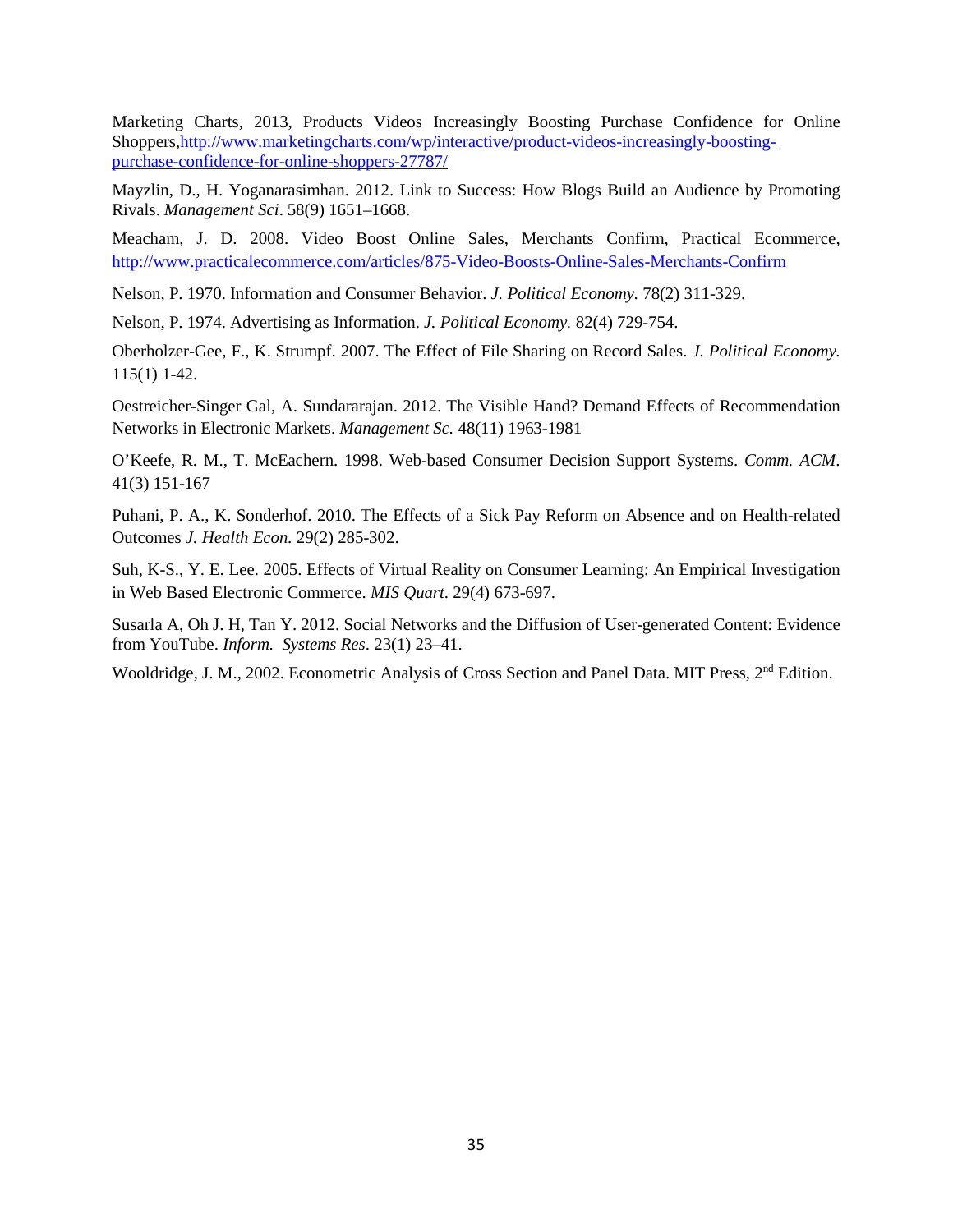Marketing Charts, 2013, Products Videos Increasingly Boosting Purchase Confidence for Online Shopper[s,http://www.marketingcharts.com/wp/interactive/product-videos-increasingly-boosting](http://www.marketingcharts.com/wp/interactive/product-videos-increasingly-boosting-purchase-confidence-for-online-shoppers-27787/)[purchase-confidence-for-online-shoppers-27787/](http://www.marketingcharts.com/wp/interactive/product-videos-increasingly-boosting-purchase-confidence-for-online-shoppers-27787/)

Mayzlin, D., H. Yoganarasimhan. 2012. Link to Success: How Blogs Build an Audience by Promoting Rivals. *Management Sci*. 58(9) 1651–1668.

Meacham, J. D. 2008. Video Boost Online Sales, Merchants Confirm, Practical Ecommerce, <http://www.practicalecommerce.com/articles/875-Video-Boosts-Online-Sales-Merchants-Confirm>

Nelson, P. 1970. Information and Consumer Behavior. *J. Political Economy.* 78(2) 311-329.

Nelson, P. 1974. Advertising as Information. *J. Political Economy.* 82(4) 729-754.

Oberholzer-Gee, F., K. Strumpf. 2007. The Effect of File Sharing on Record Sales. *J. Political Economy.* 115(1) 1-42.

Oestreicher-Singer Gal, A. Sundararajan. 2012. The Visible Hand? Demand Effects of Recommendation Networks in Electronic Markets. *Management Sc.* 48(11) 1963-1981

O'Keefe, R. M., T. McEachern. 1998. Web-based Consumer Decision Support Systems. *Comm. ACM*. 41(3) 151-167

Puhani, P. A., K. Sonderhof. 2010. The Effects of a Sick Pay Reform on Absence and on Health-related Outcomes *J. Health Econ.* 29(2) 285-302.

Suh, K-S., Y. E. Lee. 2005. Effects of Virtual Reality on Consumer Learning: An Empirical Investigation in Web Based Electronic Commerce. *MIS Quart*. 29(4) 673-697.

Susarla A, Oh J. H, Tan Y. 2012. Social Networks and the Diffusion of User-generated Content: Evidence from YouTube. *Inform. Systems Res*. 23(1) 23–41.

Wooldridge, J. M., 2002. Econometric Analysis of Cross Section and Panel Data. MIT Press, 2<sup>nd</sup> Edition.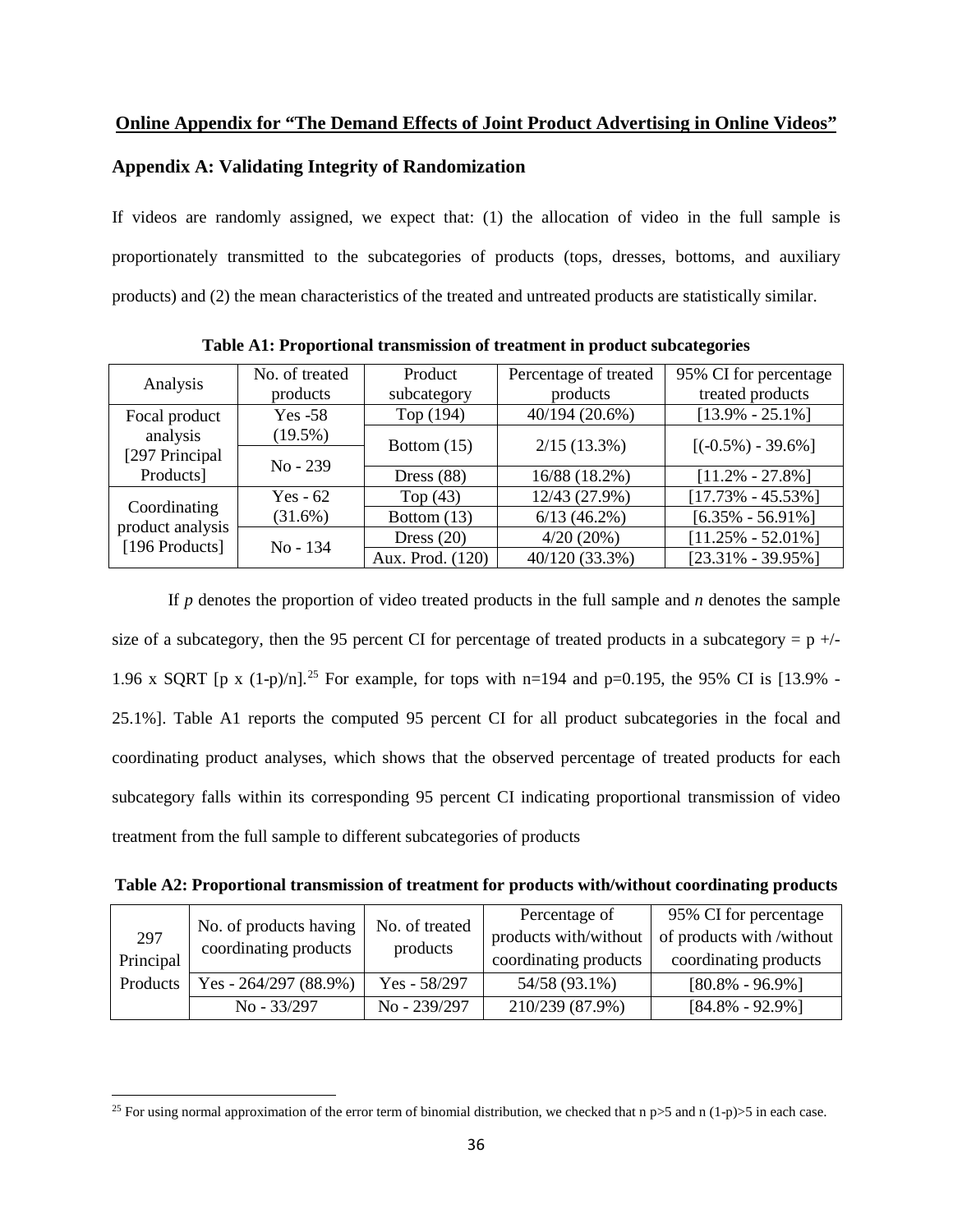# **Online Appendix for "The Demand Effects of Joint Product Advertising in Online Videos"**

# **Appendix A: Validating Integrity of Randomization**

If videos are randomly assigned, we expect that: (1) the allocation of video in the full sample is proportionately transmitted to the subcategories of products (tops, dresses, bottoms, and auxiliary products) and (2) the mean characteristics of the treated and untreated products are statistically similar.

| Analysis                           | No. of treated | Product          | Percentage of treated | 95% CI for percentage |  |
|------------------------------------|----------------|------------------|-----------------------|-----------------------|--|
|                                    | products       | subcategory      | products              | treated products      |  |
| Focal product                      | $Yes - 58$     | Top (194)        | 40/194 (20.6%)        | $[13.9\% - 25.1\%]$   |  |
| analysis                           | $(19.5\%)$     | Bottom $(15)$    | $2/15(13.3\%)$        | $[(-0.5\%)-39.6\%]$   |  |
| [297 Principal]                    | $No - 239$     |                  |                       |                       |  |
| Products]                          |                | Dress $(88)$     | 16/88 (18.2%)         | $[11.2\% - 27.8\%]$   |  |
|                                    | Yes $-62$      | Top $(43)$       | 12/43 (27.9%)         | $[17.73\% - 45.53\%]$ |  |
| Coordinating                       | $(31.6\%)$     | Bottom $(13)$    | $6/13(46.2\%)$        | $[6.35\% - 56.91\%]$  |  |
| product analysis<br>[196 Products] | No - 134       | Dress $(20)$     | $4/20(20\%)$          | $[11.25\% - 52.01\%]$ |  |
|                                    |                | Aux. Prod. (120) | 40/120 (33.3%)        | $[23.31\% - 39.95\%]$ |  |

**Table A1: Proportional transmission of treatment in product subcategories**

If *p* denotes the proportion of video treated products in the full sample and *n* denotes the sample size of a subcategory, then the 95 percent CI for percentage of treated products in a subcategory  $= p +/2$ 1.96 x SQRT [p x  $(1-p)/n$ ].<sup>[25](#page-35-0)</sup> For example, for tops with n=194 and p=0.195, the 95% CI is [13.9% -25.1%]. Table A1 reports the computed 95 percent CI for all product subcategories in the focal and coordinating product analyses, which shows that the observed percentage of treated products for each subcategory falls within its corresponding 95 percent CI indicating proportional transmission of video treatment from the full sample to different subcategories of products

**Table A2: Proportional transmission of treatment for products with/without coordinating products**

| 297<br>Principal | No. of products having<br>coordinating products | No. of treated<br>products | Percentage of<br>products with/without<br>coordinating products | 95% CI for percentage<br>of products with /without<br>coordinating products |
|------------------|-------------------------------------------------|----------------------------|-----------------------------------------------------------------|-----------------------------------------------------------------------------|
| Products         | Yes - $264/297(88.9%)$                          | $Yes - 58/297$             | 54/58 (93.1%)                                                   | $[80.8\% - 96.9\%]$                                                         |
|                  | No - 33/297                                     | No - 239/297               | 210/239 (87.9%)                                                 | $[84.8\% - 92.9\%]$                                                         |

l

<span id="page-35-0"></span><sup>&</sup>lt;sup>25</sup> For using normal approximation of the error term of binomial distribution, we checked that n  $p>5$  and n (1-p) $>5$  in each case.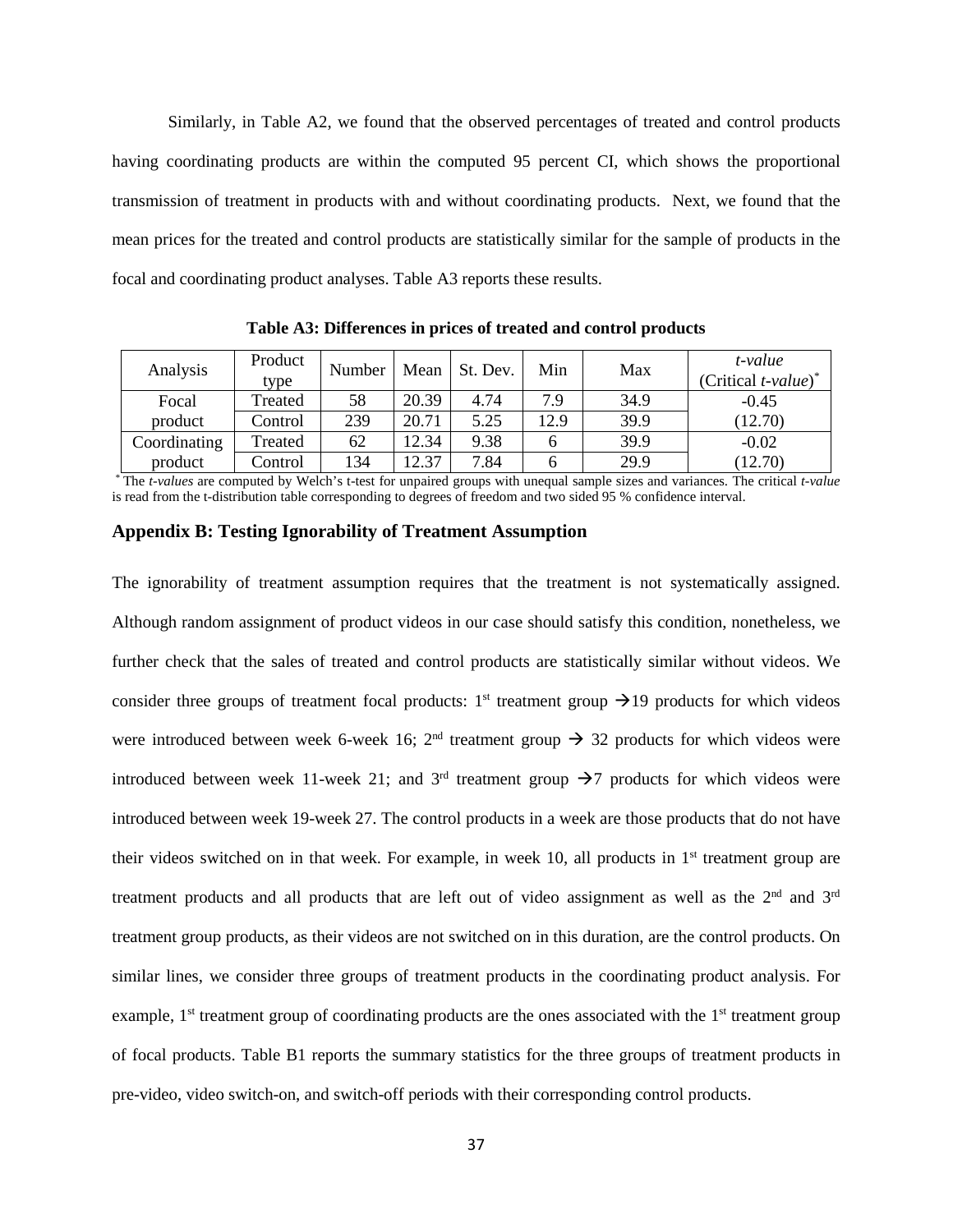Similarly, in Table A2, we found that the observed percentages of treated and control products having coordinating products are within the computed 95 percent CI, which shows the proportional transmission of treatment in products with and without coordinating products. Next, we found that the mean prices for the treated and control products are statistically similar for the sample of products in the focal and coordinating product analyses. Table A3 reports these results.

| Analysis     | Product<br>type | Number | Mean  | St. Dev. | Min  | Max  | t-value<br>(Critical <i>t</i> -value) <sup>*</sup> |
|--------------|-----------------|--------|-------|----------|------|------|----------------------------------------------------|
| Focal        | Treated         | 58     | 20.39 | 4.74     | 7.9  | 34.9 | $-0.45$                                            |
| product      | Control         | 239    | 20.71 | 5.25     | 12.9 | 39.9 | (12.70)                                            |
| Coordinating | Treated         | 62     | 12.34 | 9.38     | O    | 39.9 | $-0.02$                                            |
| product      | Control         | 134    | 12.37 | 7.84     |      | 29.9 | (12.70)                                            |

**Table A3: Differences in prices of treated and control products**

\* The *t-values* are computed by Welch's t-test for unpaired groups with unequal sample sizes and variances. The critical *t-value* is read from the t-distribution table corresponding to degrees of freedom and two sided 95 % confidence interval.

### **Appendix B: Testing Ignorability of Treatment Assumption**

The ignorability of treatment assumption requires that the treatment is not systematically assigned. Although random assignment of product videos in our case should satisfy this condition, nonetheless, we further check that the sales of treated and control products are statistically similar without videos. We consider three groups of treatment focal products:  $1<sup>st</sup>$  treatment group  $\rightarrow$  19 products for which videos were introduced between week 6-week 16;  $2<sup>nd</sup>$  treatment group  $\rightarrow$  32 products for which videos were introduced between week 11-week 21; and  $3<sup>rd</sup>$  treatment group  $\rightarrow$ 7 products for which videos were introduced between week 19-week 27. The control products in a week are those products that do not have their videos switched on in that week. For example, in week 10, all products in  $1<sup>st</sup>$  treatment group are treatment products and all products that are left out of video assignment as well as the 2<sup>nd</sup> and 3<sup>rd</sup> treatment group products, as their videos are not switched on in this duration, are the control products. On similar lines, we consider three groups of treatment products in the coordinating product analysis. For example,  $1<sup>st</sup>$  treatment group of coordinating products are the ones associated with the  $1<sup>st</sup>$  treatment group of focal products. Table B1 reports the summary statistics for the three groups of treatment products in pre-video, video switch-on, and switch-off periods with their corresponding control products.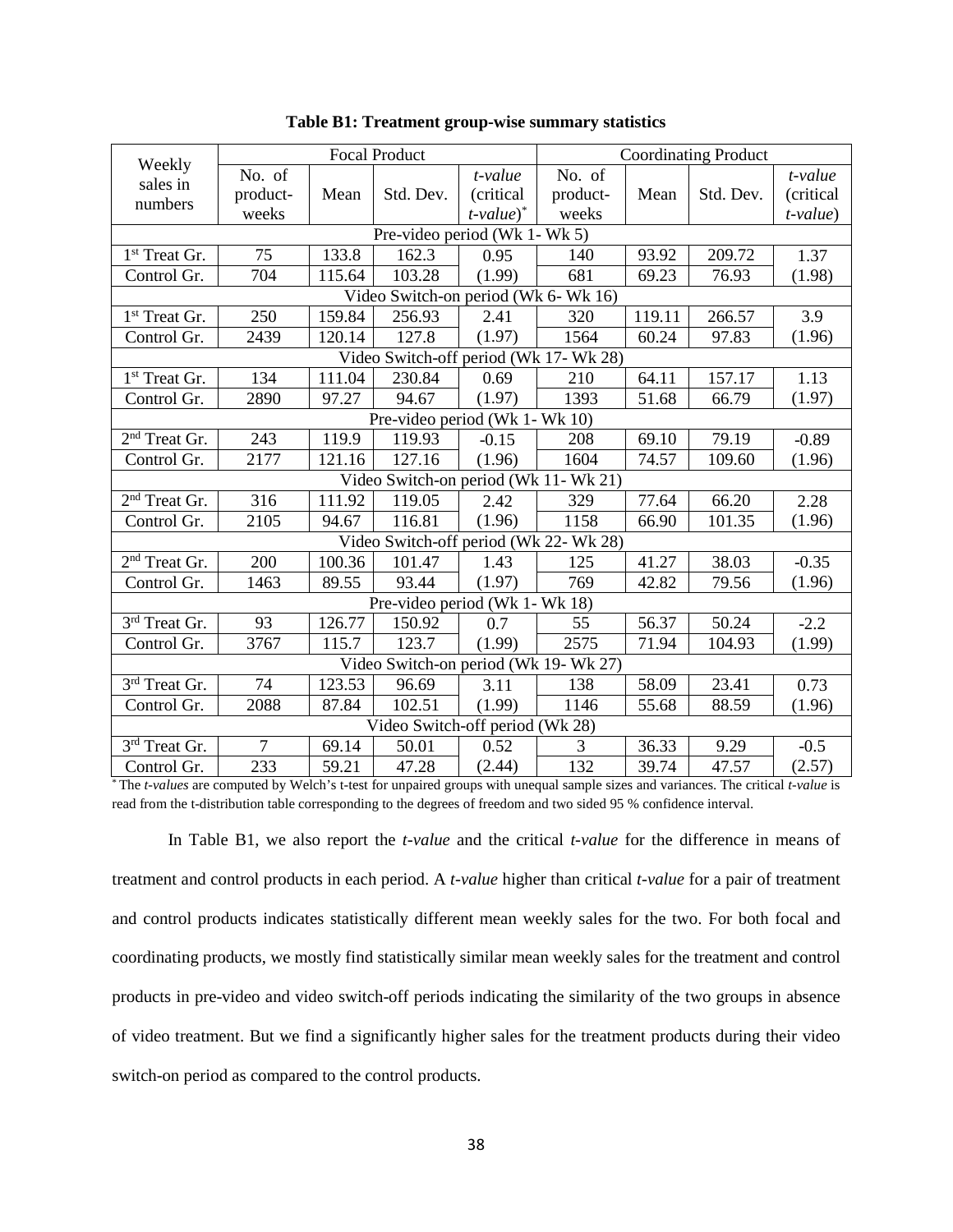|                                       |          |        | <b>Focal Product</b>                 |                  |                                        |        | <b>Coordinating Product</b> |             |
|---------------------------------------|----------|--------|--------------------------------------|------------------|----------------------------------------|--------|-----------------------------|-------------|
| Weekly<br>sales in                    | No. of   |        |                                      | $t$ -value       | No. of                                 |        |                             | t-value     |
| numbers                               | product- | Mean   | Std. Dev.                            | (critical        | product-                               | Mean   | Std. Dev.                   | (critical   |
|                                       | weeks    |        |                                      | $t$ -value $)^*$ | weeks                                  |        |                             | $t$ -value) |
|                                       |          |        | Pre-video period (Wk 1- Wk 5)        |                  |                                        |        |                             |             |
| 1 <sup>st</sup> Treat Gr.             | 75       | 133.8  | 162.3                                | 0.95             | 140                                    | 93.92  | 209.72                      | 1.37        |
| Control Gr.                           | 704      | 115.64 | 103.28                               | (1.99)           | 681                                    | 69.23  | 76.93                       | (1.98)      |
|                                       |          |        | Video Switch-on period (Wk 6- Wk 16) |                  |                                        |        |                             |             |
| 1 <sup>st</sup> Treat Gr.             | 250      | 159.84 | 256.93                               | 2.41             | 320                                    | 119.11 | 266.57                      | 3.9         |
| Control Gr.                           | 2439     | 120.14 | 127.8                                | (1.97)           | 1564                                   | 60.24  | 97.83                       | (1.96)      |
|                                       |          |        |                                      |                  | Video Switch-off period (Wk 17- Wk 28) |        |                             |             |
| 1 <sup>st</sup> Treat Gr.             | 134      | 111.04 | 230.84                               | 0.69             | 210                                    | 64.11  | 157.17                      | 1.13        |
| Control Gr.                           | 2890     | 97.27  | 94.67                                | (1.97)           | 1393                                   | 51.68  | 66.79                       | (1.97)      |
|                                       |          |        | Pre-video period (Wk 1- Wk 10)       |                  |                                        |        |                             |             |
| 2 <sup>nd</sup> Treat Gr.             | 243      | 119.9  | 119.93                               | $-0.15$          | 208                                    | 69.10  | 79.19                       | $-0.89$     |
| Control Gr.                           | 2177     | 121.16 | 127.16                               | (1.96)           | 1604                                   | 74.57  | 109.60                      | (1.96)      |
|                                       |          |        |                                      |                  | Video Switch-on period (Wk 11- Wk 21)  |        |                             |             |
| 2 <sup>nd</sup> Treat Gr.             | 316      | 111.92 | 119.05                               | 2.42             | 329                                    | 77.64  | 66.20                       | 2.28        |
| Control Gr.                           | 2105     | 94.67  | 116.81                               | (1.96)           | 1158                                   | 66.90  | 101.35                      | (1.96)      |
|                                       |          |        |                                      |                  | Video Switch-off period (Wk 22- Wk 28) |        |                             |             |
| 2 <sup>nd</sup> Treat Gr.             | 200      | 100.36 | 101.47                               | 1.43             | 125                                    | 41.27  | 38.03                       | $-0.35$     |
| Control Gr.                           | 1463     | 89.55  | 93.44                                | (1.97)           | 769                                    | 42.82  | 79.56                       | (1.96)      |
|                                       |          |        | Pre-video period (Wk 1- Wk 18)       |                  |                                        |        |                             |             |
| 3rd Treat Gr.                         | 93       | 126.77 | 150.92                               | 0.7              | 55                                     | 56.37  | 50.24                       | $-2.2$      |
| Control Gr.                           | 3767     | 115.7  | 123.7                                | (1.99)           | 2575                                   | 71.94  | 104.93                      | (1.99)      |
| Video Switch-on period (Wk 19- Wk 27) |          |        |                                      |                  |                                        |        |                             |             |
| 3 <sup>rd</sup> Treat Gr.             | 74       | 123.53 | 96.69                                | 3.11             | 138                                    | 58.09  | 23.41                       | 0.73        |
| Control Gr.                           | 2088     | 87.84  | 102.51                               | (1.99)           | 1146                                   | 55.68  | 88.59                       | (1.96)      |
|                                       |          |        | Video Switch-off period (Wk 28)      |                  |                                        |        |                             |             |
| 3 <sup>rd</sup> Treat Gr.             | 7        | 69.14  | 50.01                                | 0.52             | 3                                      | 36.33  | 9.29                        | $-0.5$      |
| Control Gr.                           | 233      | 59.21  | 47.28                                | (2.44)           | 132                                    | 39.74  | 47.57                       | (2.57)      |

**Table B1: Treatment group-wise summary statistics** 

\* The *t-values* are computed by Welch's t-test for unpaired groups with unequal sample sizes and variances. The critical *t-value* is read from the t-distribution table corresponding to the degrees of freedom and two sided 95 % confidence interval.

In Table B1, we also report the *t-value* and the critical *t-value* for the difference in means of treatment and control products in each period. A *t-value* higher than critical *t-value* for a pair of treatment and control products indicates statistically different mean weekly sales for the two. For both focal and coordinating products, we mostly find statistically similar mean weekly sales for the treatment and control products in pre-video and video switch-off periods indicating the similarity of the two groups in absence of video treatment. But we find a significantly higher sales for the treatment products during their video switch-on period as compared to the control products.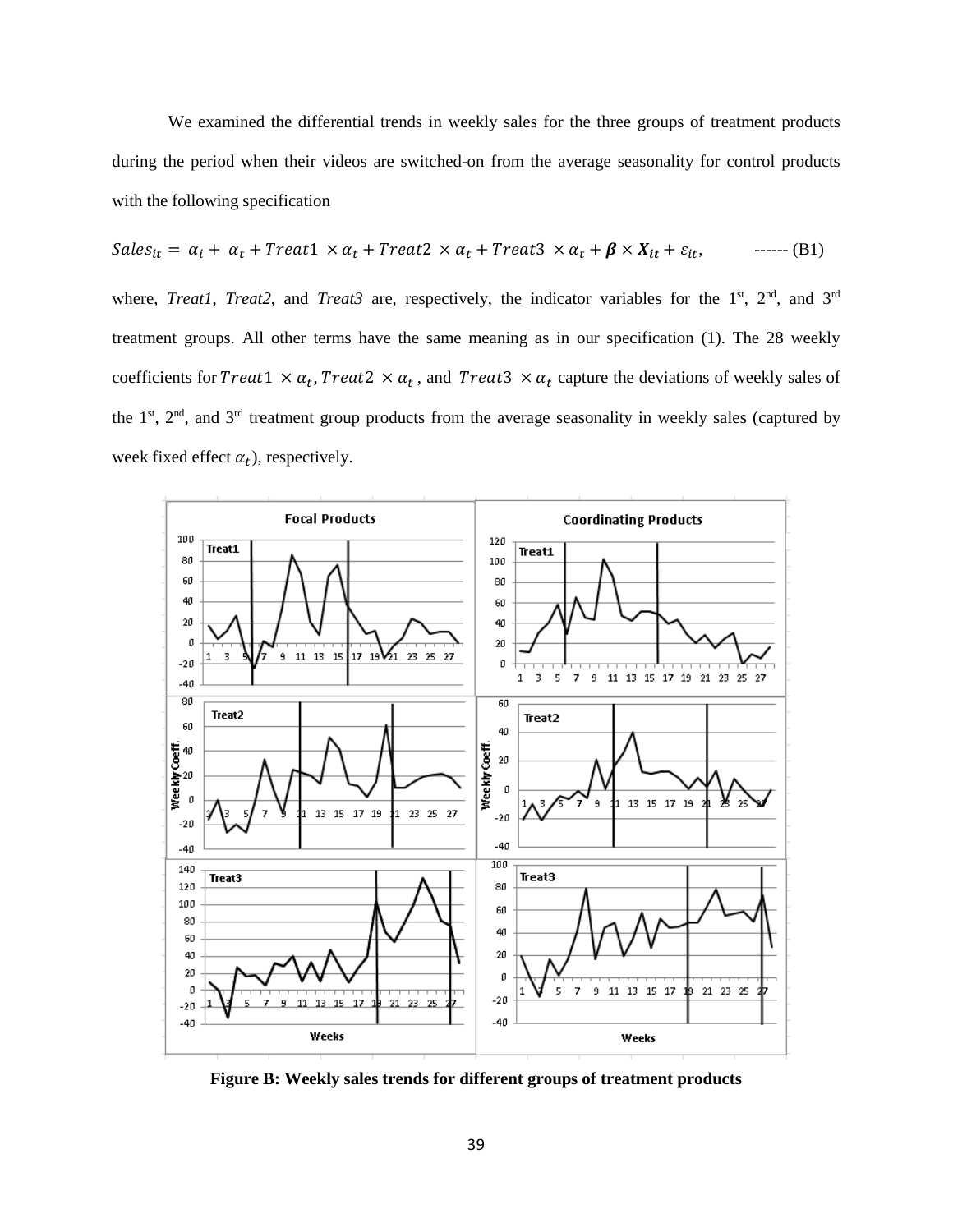We examined the differential trends in weekly sales for the three groups of treatment products during the period when their videos are switched-on from the average seasonality for control products with the following specification

$$
Sales_{it} = \alpha_i + \alpha_t + Treat1 \times \alpha_t + Treat2 \times \alpha_t + Treat3 \times \alpha_t + \beta \times X_{it} + \varepsilon_{it},
$$
 ----(B1)

where, *Treat1*, *Treat2*, and *Treat3* are, respectively, the indicator variables for the 1<sup>st</sup>, 2<sup>nd</sup>, and 3<sup>rd</sup> treatment groups. All other terms have the same meaning as in our specification (1). The 28 weekly coefficients for Treat1  $\times \alpha_t$ , Treat2  $\times \alpha_t$ , and Treat3  $\times \alpha_t$  capture the deviations of weekly sales of the 1<sup>st</sup>, 2<sup>nd</sup>, and 3<sup>rd</sup> treatment group products from the average seasonality in weekly sales (captured by week fixed effect  $\alpha_t$ ), respectively.



**Figure B: Weekly sales trends for different groups of treatment products**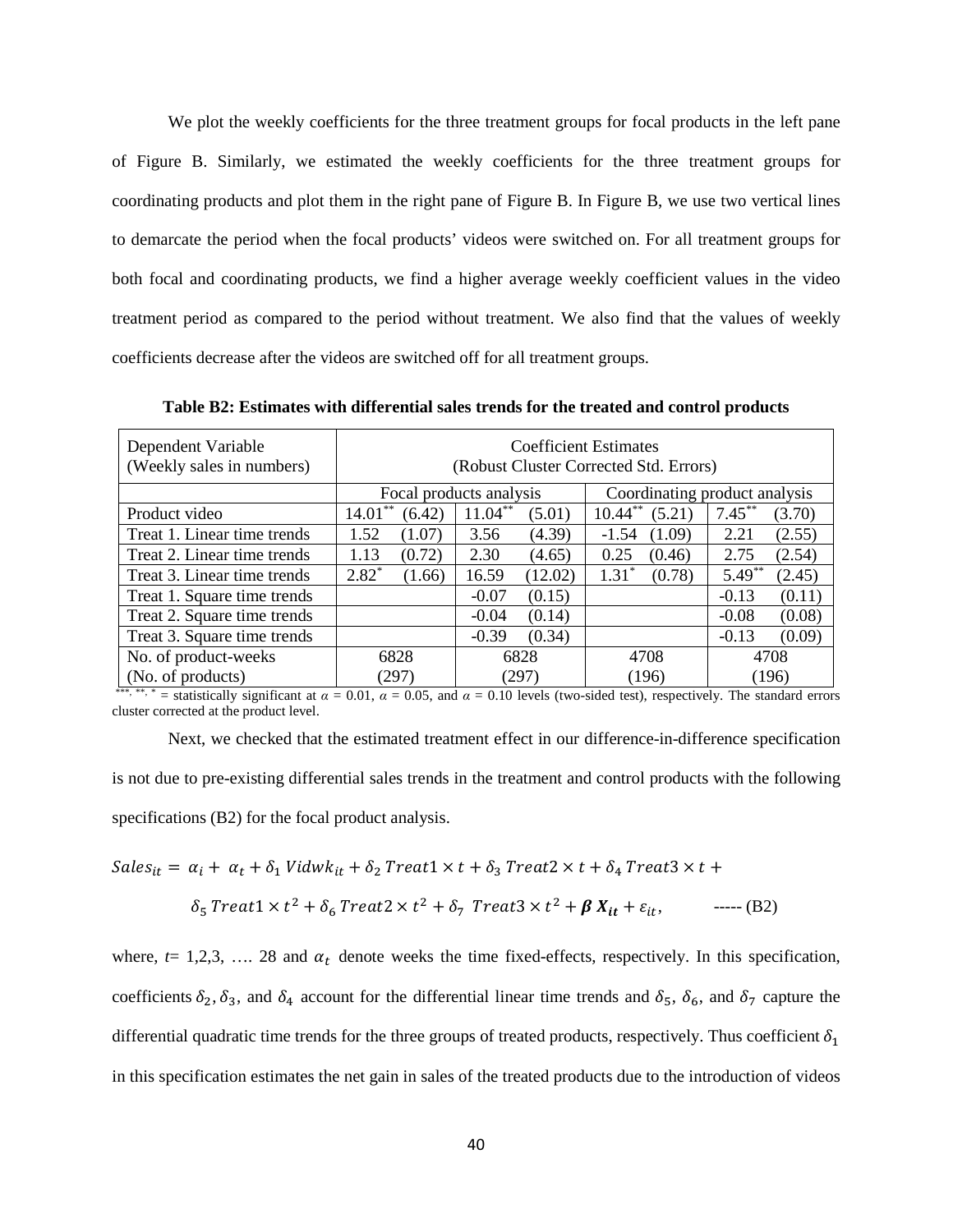We plot the weekly coefficients for the three treatment groups for focal products in the left pane of Figure B. Similarly, we estimated the weekly coefficients for the three treatment groups for coordinating products and plot them in the right pane of Figure B. In Figure B, we use two vertical lines to demarcate the period when the focal products' videos were switched on. For all treatment groups for both focal and coordinating products, we find a higher average weekly coefficient values in the video treatment period as compared to the period without treatment. We also find that the values of weekly coefficients decrease after the videos are switched off for all treatment groups.

**Table B2: Estimates with differential sales trends for the treated and control products**

| Dependent Variable<br>(Weekly sales in numbers) | <b>Coefficient Estimates</b><br>(Robust Cluster Corrected Std. Errors) |                         |                     |                               |  |
|-------------------------------------------------|------------------------------------------------------------------------|-------------------------|---------------------|-------------------------------|--|
|                                                 |                                                                        | Focal products analysis |                     | Coordinating product analysis |  |
| Product video                                   | $14.01**$<br>(6.42)                                                    | $11.04**$<br>(5.01)     | $10.44**$<br>(5.21) | $7.45***$<br>(3.70)           |  |
| Treat 1. Linear time trends                     | 1.52<br>(1.07)                                                         | (4.39)<br>3.56          | (1.09)<br>$-1.54$   | 2.21<br>(2.55)                |  |
| Treat 2. Linear time trends                     | (0.72)<br>1.13                                                         | 2.30<br>(4.65)          | 0.25<br>(0.46)      | (2.54)<br>2.75                |  |
| Treat 3. Linear time trends                     | $2.82*$<br>(1.66)                                                      | (12.02)<br>16.59        | $1.31*$<br>(0.78)   | $5.49**$<br>(2.45)            |  |
| Treat 1. Square time trends                     |                                                                        | $-0.07$<br>(0.15)       |                     | (0.11)<br>$-0.13$             |  |
| Treat 2. Square time trends                     |                                                                        | $-0.04$<br>(0.14)       |                     | (0.08)<br>$-0.08$             |  |
| Treat 3. Square time trends                     |                                                                        | $-0.39$<br>(0.34)       |                     | (0.09)<br>$-0.13$             |  |
| No. of product-weeks                            | 6828                                                                   | 6828                    | 4708                | 4708                          |  |
| (No. of products)                               | (297)                                                                  | (297)                   | (196)               | (196)                         |  |

<sup>\*\*\*,\*\*</sup>,\* = statistically significant at  $\alpha = 0.01$ ,  $\alpha = 0.05$ , and  $\alpha = 0.10$  levels (two-sided test), respectively. The standard errors cluster corrected at the product level.

Next, we checked that the estimated treatment effect in our difference-in-difference specification is not due to pre-existing differential sales trends in the treatment and control products with the following specifications (B2) for the focal product analysis.

$$
Sales_{it} = \alpha_i + \alpha_t + \delta_1 \text{Vidw} k_{it} + \delta_2 \text{Treat1} \times t + \delta_3 \text{Treat2} \times t + \delta_4 \text{Treat3} \times t +
$$
\n
$$
\delta_5 \text{Treat1} \times t^2 + \delta_6 \text{Treat2} \times t^2 + \delta_7 \text{Treat3} \times t^2 + \beta X_{it} + \varepsilon_{it}, \qquad \text{---} \text{ (B2)}
$$

where,  $t = 1,2,3, \ldots, 28$  and  $\alpha_t$  denote weeks the time fixed-effects, respectively. In this specification, coefficients  $\delta_2$ ,  $\delta_3$ , and  $\delta_4$  account for the differential linear time trends and  $\delta_5$ ,  $\delta_6$ , and  $\delta_7$  capture the differential quadratic time trends for the three groups of treated products, respectively. Thus coefficient  $\delta_1$ in this specification estimates the net gain in sales of the treated products due to the introduction of videos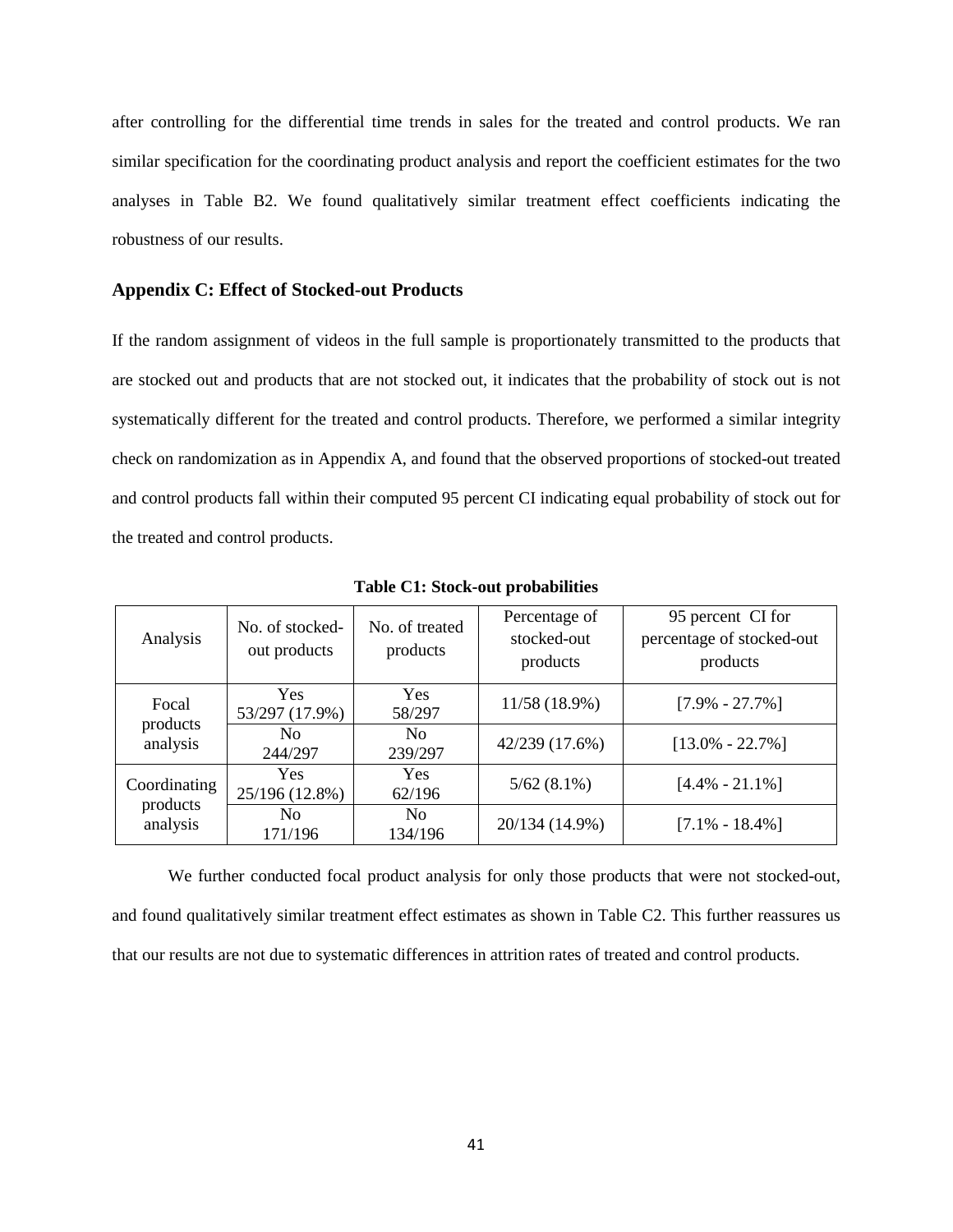after controlling for the differential time trends in sales for the treated and control products. We ran similar specification for the coordinating product analysis and report the coefficient estimates for the two analyses in Table B2. We found qualitatively similar treatment effect coefficients indicating the robustness of our results.

## **Appendix C: Effect of Stocked-out Products**

If the random assignment of videos in the full sample is proportionately transmitted to the products that are stocked out and products that are not stocked out, it indicates that the probability of stock out is not systematically different for the treated and control products. Therefore, we performed a similar integrity check on randomization as in Appendix A, and found that the observed proportions of stocked-out treated and control products fall within their computed 95 percent CI indicating equal probability of stock out for the treated and control products.

| Analysis             | No. of stocked-<br>out products | No. of treated<br>products | Percentage of<br>stocked-out<br>products | 95 percent CI for<br>percentage of stocked-out<br>products |
|----------------------|---------------------------------|----------------------------|------------------------------------------|------------------------------------------------------------|
| Focal                | <b>Yes</b><br>53/297 (17.9%)    | <b>Yes</b><br>58/297       | 11/58(18.9%)                             | $[7.9\% - 27.7\%]$                                         |
| products<br>analysis | N <sub>0</sub><br>244/297       | N <sub>0</sub><br>239/297  | 42/239 (17.6%)                           | $[13.0\% - 22.7\%]$                                        |
| Coordinating         | Yes<br>25/196 (12.8%)           | <b>Yes</b><br>62/196       | $5/62(8.1\%)$                            | $[4.4\% - 21.1\%]$                                         |
| products<br>analysis | N <sub>0</sub><br>171/196       | N <sub>0</sub><br>134/196  | 20/134 (14.9%)                           | $[7.1\% - 18.4\%]$                                         |

**Table C1: Stock-out probabilities**

We further conducted focal product analysis for only those products that were not stocked-out, and found qualitatively similar treatment effect estimates as shown in Table C2. This further reassures us that our results are not due to systematic differences in attrition rates of treated and control products.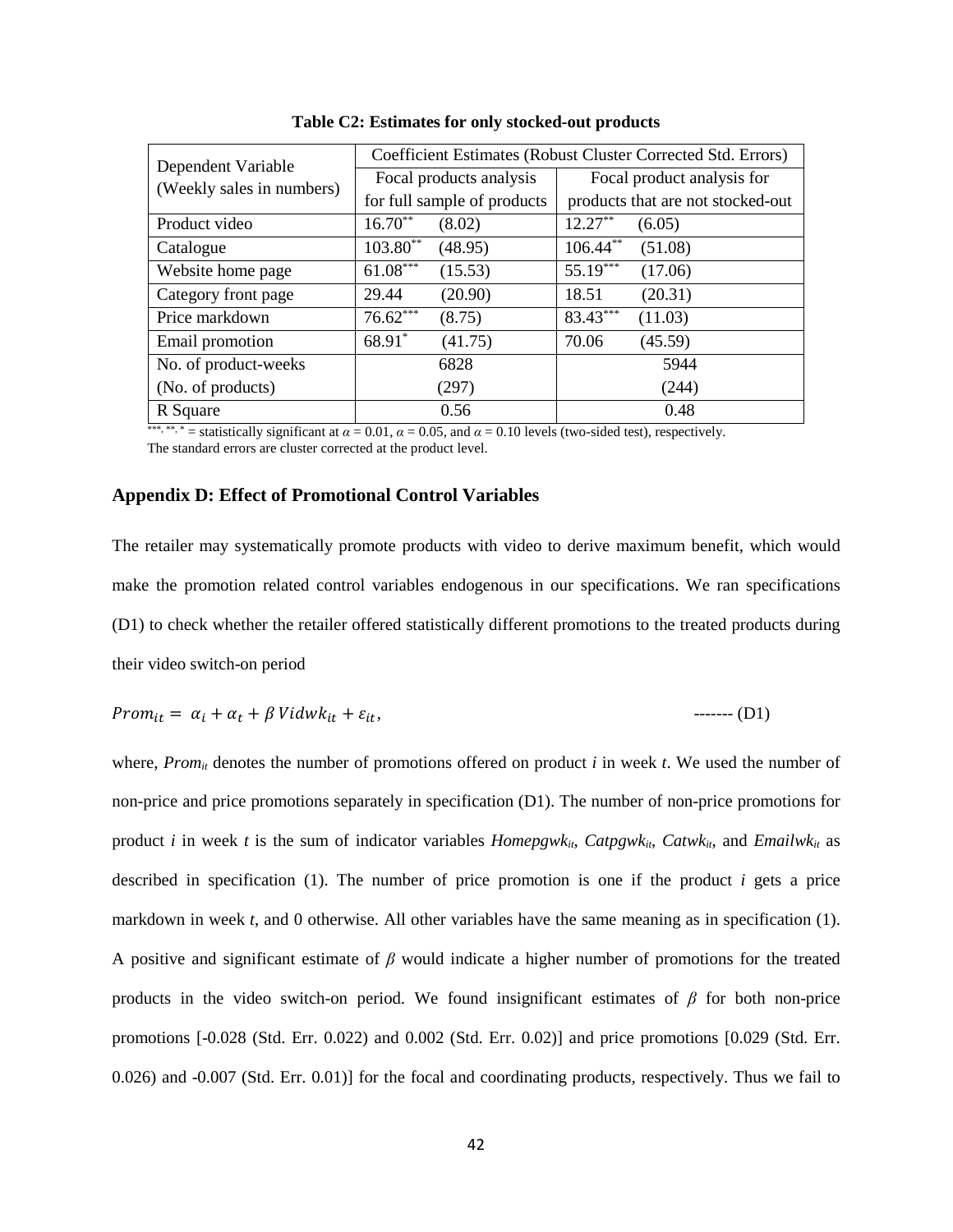| Dependent Variable        | Coefficient Estimates (Robust Cluster Corrected Std. Errors) |                                   |  |  |  |
|---------------------------|--------------------------------------------------------------|-----------------------------------|--|--|--|
| (Weekly sales in numbers) | Focal products analysis                                      | Focal product analysis for        |  |  |  |
|                           | for full sample of products                                  | products that are not stocked-out |  |  |  |
| Product video             | $16.70**$<br>(8.02)                                          | $12.27**$<br>(6.05)               |  |  |  |
| Catalogue                 | $103.80^{**}$<br>(48.95)                                     | $106.44$ <sup>**</sup><br>(51.08) |  |  |  |
| Website home page         | $61.08***$<br>(15.53)                                        | $55.19***$<br>(17.06)             |  |  |  |
| Category front page       | 29.44<br>(20.90)                                             | 18.51<br>(20.31)                  |  |  |  |
| Price markdown            | $76.62***$<br>(8.75)                                         | 83.43***<br>(11.03)               |  |  |  |
| Email promotion           | $68.91*$<br>(41.75)                                          | 70.06<br>(45.59)                  |  |  |  |
| No. of product-weeks      | 6828                                                         | 5944                              |  |  |  |
| (No. of products)         | (297)                                                        | (244)                             |  |  |  |
| R Square                  | 0.56                                                         | 0.48                              |  |  |  |

**Table C2: Estimates for only stocked-out products**

<sup>\*\*\*,\*\*\*</sup> = statistically significant at  $\alpha = 0.01$ ,  $\alpha = 0.05$ , and  $\alpha = 0.10$  levels (two-sided test), respectively. The standard errors are cluster corrected at the product level.

### **Appendix D: Effect of Promotional Control Variables**

The retailer may systematically promote products with video to derive maximum benefit, which would make the promotion related control variables endogenous in our specifications. We ran specifications (D1) to check whether the retailer offered statistically different promotions to the treated products during their video switch-on period

$$
Prom_{it} = \alpha_i + \alpha_t + \beta \text{ Vidw}k_{it} + \varepsilon_{it}, \qquad (D1)
$$

where, *Prom<sub>it</sub>* denotes the number of promotions offered on product *i* in week *t*. We used the number of non-price and price promotions separately in specification (D1). The number of non-price promotions for product *i* in week *t* is the sum of indicator variables *Homepgwk<sub>it</sub>*, *Catpgwk<sub>it</sub>*, *Catwk<sub>it</sub>*, and *Emailwk<sub>it</sub>* as described in specification (1). The number of price promotion is one if the product *i* gets a price markdown in week *t*, and 0 otherwise. All other variables have the same meaning as in specification (1). A positive and significant estimate of *β* would indicate a higher number of promotions for the treated products in the video switch-on period. We found insignificant estimates of *β* for both non-price promotions [-0.028 (Std. Err. 0.022) and 0.002 (Std. Err. 0.02)] and price promotions [0.029 (Std. Err. 0.026) and -0.007 (Std. Err. 0.01)] for the focal and coordinating products, respectively. Thus we fail to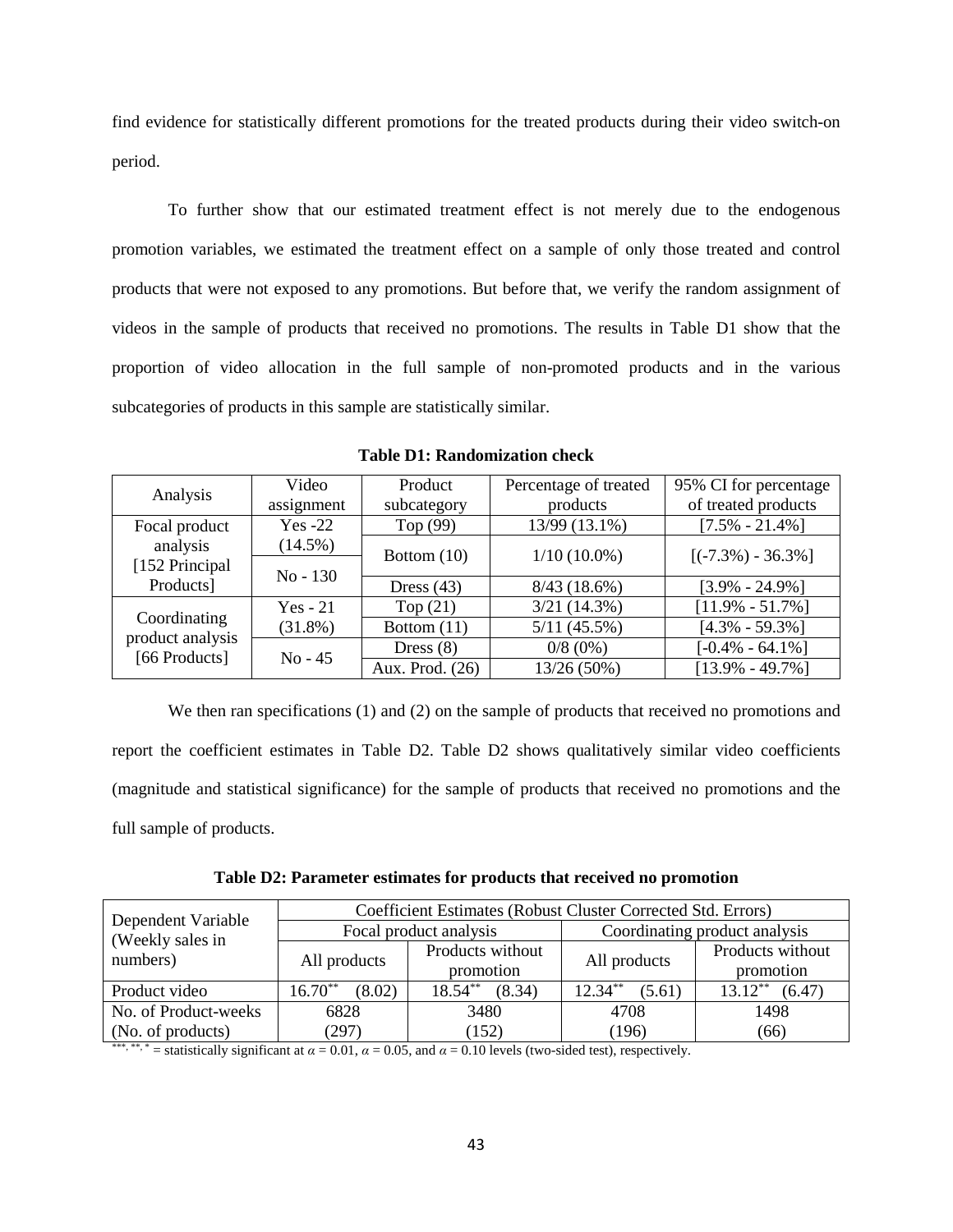find evidence for statistically different promotions for the treated products during their video switch-on period.

To further show that our estimated treatment effect is not merely due to the endogenous promotion variables, we estimated the treatment effect on a sample of only those treated and control products that were not exposed to any promotions. But before that, we verify the random assignment of videos in the sample of products that received no promotions. The results in Table D1 show that the proportion of video allocation in the full sample of non-promoted products and in the various subcategories of products in this sample are statistically similar.

| Analysis                          | Video      | Product         | Percentage of treated | 95% CI for percentage |  |
|-----------------------------------|------------|-----------------|-----------------------|-----------------------|--|
|                                   | assignment | subcategory     | products              | of treated products   |  |
| Focal product                     | $Yes -22$  | Top (99)        | 13/99 (13.1%)         | $[7.5\% - 21.4\%]$    |  |
| analysis                          | $(14.5\%)$ | Bottom $(10)$   | $1/10(10.0\%)$        | $[(-7.3\%)-36.3\%]$   |  |
| [152 Principal]                   | $No - 130$ |                 |                       |                       |  |
| Products]                         |            | Dress $(43)$    | 8/43(18.6%)           | $[3.9\% - 24.9\%]$    |  |
|                                   | $Yes - 21$ | Top $(21)$      | 3/21(14.3%)           | $[11.9\% - 51.7\%]$   |  |
| Coordinating                      | $(31.8\%)$ | Bottom $(11)$   | $5/11(45.5\%)$        | $[4.3\% - 59.3\%]$    |  |
| product analysis<br>[66 Products] | $No - 45$  | Dress $(8)$     | $0/8(0\%)$            | $[-0.4\% - 64.1\%]$   |  |
|                                   |            | Aux. Prod. (26) | 13/26 (50%)           | $[13.9\% - 49.7\%]$   |  |

**Table D1: Randomization check**

We then ran specifications (1) and (2) on the sample of products that received no promotions and report the coefficient estimates in Table D2. Table D2 shows qualitatively similar video coefficients (magnitude and statistical significance) for the sample of products that received no promotions and the full sample of products.

| Dependent Variable<br>(Weekly sales in<br>numbers) | Coefficient Estimates (Robust Cluster Corrected Std. Errors) |                      |                               |                      |  |
|----------------------------------------------------|--------------------------------------------------------------|----------------------|-------------------------------|----------------------|--|
|                                                    | Focal product analysis                                       |                      | Coordinating product analysis |                      |  |
|                                                    | All products                                                 | Products without     | All products                  | Products without     |  |
|                                                    |                                                              | promotion            |                               | promotion            |  |
| Product video                                      | $16.70**$<br>(8.02)                                          | $18.54***$<br>(8.34) | $12.34***$<br>(5.61)          | $13.12***$<br>(6.47) |  |
| No. of Product-weeks                               | 6828                                                         | 3480                 | 4708                          | 1498                 |  |
| (No. of products)                                  | (297)                                                        | (152)                | (196)                         | (66)                 |  |

<sup>\*\*\*,\*\*</sup>,  $* =$  statistically significant at  $\alpha = 0.01$ ,  $\alpha = 0.05$ , and  $\alpha = 0.10$  levels (two-sided test), respectively.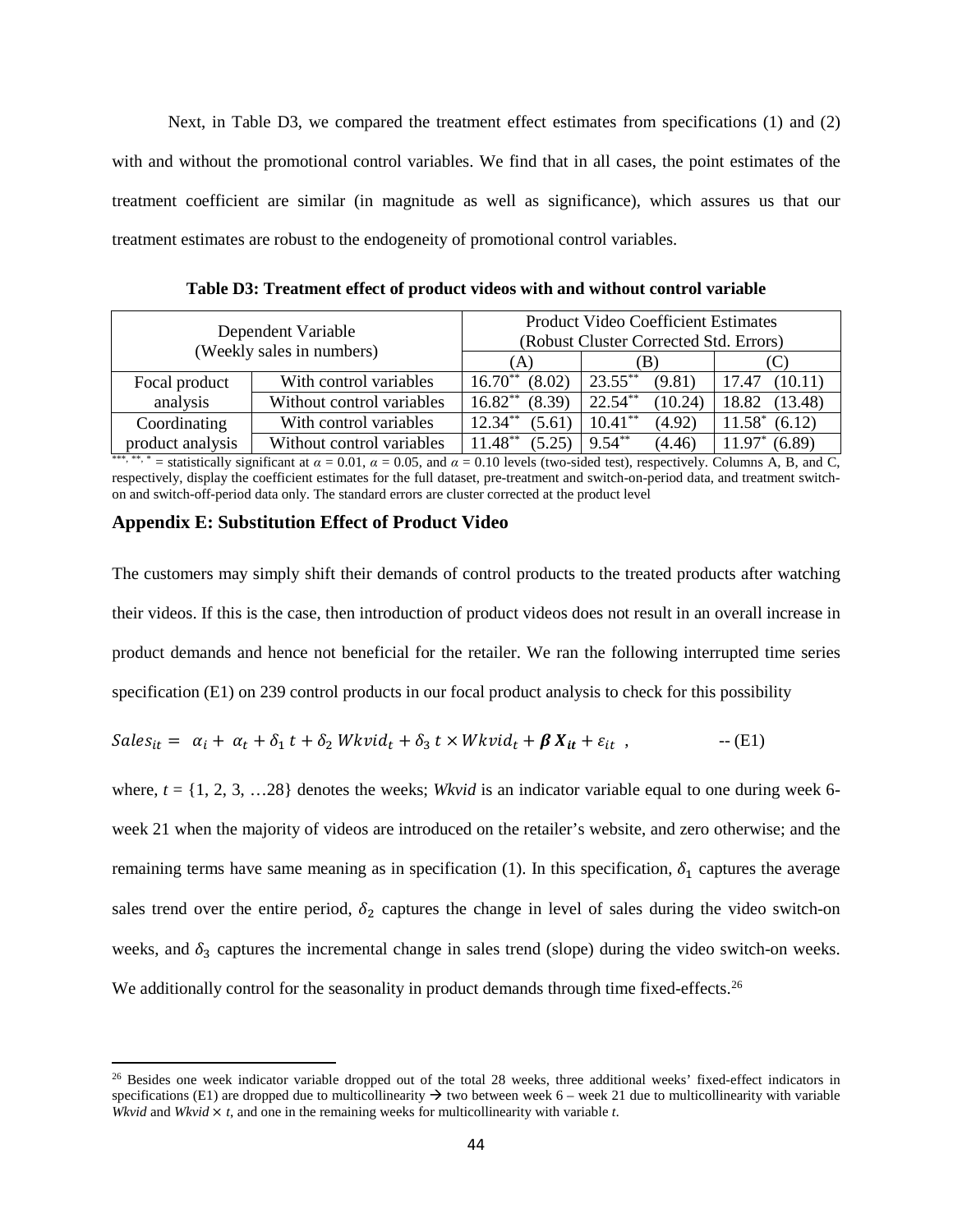Next, in Table D3, we compared the treatment effect estimates from specifications (1) and (2) with and without the promotional control variables. We find that in all cases, the point estimates of the treatment coefficient are similar (in magnitude as well as significance), which assures us that our treatment estimates are robust to the endogeneity of promotional control variables.

| Dependent Variable<br>(Weekly sales in numbers) |                           | <b>Product Video Coefficient Estimates</b><br>(Robust Cluster Corrected Std. Errors) |                       |                    |
|-------------------------------------------------|---------------------------|--------------------------------------------------------------------------------------|-----------------------|--------------------|
|                                                 |                           | `A)                                                                                  | В                     | (C)                |
| Focal product                                   | With control variables    | $16.70**$<br>(8.02)                                                                  | $23.55***$<br>(9.81)  | 17.47<br>(10.11)   |
| analysis                                        | Without control variables | $16.82**$<br>(8.39)                                                                  | $22.54***$<br>(10.24) | 18.82<br>(13.48)   |
| Coordinating                                    | With control variables    | $12.34***$<br>(5.61)                                                                 | $10.41***$<br>(4.92)  | $11.58*$<br>(6.12) |
| product analysis                                | Without control variables | $11.48**$<br>(5.25)                                                                  | $9.54***$<br>(4.46)   | 11 97<br>(6.89)    |

**Table D3: Treatment effect of product videos with and without control variable**

\*\*\*, \*\*, \* = statistically significant at  $\alpha = 0.01$ ,  $\alpha = 0.05$ , and  $\alpha = 0.10$  levels (two-sided test), respectively. Columns A, B, and C, respectively, display the coefficient estimates for the full dataset, pre-treatment and switch-on-period data, and treatment switchon and switch-off-period data only. The standard errors are cluster corrected at the product level

#### **Appendix E: Substitution Effect of Product Video**

 $\overline{\phantom{a}}$ 

The customers may simply shift their demands of control products to the treated products after watching their videos. If this is the case, then introduction of product videos does not result in an overall increase in product demands and hence not beneficial for the retailer. We ran the following interrupted time series specification (E1) on 239 control products in our focal product analysis to check for this possibility

$$
Sales_{it} = \alpha_i + \alpha_t + \delta_1 t + \delta_2 Wkvid_t + \delta_3 t \times Wkvid_t + \beta X_{it} + \varepsilon_{it} ,
$$
 -- (E1)

where,  $t = \{1, 2, 3, \ldots 28\}$  denotes the weeks; *Wkvid* is an indicator variable equal to one during week 6week 21 when the majority of videos are introduced on the retailer's website, and zero otherwise; and the remaining terms have same meaning as in specification (1). In this specification,  $\delta_1$  captures the average sales trend over the entire period,  $\delta_2$  captures the change in level of sales during the video switch-on weeks, and  $\delta_3$  captures the incremental change in sales trend (slope) during the video switch-on weeks. We additionally control for the seasonality in product demands through time fixed-effects.<sup>[26](#page-43-0)</sup>

<span id="page-43-0"></span><sup>&</sup>lt;sup>26</sup> Besides one week indicator variable dropped out of the total 28 weeks, three additional weeks' fixed-effect indicators in specifications (E1) are dropped due to multicollinearity  $\rightarrow$  two between week 6 – week 21 due to multicollinearity with variable *Wkvid* and *Wkvid*  $\times$  *t*, and one in the remaining weeks for multicollinearity with variable *t*.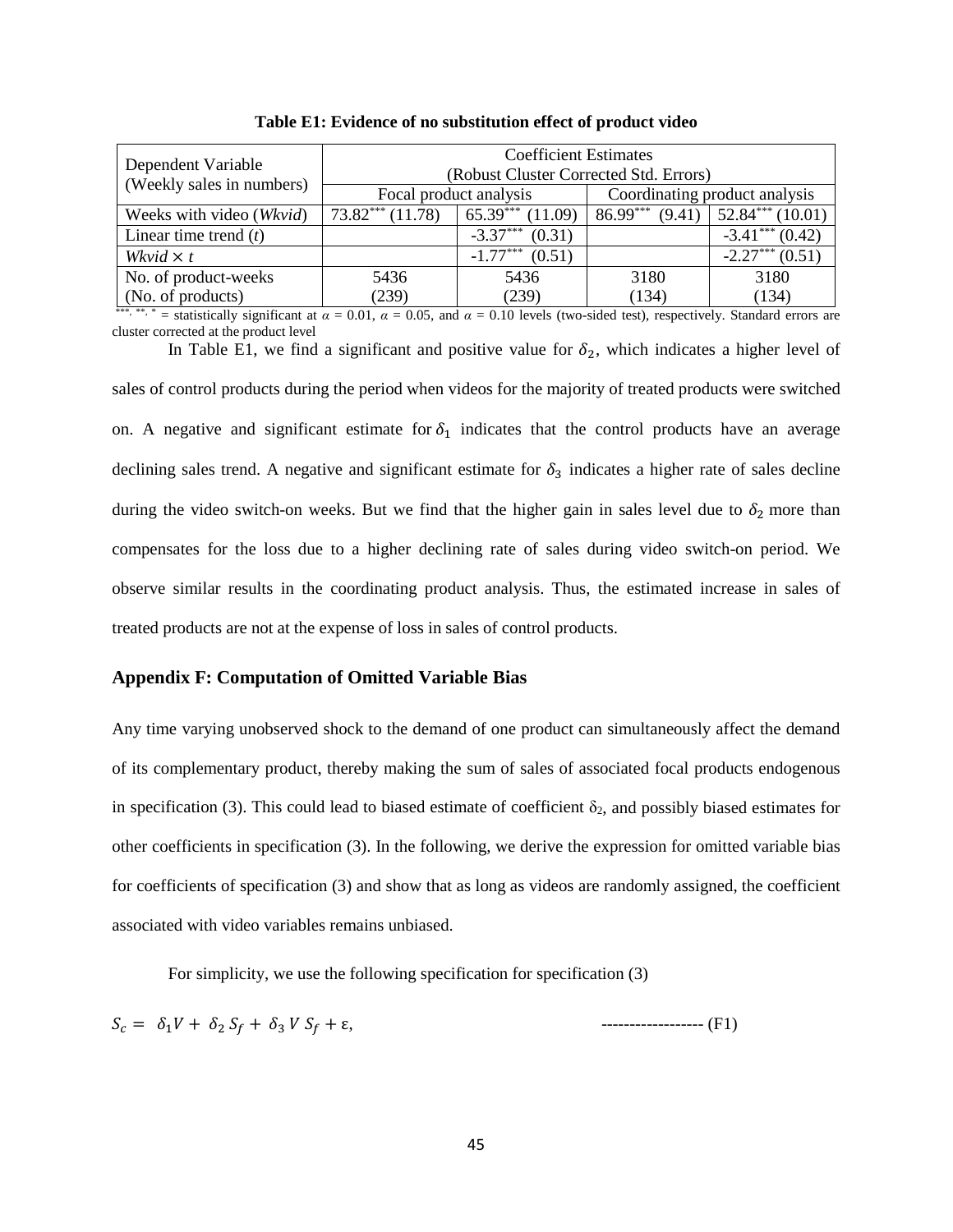| Dependent Variable<br>(Weekly sales in numbers) | <b>Coefficient Estimates</b><br>(Robust Cluster Corrected Std. Errors) |                        |                               |                      |  |
|-------------------------------------------------|------------------------------------------------------------------------|------------------------|-------------------------------|----------------------|--|
|                                                 |                                                                        | Focal product analysis | Coordinating product analysis |                      |  |
| Weeks with video (Wkvid)                        | $73.82***(11.78)$                                                      | $65.39***$ $(11.09)$   | 86.99***<br>(9.41)            | $52.84***(10.01)$    |  |
| Linear time trend $(t)$                         |                                                                        | $-3.37***$<br>(0.31)   |                               | $-3.41***$<br>(0.42) |  |
| Wkvid $\times t$                                |                                                                        | $-1.77***$<br>(0.51)   |                               | $-2.27***(0.51)$     |  |
| No. of product-weeks                            | 5436                                                                   | 5436                   | 3180                          | 3180                 |  |
| (No. of products)                               | (239)                                                                  | (239)                  | (134)                         | (134)                |  |

**Table E1: Evidence of no substitution effect of product video**

<sup>\*\*\*,\*\*,\*</sup> = statistically significant at  $\alpha = 0.01$ ,  $\alpha = 0.05$ , and  $\alpha = 0.10$  levels (two-sided test), respectively. Standard errors are cluster corrected at the product level

In Table E1, we find a significant and positive value for  $\delta_2$ , which indicates a higher level of sales of control products during the period when videos for the majority of treated products were switched on. A negative and significant estimate for  $\delta_1$  indicates that the control products have an average declining sales trend. A negative and significant estimate for  $\delta_3$  indicates a higher rate of sales decline during the video switch-on weeks. But we find that the higher gain in sales level due to  $\delta_2$  more than compensates for the loss due to a higher declining rate of sales during video switch-on period. We observe similar results in the coordinating product analysis. Thus, the estimated increase in sales of treated products are not at the expense of loss in sales of control products.

### **Appendix F: Computation of Omitted Variable Bias**

Any time varying unobserved shock to the demand of one product can simultaneously affect the demand of its complementary product, thereby making the sum of sales of associated focal products endogenous in specification (3). This could lead to biased estimate of coefficient  $\delta_2$ , and possibly biased estimates for other coefficients in specification (3). In the following, we derive the expression for omitted variable bias for coefficients of specification (3) and show that as long as videos are randomly assigned, the coefficient associated with video variables remains unbiased.

For simplicity, we use the following specification for specification (3)

$$
S_c = \delta_1 V + \delta_2 S_f + \delta_3 V S_f + \varepsilon,
$$
 (F1)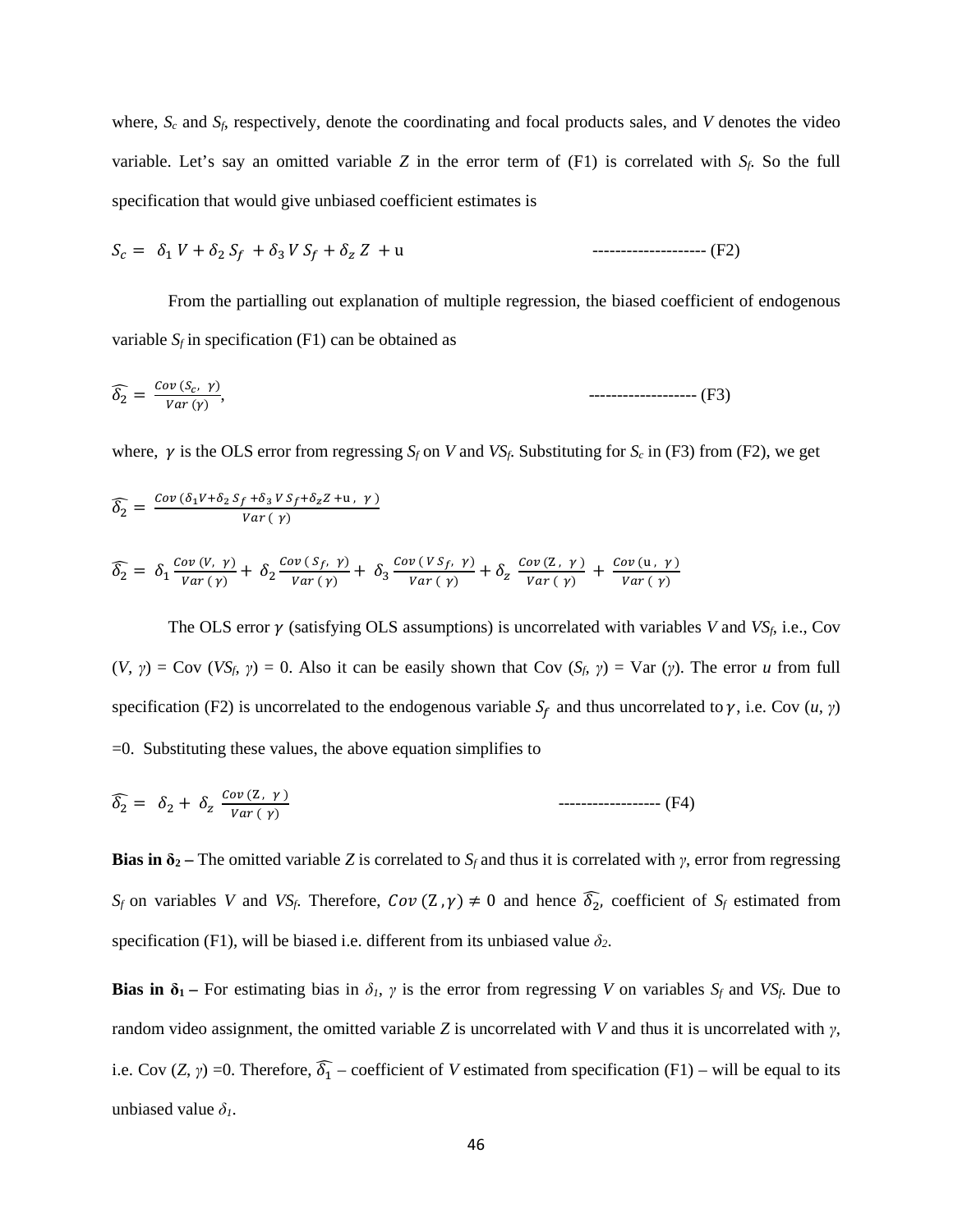where,  $S_c$  and  $S_f$ , respectively, denote the coordinating and focal products sales, and *V* denotes the video variable. Let's say an omitted variable  $Z$  in the error term of  $(F1)$  is correlated with  $S_f$ . So the full specification that would give unbiased coefficient estimates is

$$
S_c = \delta_1 V + \delta_2 S_f + \delta_3 V S_f + \delta_z Z + u \tag{F2}
$$

From the partialling out explanation of multiple regression, the biased coefficient of endogenous variable  $S_f$  in specification (F1) can be obtained as

$$
\widehat{\delta_2} = \frac{\text{Cov}(S_c, \gamma)}{\text{Var}(\gamma)},
$$
 \n
$$
\text{Sov}(F3)
$$

where,  $\gamma$  is the OLS error from regressing  $S_f$  on *V* and *VS<sub>f</sub>*. Substituting for  $S_c$  in (F3) from (F2), we get

$$
\widehat{\delta_2} = \frac{\text{Cov}(\delta_1 V + \delta_2 S_f + \delta_3 V S_f + \delta_2 Z + u, \gamma)}{\text{Var}(\gamma)}
$$

$$
\widehat{\delta_2} = \delta_1 \frac{\operatorname{cov}(V, \gamma)}{\operatorname{Var}(\gamma)} + \delta_2 \frac{\operatorname{cov}(S_f, \gamma)}{\operatorname{Var}(\gamma)} + \delta_3 \frac{\operatorname{cov}(VS_f, \gamma)}{\operatorname{Var}(\gamma)} + \delta_2 \frac{\operatorname{cov}(Z, \gamma)}{\operatorname{Var}(\gamma)} + \frac{\operatorname{Cov}(u, \gamma)}{\operatorname{Var}(\gamma)}
$$

The OLS error  $\gamma$  (satisfying OLS assumptions) is uncorrelated with variables *V* and *VS<sub>f</sub>*, i.e., Cov (*V,*  $\gamma$ ) = Cov (*VS<sub>f</sub>,*  $\gamma$ ) = 0. Also it can be easily shown that Cov (*S<sub>f</sub>,*  $\gamma$ ) = Var ( $\gamma$ ). The error *u* from full specification (F2) is uncorrelated to the endogenous variable  $S_f$  and thus uncorrelated to  $\gamma$ , i.e. Cov  $(u, \gamma)$ =0. Substituting these values, the above equation simplifies to

$$
\widehat{\delta_2} = \delta_2 + \delta_z \frac{\text{Cov}(\mathbf{Z}, \gamma)}{\text{Var}(\gamma)} \tag{F4}
$$

**Bias in**  $\delta_2$  – The omitted variable *Z* is correlated to  $S_f$  and thus it is correlated with *γ*, error from regressing  $S_f$  on variables *V* and *VS<sub>f</sub>*. Therefore,  $Cov(Z, \gamma) \neq 0$  and hence  $\delta_2$ , coefficient of  $S_f$  estimated from specification (F1), will be biased i.e. different from its unbiased value *δ2*.

**Bias in**  $\delta$ **1** – For estimating bias in  $\delta$ *l*,  $\gamma$  is the error from regressing *V* on variables *S<sub>f</sub>* and *VS<sub>f</sub>*. Due to random video assignment, the omitted variable *Z* is uncorrelated with *V* and thus it is uncorrelated with *γ*, i.e. Cov  $(Z, \gamma)$  =0. Therefore,  $\widehat{\delta_1}$  – coefficient of *V* estimated from specification (F1) – will be equal to its unbiased value *δ1*.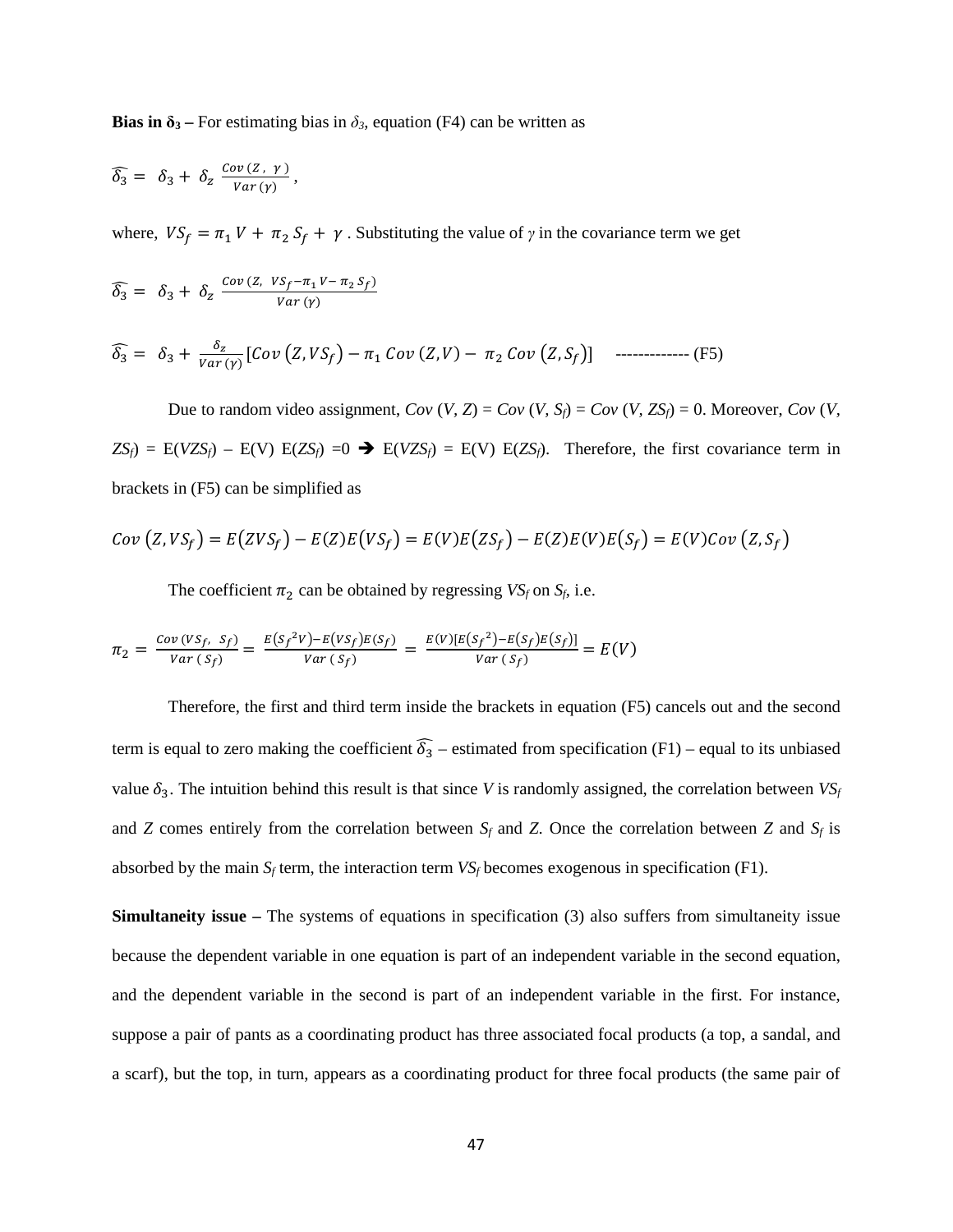**Bias in**  $\delta$ **3** – For estimating bias in  $\delta$ <sup>3</sup>, equation (F4) can be written as

$$
\widehat{\delta_3} = \delta_3 + \delta_2 \, \frac{\text{Cov}(\mathbf{Z}, \, \gamma)}{\text{Var}(\gamma)},
$$

where,  $VS_f = \pi_1 V + \pi_2 S_f + \gamma$ . Substituting the value of  $\gamma$  in the covariance term we get

$$
\widehat{\delta_3} = \delta_3 + \delta_2 \frac{\text{Cov}(\mathbf{Z}, \mathbf{V} \mathbf{S}_f - \pi_1 \mathbf{V} - \pi_2 \mathbf{S}_f)}{\text{Var}(\gamma)}
$$

$$
\widehat{\delta_3} = \delta_3 + \frac{\delta_z}{var(y)} [Cov (Z, VS_f) - \pi_1 Cov (Z, V) - \pi_2 Cov (Z, S_f)] \quad \dots \quad (F5)
$$

Due to random video assignment,  $Cov(V, Z) = Cov(V, S_f) = Cov(V, ZS_f) = 0$ . Moreover,  $Cov(V, ZS_f) = 0$ .  $ZS_f$ ) = E(*VZSf*) – E(V) E( $ZS_f$ ) =0  $\rightarrow$  E(*VZSf*) = E(V) E( $ZS_f$ ). Therefore, the first covariance term in brackets in (F5) can be simplified as

$$
Cov(Z,VS_f) = E(ZVS_f) - E(Z)E(VS_f) = E(V)E(ZS_f) - E(Z)E(V)E(S_f) = E(V)Cov(Z,S_f)
$$

The coefficient  $\pi_2$  can be obtained by regressing *VS<sub>f</sub>* on *S<sub>f</sub>*, i.e.

$$
\pi_2 = \frac{\text{Cov}(VS_f, S_f)}{\text{Var}(S_f)} = \frac{E(S_f^2 V) - E(VS_f)E(S_f)}{\text{Var}(S_f)} = \frac{E(V)[E(S_f^2) - E(S_f)E(S_f)]}{\text{Var}(S_f)} = E(V)
$$

Therefore, the first and third term inside the brackets in equation (F5) cancels out and the second term is equal to zero making the coefficient  $\delta_3$  – estimated from specification (F1) – equal to its unbiased value  $\delta_3$ . The intuition behind this result is that since *V* is randomly assigned, the correlation between *VSf* and *Z* comes entirely from the correlation between  $S_f$  and *Z*. Once the correlation between *Z* and  $S_f$  is absorbed by the main  $S_f$  term, the interaction term  $VS_f$  becomes exogenous in specification (F1).

**Simultaneity issue –** The systems of equations in specification (3) also suffers from simultaneity issue because the dependent variable in one equation is part of an independent variable in the second equation, and the dependent variable in the second is part of an independent variable in the first. For instance, suppose a pair of pants as a coordinating product has three associated focal products (a top, a sandal, and a scarf), but the top, in turn, appears as a coordinating product for three focal products (the same pair of